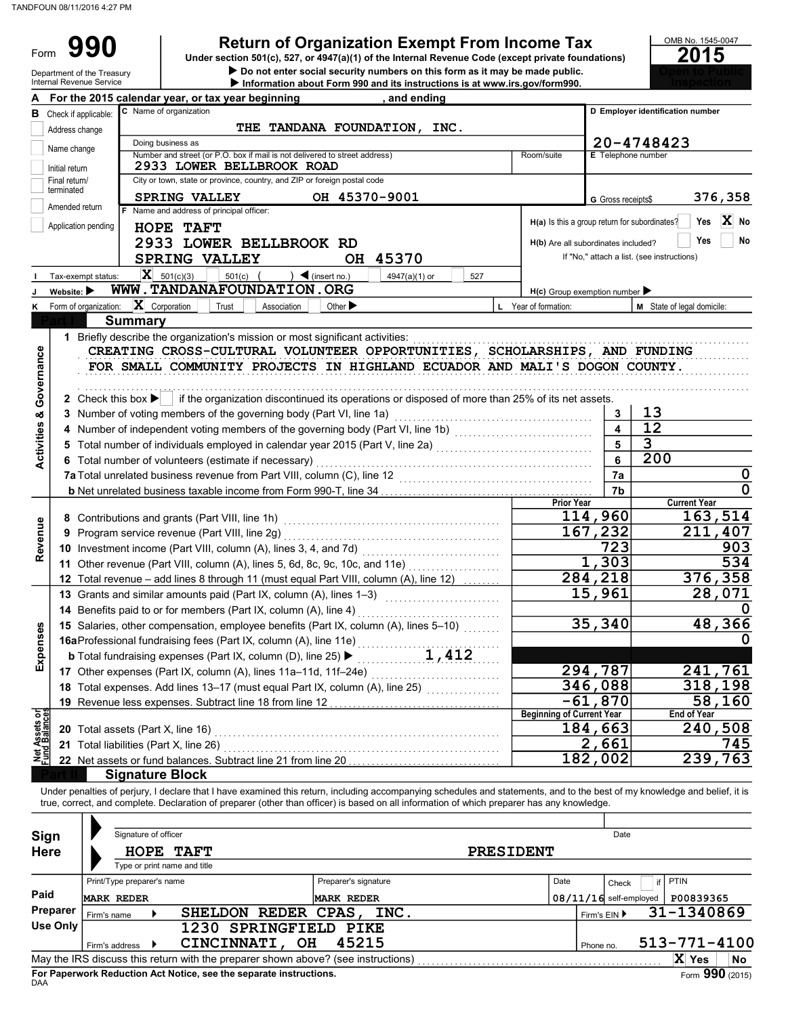Form

Department of the Treasury

# **990 2015 2015 2015 2015 2015 2015 2015 2015 2015 2015 2015 2015 2015 2015 2015 2015 2015 2015 2015 2015 2015 2015 2015 2015 2015 2015 2015 2015 2015 2015 2015**

 $\triangleright$  Do not enter social security numbers on this form as it may be made public. **Under section 501(c), 527, or 4947(a)(1) of the Internal Revenue Code (except private foundations)**

|                                       | Internal Revenue Service        | Information about Form 990 and its instructions is at www.irs.gov/form990.                                                                                                 |                                               |                                            |  |  |  |
|---------------------------------------|---------------------------------|----------------------------------------------------------------------------------------------------------------------------------------------------------------------------|-----------------------------------------------|--------------------------------------------|--|--|--|
|                                       |                                 | For the 2015 calendar year, or tax year beginning<br>$\mathsf{and}\ \mathsf{ending}$                                                                                       |                                               |                                            |  |  |  |
|                                       | <b>B</b> Check if applicable:   | C Name of organization                                                                                                                                                     | D Employer identification number              |                                            |  |  |  |
|                                       | Address change                  | THE TANDANA FOUNDATION, INC.                                                                                                                                               |                                               |                                            |  |  |  |
|                                       | Name change                     | Doing business as                                                                                                                                                          |                                               | 20-4748423                                 |  |  |  |
|                                       |                                 | Number and street (or P.O. box if mail is not delivered to street address)<br>Room/suite                                                                                   | <b>E</b> Telephone number                     |                                            |  |  |  |
|                                       | Initial return<br>Final return/ | 2933 LOWER BELLBROOK ROAD<br>City or town, state or province, country, and ZIP or foreign postal code                                                                      |                                               |                                            |  |  |  |
|                                       | terminated                      | <b>SPRING VALLEY</b>                                                                                                                                                       |                                               | 376,358                                    |  |  |  |
|                                       | Amended return                  | OH 45370-9001<br>F Name and address of principal officer:                                                                                                                  | G Gross receipts\$                            |                                            |  |  |  |
|                                       | Application pending             |                                                                                                                                                                            | H(a) Is this a group return for subordinates? | X No<br>Yes                                |  |  |  |
|                                       |                                 | HOPE TAFT                                                                                                                                                                  | H(b) Are all subordinates included?           | No<br>Yes                                  |  |  |  |
|                                       |                                 | 2933 LOWER BELLBROOK RD                                                                                                                                                    |                                               | If "No," attach a list. (see instructions) |  |  |  |
|                                       |                                 | <b>SPRING VALLEY</b><br>OH 45370                                                                                                                                           |                                               |                                            |  |  |  |
|                                       | Tax-exempt status:              | $ \mathbf{X} $ 501(c)(3)<br>$501(c)$ (<br>$\bigcup$ (insert no.)<br>4947(a)(1) or<br>527                                                                                   |                                               |                                            |  |  |  |
|                                       | Website: $\blacktriangleright$  | WWW.TANDANAFOUNDATION.ORG                                                                                                                                                  | $H(c)$ Group exemption number                 |                                            |  |  |  |
| Κ                                     | Form of organization:           | $ \mathbf{X} $ Corporation<br>Trust<br>Association<br>Other ><br>L Year of formation:                                                                                      |                                               | M State of legal domicile:                 |  |  |  |
|                                       |                                 | <b>Summary</b>                                                                                                                                                             |                                               |                                            |  |  |  |
|                                       |                                 | 1 Briefly describe the organization's mission or most significant activities:                                                                                              |                                               |                                            |  |  |  |
|                                       |                                 | CREATING CROSS-CULTURAL VOLUNTEER OPPORTUNITIES, SCHOLARSHIPS, AND FUNDING                                                                                                 |                                               |                                            |  |  |  |
| Governance                            |                                 | FOR SMALL COMMUNITY PROJECTS IN HIGHLAND ECUADOR AND MALI'S DOGON COUNTY.                                                                                                  |                                               |                                            |  |  |  |
|                                       |                                 |                                                                                                                                                                            |                                               |                                            |  |  |  |
|                                       |                                 | 2 Check this box ▶   if the organization discontinued its operations or disposed of more than 25% of its net assets.                                                       |                                               |                                            |  |  |  |
| න්                                    |                                 | 3 Number of voting members of the governing body (Part VI, line 1a)                                                                                                        | 3                                             | 13                                         |  |  |  |
|                                       |                                 | 4 Number of independent voting members of the governing body (Part VI, line 1b) [1] [1] [1] Number of independent voting members of the governing body (Part VI, line 1b)  |                                               | 12                                         |  |  |  |
| Activities                            |                                 | 5 Total number of individuals employed in calendar year 2015 (Part V, line 2a) [[[[[[[[[[[[[[[[[[[[[[[[[[[[[[                                                              |                                               | 3                                          |  |  |  |
|                                       |                                 | 6 Total number of volunteers (estimate if necessary)                                                                                                                       | 6                                             | 200                                        |  |  |  |
|                                       |                                 |                                                                                                                                                                            | 7a                                            | 0                                          |  |  |  |
|                                       |                                 |                                                                                                                                                                            | 7b                                            | $\mathbf 0$                                |  |  |  |
|                                       |                                 | <b>Prior Year</b>                                                                                                                                                          |                                               | <b>Current Year</b>                        |  |  |  |
|                                       |                                 | 8 Contributions and grants (Part VIII, line 1h)                                                                                                                            | 114,960                                       | 163,514                                    |  |  |  |
| Revenue                               |                                 | 9 Program service revenue (Part VIII, line 2g)                                                                                                                             | 167,232                                       | 211,407                                    |  |  |  |
|                                       |                                 | 10 Investment income (Part VIII, column (A), lines 3, 4, and 7d)                                                                                                           | 723                                           | 903                                        |  |  |  |
|                                       |                                 | 11 Other revenue (Part VIII, column (A), lines 5, 6d, 8c, 9c, 10c, and 11e)                                                                                                | 1,303                                         | 534                                        |  |  |  |
|                                       |                                 | 12 Total revenue - add lines 8 through 11 (must equal Part VIII, column (A), line 12)                                                                                      | 284,218                                       | 376,358                                    |  |  |  |
|                                       |                                 | 13 Grants and similar amounts paid (Part IX, column (A), lines 1-3)                                                                                                        | 15,961                                        | 28,071                                     |  |  |  |
|                                       |                                 | 14 Benefits paid to or for members (Part IX, column (A), line 4)                                                                                                           |                                               |                                            |  |  |  |
| enses                                 |                                 | 15 Salaries, other compensation, employee benefits (Part IX, column (A), lines 5-10)                                                                                       | 35,340                                        | 48,366                                     |  |  |  |
|                                       |                                 | 16aProfessional fundraising fees (Part IX, column (A), line 11e)                                                                                                           |                                               | 0                                          |  |  |  |
| 펓                                     |                                 | 1,412<br><b>b</b> Total fundraising expenses (Part IX, column (D), line 25) <b>&gt;</b>                                                                                    |                                               |                                            |  |  |  |
|                                       |                                 | 17 Other expenses (Part IX, column (A), lines 11a-11d, 11f-24e)                                                                                                            | 294,787                                       | 241,761                                    |  |  |  |
|                                       |                                 | 18 Total expenses. Add lines 13-17 (must equal Part IX, column (A), line 25)                                                                                               | 346,088                                       | 318,198                                    |  |  |  |
|                                       |                                 | 19 Revenue less expenses. Subtract line 18 from line 12                                                                                                                    | $-61,870$                                     | 58,160                                     |  |  |  |
| <b>Net Assets or</b><br>Fund Balances |                                 | <b>Beginning of Current Year</b>                                                                                                                                           |                                               | <b>End of Year</b>                         |  |  |  |
|                                       |                                 | 20 Total assets (Part X, line 16) Mathematical and Total assets (Part X, line 16)                                                                                          | 184,663                                       | 240,508                                    |  |  |  |
|                                       |                                 | 21 Total liabilities (Part X, line 26)                                                                                                                                     | 2,661                                         | 745                                        |  |  |  |
|                                       |                                 | 22 Net assets or fund balances. Subtract line 21 from line 20                                                                                                              | 182,002                                       | 239,763                                    |  |  |  |
|                                       |                                 | <b>Signature Block</b>                                                                                                                                                     |                                               |                                            |  |  |  |
|                                       |                                 | Under penalties of perjury, I declare that I have examined this return, including accompanying schedules and statements, and to the best of my knowledge and belief, it is |                                               |                                            |  |  |  |

true, correct, and complete. Declaration of preparer (other than officer) is based on all information of which preparer has any knowledge.

| Sign        |                            | Signature of officer |                                                                                   |                      |      |                  | Date |              |                          |             |           |                  |
|-------------|----------------------------|----------------------|-----------------------------------------------------------------------------------|----------------------|------|------------------|------|--------------|--------------------------|-------------|-----------|------------------|
| <b>Here</b> |                            |                      | <b>HOPE TAFT</b><br>Type or print name and title                                  |                      |      | <b>PRESIDENT</b> |      |              |                          |             |           |                  |
|             | Print/Type preparer's name |                      |                                                                                   | Preparer's signature |      |                  | Date |              | Check                    | <b>PTIN</b> |           |                  |
| Paid        | <b>MARK REDER</b>          |                      |                                                                                   | <b>MARK REDER</b>    |      |                  |      |              | $08/11/16$ self-employed |             | P00839365 |                  |
| Preparer    | Firm's name                |                      | <b>SHELDON</b>                                                                    | REDER CPAS,          | INC. |                  |      | Firm's $EIN$ |                          |             |           | 31-1340869       |
| Use Only    | Firm's address             |                      | SPRINGFIELD PIKE<br>1230<br>CINCINNATI, OH                                        | 45215                |      |                  |      | Phone no.    |                          |             |           | 513-771-4100     |
|             |                            |                      | May the IRS discuss this return with the preparer shown above? (see instructions) |                      |      |                  |      |              |                          |             | X<br>Yes  | No               |
|             |                            |                      | For Paperwork Reduction Act Notice, see the separate instructions.                |                      |      |                  |      |              |                          |             |           | Form $990(2015)$ |

DAA **For Paperwork Reduction Act Notice, see the separate instructions.** OMB No. 1545-0047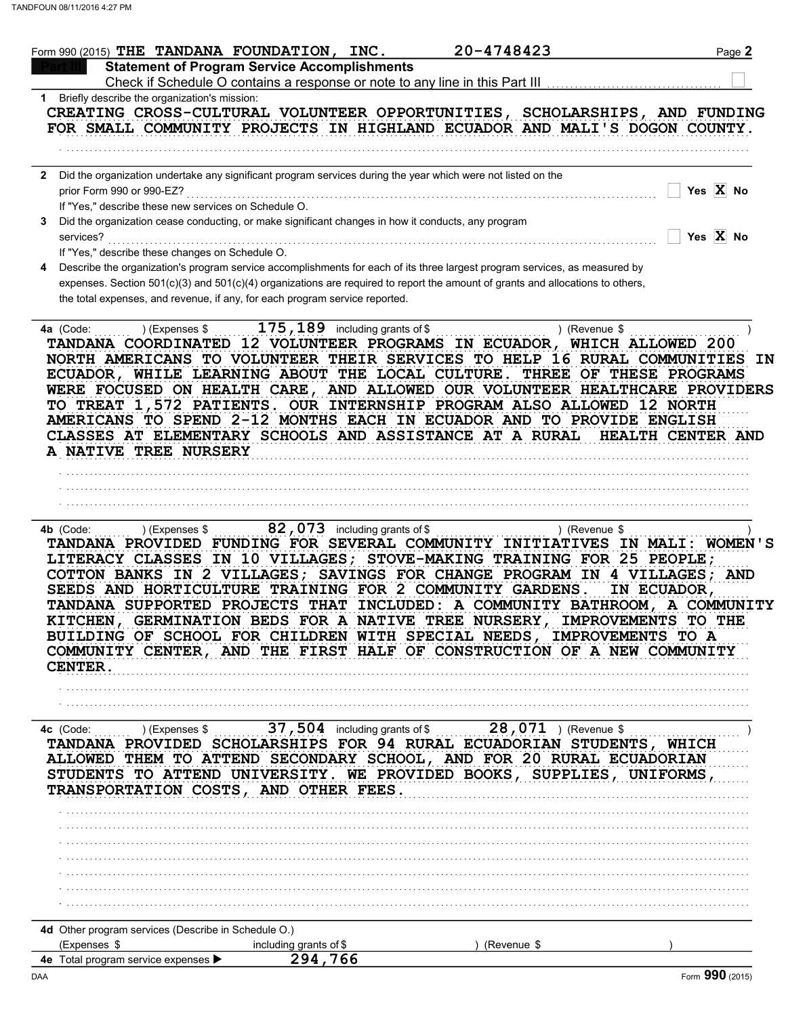| Form 990 (2015) THE TANDANA FOUNDATION, INC.                                                                                                                                                                                                                                                                                                                                                                                                                                                                                                                     |                                                     | 20-4748423                                                                                                                     | Page 2                |
|------------------------------------------------------------------------------------------------------------------------------------------------------------------------------------------------------------------------------------------------------------------------------------------------------------------------------------------------------------------------------------------------------------------------------------------------------------------------------------------------------------------------------------------------------------------|-----------------------------------------------------|--------------------------------------------------------------------------------------------------------------------------------|-----------------------|
|                                                                                                                                                                                                                                                                                                                                                                                                                                                                                                                                                                  | <b>Statement of Program Service Accomplishments</b> |                                                                                                                                |                       |
| Briefly describe the organization's mission:<br>1                                                                                                                                                                                                                                                                                                                                                                                                                                                                                                                |                                                     |                                                                                                                                |                       |
| CREATING CROSS-CULTURAL VOLUNTEER OPPORTUNITIES, SCHOLARSHIPS, AND FUNDING                                                                                                                                                                                                                                                                                                                                                                                                                                                                                       |                                                     |                                                                                                                                |                       |
| FOR SMALL COMMUNITY PROJECTS IN HIGHLAND ECUADOR AND MALI'S DOGON COUNTY.                                                                                                                                                                                                                                                                                                                                                                                                                                                                                        |                                                     |                                                                                                                                |                       |
|                                                                                                                                                                                                                                                                                                                                                                                                                                                                                                                                                                  |                                                     |                                                                                                                                |                       |
|                                                                                                                                                                                                                                                                                                                                                                                                                                                                                                                                                                  |                                                     |                                                                                                                                |                       |
| 2 Did the organization undertake any significant program services during the year which were not listed on the<br>prior Form 990 or 990-EZ?                                                                                                                                                                                                                                                                                                                                                                                                                      |                                                     |                                                                                                                                | Yes $\overline{X}$ No |
| If "Yes," describe these new services on Schedule O.                                                                                                                                                                                                                                                                                                                                                                                                                                                                                                             |                                                     |                                                                                                                                |                       |
| Did the organization cease conducting, or make significant changes in how it conducts, any program                                                                                                                                                                                                                                                                                                                                                                                                                                                               |                                                     |                                                                                                                                |                       |
| services?                                                                                                                                                                                                                                                                                                                                                                                                                                                                                                                                                        |                                                     |                                                                                                                                | Yes $\overline{X}$ No |
| If "Yes," describe these changes on Schedule O.                                                                                                                                                                                                                                                                                                                                                                                                                                                                                                                  |                                                     |                                                                                                                                |                       |
| Describe the organization's program service accomplishments for each of its three largest program services, as measured by                                                                                                                                                                                                                                                                                                                                                                                                                                       |                                                     |                                                                                                                                |                       |
| the total expenses, and revenue, if any, for each program service reported.                                                                                                                                                                                                                                                                                                                                                                                                                                                                                      |                                                     | expenses. Section 501(c)(3) and 501(c)(4) organizations are required to report the amount of grants and allocations to others, |                       |
|                                                                                                                                                                                                                                                                                                                                                                                                                                                                                                                                                                  |                                                     |                                                                                                                                |                       |
| 4a (Code:<br>) (Expenses \$                                                                                                                                                                                                                                                                                                                                                                                                                                                                                                                                      | 175, 189 including grants of \$                     | ) (Revenue \$                                                                                                                  |                       |
| TANDANA COORDINATED 12 VOLUNTEER PROGRAMS IN ECUADOR, WHICH ALLOWED 200                                                                                                                                                                                                                                                                                                                                                                                                                                                                                          |                                                     |                                                                                                                                |                       |
| NORTH AMERICANS TO VOLUNTEER THEIR SERVICES TO HELP 16 RURAL COMMUNITIES                                                                                                                                                                                                                                                                                                                                                                                                                                                                                         |                                                     |                                                                                                                                | IN                    |
| ECUADOR, WHILE LEARNING ABOUT THE LOCAL CULTURE. THREE OF THESE PROGRAMS                                                                                                                                                                                                                                                                                                                                                                                                                                                                                         |                                                     |                                                                                                                                |                       |
| WERE FOCUSED ON HEALTH CARE, AND ALLOWED OUR VOLUNTEER HEALTHCARE PROVIDERS                                                                                                                                                                                                                                                                                                                                                                                                                                                                                      |                                                     |                                                                                                                                |                       |
| TO TREAT 1,572 PATIENTS. OUR INTERNSHIP PROGRAM ALSO ALLOWED 12 NORTH                                                                                                                                                                                                                                                                                                                                                                                                                                                                                            |                                                     |                                                                                                                                |                       |
| AMERICANS TO SPEND 2-12 MONTHS EACH IN ECUADOR AND TO PROVIDE ENGLISH<br>CLASSES AT ELEMENTARY SCHOOLS AND ASSISTANCE AT A RURAL HEALTH CENTER AND                                                                                                                                                                                                                                                                                                                                                                                                               |                                                     |                                                                                                                                |                       |
| A NATIVE TREE NURSERY                                                                                                                                                                                                                                                                                                                                                                                                                                                                                                                                            |                                                     |                                                                                                                                |                       |
|                                                                                                                                                                                                                                                                                                                                                                                                                                                                                                                                                                  |                                                     |                                                                                                                                |                       |
|                                                                                                                                                                                                                                                                                                                                                                                                                                                                                                                                                                  |                                                     |                                                                                                                                |                       |
|                                                                                                                                                                                                                                                                                                                                                                                                                                                                                                                                                                  |                                                     |                                                                                                                                |                       |
|                                                                                                                                                                                                                                                                                                                                                                                                                                                                                                                                                                  |                                                     |                                                                                                                                |                       |
| ) (Expenses \$<br>4b (Code:<br>TANDANA PROVIDED FUNDING FOR SEVERAL COMMUNITY INITIATIVES IN MALI: WOMEN'S<br>LITERACY CLASSES IN 10 VILLAGES; STOVE-MAKING TRAINING FOR 25 PEOPLE;<br>COTTON BANKS IN 2 VILLAGES; SAVINGS FOR CHANGE PROGRAM IN 4 VILLAGES; AND<br>SEEDS AND HORTICULTURE TRAINING FOR 2 COMMUNITY GARDENS.<br>TANDANA SUPPORTED PROJECTS THAT INCLUDED: A COMMUNITY BATHROOM, A COMMUNITY<br>KITCHEN, GERMINATION BEDS FOR A NATIVE TREE NURSERY, IMPROVEMENTS TO THE<br>BUILDING OF SCHOOL FOR CHILDREN WITH SPECIAL NEEDS, IMPROVEMENTS TO A | 82, 073 including grants of \$                      | ) (Revenue \$                                                                                                                  | IN ECUADOR,           |
| COMMUNITY CENTER, AND THE FIRST HALF OF CONSTRUCTION OF A NEW COMMUNITY                                                                                                                                                                                                                                                                                                                                                                                                                                                                                          |                                                     |                                                                                                                                |                       |
| <b>CENTER.</b>                                                                                                                                                                                                                                                                                                                                                                                                                                                                                                                                                   |                                                     |                                                                                                                                |                       |
|                                                                                                                                                                                                                                                                                                                                                                                                                                                                                                                                                                  |                                                     |                                                                                                                                |                       |
|                                                                                                                                                                                                                                                                                                                                                                                                                                                                                                                                                                  |                                                     |                                                                                                                                |                       |
| 4c (Code:<br>) (Expenses \$                                                                                                                                                                                                                                                                                                                                                                                                                                                                                                                                      |                                                     | 37, 504 including grants of \$ 28, 071 ) (Revenue \$                                                                           |                       |
| TANDANA PROVIDED SCHOLARSHIPS FOR 94 RURAL ECUADORIAN STUDENTS, WHICH                                                                                                                                                                                                                                                                                                                                                                                                                                                                                            |                                                     |                                                                                                                                |                       |
| ALLOWED THEM TO ATTEND SECONDARY SCHOOL, AND FOR 20 RURAL ECUADORIAN                                                                                                                                                                                                                                                                                                                                                                                                                                                                                             |                                                     |                                                                                                                                |                       |
| STUDENTS TO ATTEND UNIVERSITY. WE PROVIDED BOOKS, SUPPLIES, UNIFORMS,                                                                                                                                                                                                                                                                                                                                                                                                                                                                                            |                                                     |                                                                                                                                |                       |
| TRANSPORTATION COSTS, AND OTHER FEES.                                                                                                                                                                                                                                                                                                                                                                                                                                                                                                                            |                                                     |                                                                                                                                |                       |
|                                                                                                                                                                                                                                                                                                                                                                                                                                                                                                                                                                  |                                                     |                                                                                                                                |                       |
|                                                                                                                                                                                                                                                                                                                                                                                                                                                                                                                                                                  |                                                     |                                                                                                                                |                       |
|                                                                                                                                                                                                                                                                                                                                                                                                                                                                                                                                                                  |                                                     |                                                                                                                                |                       |
|                                                                                                                                                                                                                                                                                                                                                                                                                                                                                                                                                                  |                                                     |                                                                                                                                |                       |
|                                                                                                                                                                                                                                                                                                                                                                                                                                                                                                                                                                  |                                                     |                                                                                                                                |                       |
|                                                                                                                                                                                                                                                                                                                                                                                                                                                                                                                                                                  |                                                     |                                                                                                                                |                       |
| 4d Other program services (Describe in Schedule O.)                                                                                                                                                                                                                                                                                                                                                                                                                                                                                                              |                                                     |                                                                                                                                |                       |
| (Expenses \$                                                                                                                                                                                                                                                                                                                                                                                                                                                                                                                                                     | including grants of \$                              | ) (Revenue \$                                                                                                                  |                       |
| 4e Total program service expenses >                                                                                                                                                                                                                                                                                                                                                                                                                                                                                                                              | 294,766                                             |                                                                                                                                |                       |
| DAA                                                                                                                                                                                                                                                                                                                                                                                                                                                                                                                                                              |                                                     |                                                                                                                                | Form 990 (2015)       |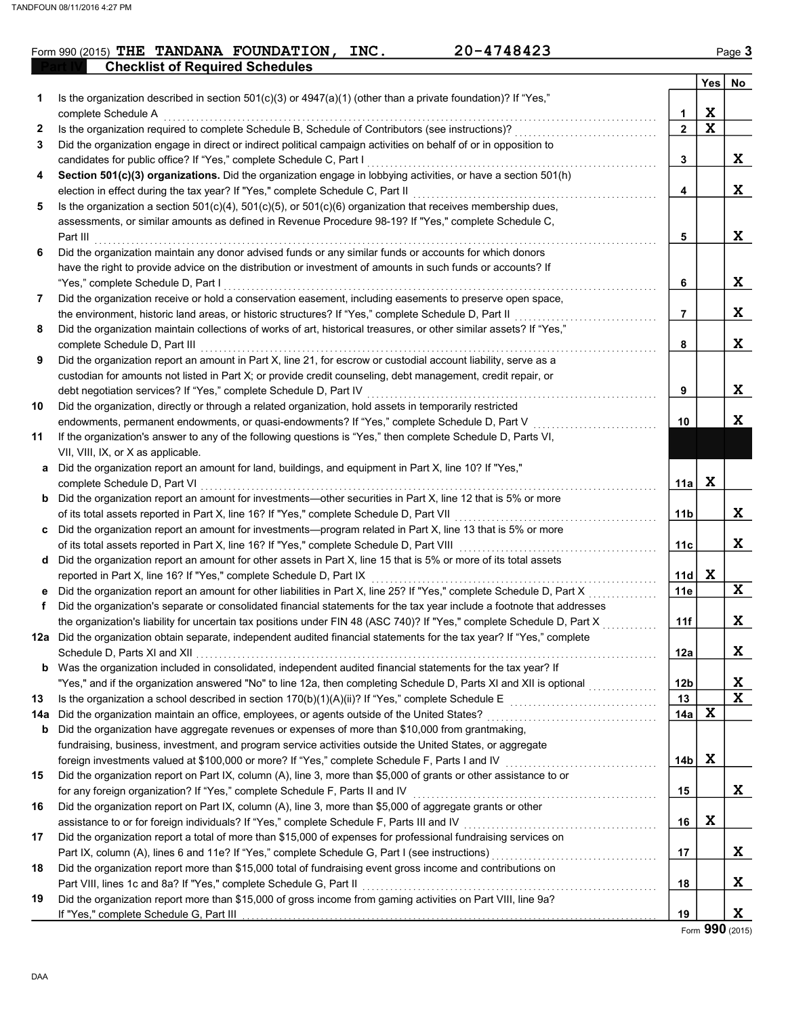#### **Checklist of Required Schedules Form 990 (2015) THE TANDANA FOUNDATION, INC. 20-4748423** Page 3

|     |                                                                                                                                                   |              | Yes         | No |
|-----|---------------------------------------------------------------------------------------------------------------------------------------------------|--------------|-------------|----|
| 1   | Is the organization described in section $501(c)(3)$ or $4947(a)(1)$ (other than a private foundation)? If "Yes,"                                 |              |             |    |
|     | complete Schedule A                                                                                                                               | 1            | X           |    |
| 2   | Is the organization required to complete Schedule B, Schedule of Contributors (see instructions)?                                                 | $\mathbf{2}$ | $\mathbf x$ |    |
| 3   | Did the organization engage in direct or indirect political campaign activities on behalf of or in opposition to                                  |              |             |    |
|     | candidates for public office? If "Yes," complete Schedule C, Part I                                                                               | 3            |             | X  |
| 4   | Section 501(c)(3) organizations. Did the organization engage in lobbying activities, or have a section 501(h)                                     |              |             |    |
|     | election in effect during the tax year? If "Yes," complete Schedule C, Part II                                                                    | 4            |             | X  |
| 5   | Is the organization a section $501(c)(4)$ , $501(c)(5)$ , or $501(c)(6)$ organization that receives membership dues,                              |              |             |    |
|     | assessments, or similar amounts as defined in Revenue Procedure 98-19? If "Yes," complete Schedule C,                                             |              |             |    |
|     | Part III                                                                                                                                          | 5            |             | X  |
| 6   | Did the organization maintain any donor advised funds or any similar funds or accounts for which donors                                           |              |             |    |
|     | have the right to provide advice on the distribution or investment of amounts in such funds or accounts? If<br>"Yes," complete Schedule D, Part I | 6            |             | X  |
| 7   | Did the organization receive or hold a conservation easement, including easements to preserve open space,                                         |              |             |    |
|     | the environment, historic land areas, or historic structures? If "Yes," complete Schedule D, Part II                                              | 7            |             | X  |
| 8   | Did the organization maintain collections of works of art, historical treasures, or other similar assets? If "Yes,"                               |              |             |    |
|     | complete Schedule D, Part III                                                                                                                     | 8            |             | X  |
| 9   | Did the organization report an amount in Part X, line 21, for escrow or custodial account liability, serve as a                                   |              |             |    |
|     | custodian for amounts not listed in Part X; or provide credit counseling, debt management, credit repair, or                                      |              |             |    |
|     | debt negotiation services? If "Yes," complete Schedule D, Part IV                                                                                 | 9            |             | X  |
| 10  | Did the organization, directly or through a related organization, hold assets in temporarily restricted                                           |              |             |    |
|     | endowments, permanent endowments, or quasi-endowments? If "Yes," complete Schedule D, Part V                                                      | 10           |             | X  |
| 11  | If the organization's answer to any of the following questions is "Yes," then complete Schedule D, Parts VI,                                      |              |             |    |
|     | VII, VIII, IX, or X as applicable.                                                                                                                |              |             |    |
| a   | Did the organization report an amount for land, buildings, and equipment in Part X, line 10? If "Yes,"                                            |              |             |    |
|     | complete Schedule D, Part VI                                                                                                                      | 11a          | X           |    |
|     | <b>b</b> Did the organization report an amount for investments—other securities in Part X, line 12 that is 5% or more                             |              |             |    |
|     | of its total assets reported in Part X, line 16? If "Yes," complete Schedule D, Part VII                                                          | 11b          |             | X  |
| C   | Did the organization report an amount for investments—program related in Part X, line 13 that is 5% or more                                       |              |             |    |
|     | of its total assets reported in Part X, line 16? If "Yes," complete Schedule D, Part VIII                                                         | 11c          |             | X  |
| d   | Did the organization report an amount for other assets in Part X, line 15 that is 5% or more of its total assets                                  |              |             |    |
|     | reported in Part X, line 16? If "Yes," complete Schedule D, Part IX                                                                               | 11d          | X           |    |
| е   | Did the organization report an amount for other liabilities in Part X, line 25? If "Yes," complete Schedule D, Part X                             | 11e          |             | X  |
| f.  | Did the organization's separate or consolidated financial statements for the tax year include a footnote that addresses                           |              |             |    |
|     | the organization's liability for uncertain tax positions under FIN 48 (ASC 740)? If "Yes," complete Schedule D, Part X                            | 11f          |             | X  |
|     | 12a Did the organization obtain separate, independent audited financial statements for the tax year? If "Yes," complete                           |              |             |    |
|     | Schedule D. Parts XI and XII                                                                                                                      | 12a          |             | X  |
|     | <b>b</b> Was the organization included in consolidated, independent audited financial statements for the tax year? If                             |              |             |    |
|     | "Yes," and if the organization answered "No" to line 12a, then completing Schedule D, Parts XI and XII is optional                                | 12b          |             | X  |
| 13  |                                                                                                                                                   | 13           |             | X  |
| 14a | Did the organization maintain an office, employees, or agents outside of the United States?                                                       | 14a          | X           |    |
| b   | Did the organization have aggregate revenues or expenses of more than \$10,000 from grantmaking,                                                  |              |             |    |
|     | fundraising, business, investment, and program service activities outside the United States, or aggregate                                         |              |             |    |
|     | foreign investments valued at \$100,000 or more? If "Yes," complete Schedule F, Parts I and IV [[[[[[[[[[[[[[[                                    | 14b          | X           |    |
| 15  | Did the organization report on Part IX, column (A), line 3, more than \$5,000 of grants or other assistance to or                                 |              |             |    |
|     | for any foreign organization? If "Yes," complete Schedule F, Parts II and IV [[[[[[[[[[[[[[[[[[[[[[[[[[[[[[[[                                     | 15           |             | X. |
| 16  | Did the organization report on Part IX, column (A), line 3, more than \$5,000 of aggregate grants or other                                        |              |             |    |
|     | assistance to or for foreign individuals? If "Yes," complete Schedule F, Parts III and IV [[[[[[[[[[[[[[[[[[[                                     | 16           | X           |    |
| 17  | Did the organization report a total of more than \$15,000 of expenses for professional fundraising services on                                    |              |             |    |
|     |                                                                                                                                                   | 17           |             | X  |
| 18  | Did the organization report more than \$15,000 total of fundraising event gross income and contributions on                                       |              |             |    |
|     | Part VIII, lines 1c and 8a? If "Yes," complete Schedule G, Part II                                                                                | 18           |             | X. |
| 19  | Did the organization report more than \$15,000 of gross income from gaming activities on Part VIII, line 9a?                                      |              |             |    |
|     |                                                                                                                                                   | 19           |             | X  |

Form **990** (2015)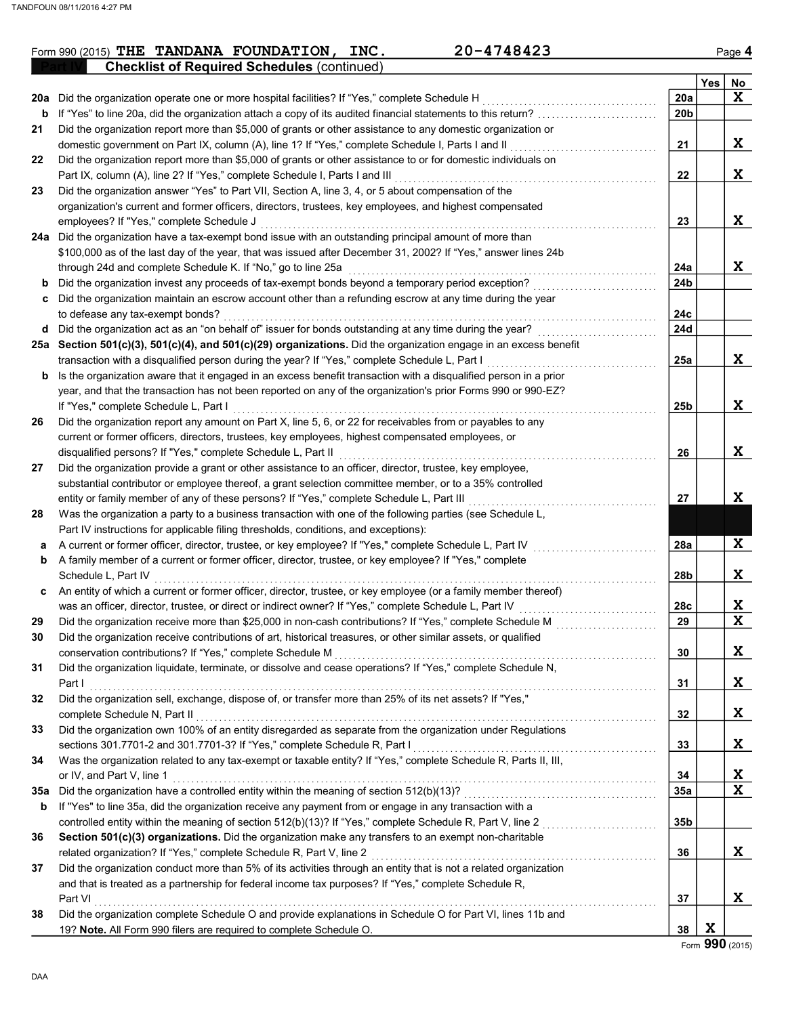|     | 20-4748423<br>Form 990 (2015) THE TANDANA FOUNDATION, INC.                                                                                                                                                        |                 |     | Page 4                  |
|-----|-------------------------------------------------------------------------------------------------------------------------------------------------------------------------------------------------------------------|-----------------|-----|-------------------------|
|     | <b>Checklist of Required Schedules (continued)</b>                                                                                                                                                                |                 |     |                         |
|     |                                                                                                                                                                                                                   |                 | Yes | No                      |
|     | 20a Did the organization operate one or more hospital facilities? If "Yes," complete Schedule H                                                                                                                   | 20a             |     | X                       |
| b   | If "Yes" to line 20a, did the organization attach a copy of its audited financial statements to this return?                                                                                                      | 20 <sub>b</sub> |     |                         |
| 21  | Did the organization report more than \$5,000 of grants or other assistance to any domestic organization or                                                                                                       |                 |     |                         |
|     | domestic government on Part IX, column (A), line 1? If "Yes," complete Schedule I, Parts I and II                                                                                                                 | 21              |     | X                       |
| 22  | Did the organization report more than \$5,000 of grants or other assistance to or for domestic individuals on                                                                                                     |                 |     |                         |
|     | Part IX, column (A), line 2? If "Yes," complete Schedule I, Parts I and III                                                                                                                                       | 22              |     | X                       |
| 23  | Did the organization answer "Yes" to Part VII, Section A, line 3, 4, or 5 about compensation of the                                                                                                               |                 |     |                         |
|     | organization's current and former officers, directors, trustees, key employees, and highest compensated                                                                                                           |                 |     |                         |
|     | employees? If "Yes," complete Schedule J                                                                                                                                                                          | 23              |     | X                       |
|     | 24a Did the organization have a tax-exempt bond issue with an outstanding principal amount of more than                                                                                                           |                 |     |                         |
|     | \$100,000 as of the last day of the year, that was issued after December 31, 2002? If "Yes," answer lines 24b                                                                                                     |                 |     |                         |
|     | through 24d and complete Schedule K. If "No," go to line 25a                                                                                                                                                      | 24a             |     | X                       |
| b   | Did the organization invest any proceeds of tax-exempt bonds beyond a temporary period exception?                                                                                                                 | 24 <sub>b</sub> |     |                         |
| с   | Did the organization maintain an escrow account other than a refunding escrow at any time during the year                                                                                                         |                 |     |                         |
|     | to defease any tax-exempt bonds?                                                                                                                                                                                  | 24c             |     |                         |
| d   | Did the organization act as an "on behalf of" issuer for bonds outstanding at any time during the year?                                                                                                           | 24d             |     |                         |
|     | 25a Section 501(c)(3), 501(c)(4), and 501(c)(29) organizations. Did the organization engage in an excess benefit                                                                                                  |                 |     |                         |
|     | transaction with a disqualified person during the year? If "Yes," complete Schedule L, Part I<br>Is the organization aware that it engaged in an excess benefit transaction with a disqualified person in a prior | 25a             |     | X                       |
| b   | year, and that the transaction has not been reported on any of the organization's prior Forms 990 or 990-EZ?                                                                                                      |                 |     |                         |
|     | If "Yes," complete Schedule L, Part I                                                                                                                                                                             | 25 <sub>b</sub> |     | X                       |
| 26  | Did the organization report any amount on Part X, line 5, 6, or 22 for receivables from or payables to any                                                                                                        |                 |     |                         |
|     | current or former officers, directors, trustees, key employees, highest compensated employees, or                                                                                                                 |                 |     |                         |
|     | disqualified persons? If "Yes," complete Schedule L, Part II                                                                                                                                                      | 26              |     | X                       |
| 27  | Did the organization provide a grant or other assistance to an officer, director, trustee, key employee,                                                                                                          |                 |     |                         |
|     | substantial contributor or employee thereof, a grant selection committee member, or to a 35% controlled                                                                                                           |                 |     |                         |
|     | entity or family member of any of these persons? If "Yes," complete Schedule L, Part III                                                                                                                          | 27              |     | X                       |
| 28  | Was the organization a party to a business transaction with one of the following parties (see Schedule L,                                                                                                         |                 |     |                         |
|     | Part IV instructions for applicable filing thresholds, conditions, and exceptions):                                                                                                                               |                 |     |                         |
| а   | A current or former officer, director, trustee, or key employee? If "Yes," complete Schedule L, Part IV                                                                                                           | 28a             |     | X                       |
| b   | A family member of a current or former officer, director, trustee, or key employee? If "Yes," complete                                                                                                            |                 |     |                         |
|     | Schedule L, Part IV                                                                                                                                                                                               | 28b             |     | X                       |
| c   | An entity of which a current or former officer, director, trustee, or key employee (or a family member thereof)                                                                                                   |                 |     |                         |
|     | was an officer, director, trustee, or direct or indirect owner? If "Yes," complete Schedule L, Part IV                                                                                                            | 28c             |     | X                       |
| 29  | Did the organization receive more than \$25,000 in non-cash contributions? If "Yes," complete Schedule M                                                                                                          | 29              |     | $\overline{\mathbf{x}}$ |
| 30  | Did the organization receive contributions of art, historical treasures, or other similar assets, or qualified                                                                                                    |                 |     |                         |
|     | conservation contributions? If "Yes," complete Schedule M                                                                                                                                                         | 30              |     | X                       |
| 31  | Did the organization liquidate, terminate, or dissolve and cease operations? If "Yes," complete Schedule N,                                                                                                       |                 |     |                         |
|     | Part I                                                                                                                                                                                                            | 31              |     | X                       |
| 32  | Did the organization sell, exchange, dispose of, or transfer more than 25% of its net assets? If "Yes,"                                                                                                           |                 |     |                         |
|     | complete Schedule N, Part II                                                                                                                                                                                      | 32              |     | X                       |
| 33  | Did the organization own 100% of an entity disregarded as separate from the organization under Regulations                                                                                                        |                 |     |                         |
|     | sections 301.7701-2 and 301.7701-3? If "Yes," complete Schedule R, Part I                                                                                                                                         | 33              |     | X                       |
| 34  | Was the organization related to any tax-exempt or taxable entity? If "Yes," complete Schedule R, Parts II, III,                                                                                                   |                 |     |                         |
|     | or IV, and Part V, line 1                                                                                                                                                                                         | 34              |     | X                       |
| 35a | Did the organization have a controlled entity within the meaning of section 512(b)(13)?                                                                                                                           | 35a             |     | X                       |
| b   | If "Yes" to line 35a, did the organization receive any payment from or engage in any transaction with a                                                                                                           |                 |     |                         |
|     | controlled entity within the meaning of section 512(b)(13)? If "Yes," complete Schedule R, Part V, line 2                                                                                                         | 35b             |     |                         |
| 36  | Section 501(c)(3) organizations. Did the organization make any transfers to an exempt non-charitable                                                                                                              |                 |     |                         |
|     | related organization? If "Yes," complete Schedule R, Part V, line 2                                                                                                                                               | 36              |     | X                       |
| 37  | Did the organization conduct more than 5% of its activities through an entity that is not a related organization                                                                                                  |                 |     |                         |
|     | and that is treated as a partnership for federal income tax purposes? If "Yes," complete Schedule R,                                                                                                              |                 |     |                         |
|     | Part VI                                                                                                                                                                                                           | 37              |     | X                       |
| 38  | Did the organization complete Schedule O and provide explanations in Schedule O for Part VI, lines 11b and                                                                                                        |                 |     |                         |
|     | 19? Note. All Form 990 filers are required to complete Schedule O.                                                                                                                                                | 38              | X   |                         |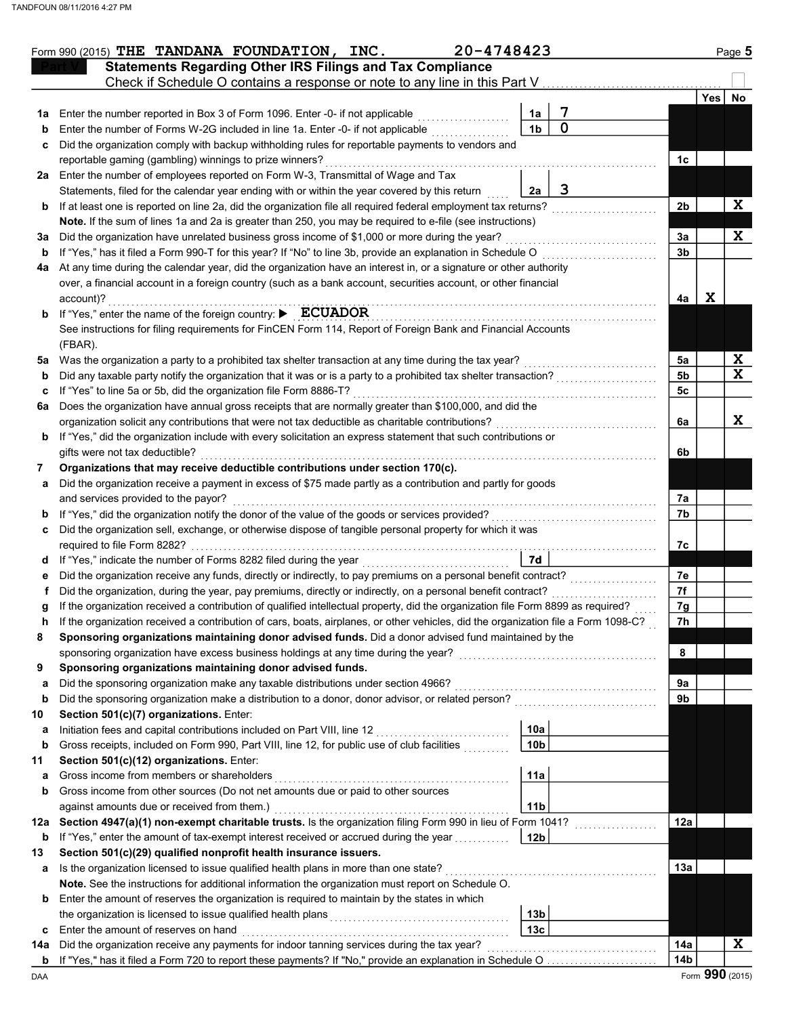|             | 20-4748423<br>Form 990 (2015) THE TANDANA FOUNDATION, INC.                                                                                                                                                                  |                 |                     |                 |                 | Page 5 |
|-------------|-----------------------------------------------------------------------------------------------------------------------------------------------------------------------------------------------------------------------------|-----------------|---------------------|-----------------|-----------------|--------|
|             | <b>Statements Regarding Other IRS Filings and Tax Compliance</b>                                                                                                                                                            |                 |                     |                 |                 |        |
|             | Check if Schedule O contains a response or note to any line in this Part V                                                                                                                                                  |                 |                     |                 |                 |        |
|             |                                                                                                                                                                                                                             |                 |                     |                 | Yes No          |        |
| 1a          | Enter the number reported in Box 3 of Form 1096. Enter -0- if not applicable                                                                                                                                                | 1a              | 7<br>$\overline{0}$ |                 |                 |        |
| b           | Enter the number of Forms W-2G included in line 1a. Enter -0- if not applicable                                                                                                                                             | 1 <sub>b</sub>  |                     |                 |                 |        |
| c           | Did the organization comply with backup withholding rules for reportable payments to vendors and                                                                                                                            |                 |                     |                 |                 |        |
|             | reportable gaming (gambling) winnings to prize winners?                                                                                                                                                                     |                 |                     | 1 <sub>c</sub>  |                 |        |
| 2a          | Enter the number of employees reported on Form W-3, Transmittal of Wage and Tax                                                                                                                                             |                 | 3                   |                 |                 |        |
|             | Statements, filed for the calendar year ending with or within the year covered by this return                                                                                                                               | 2a              |                     | 2 <sub>b</sub>  |                 | X      |
| b           | If at least one is reported on line 2a, did the organization file all required federal employment tax returns?<br>Note. If the sum of lines 1a and 2a is greater than 250, you may be required to e-file (see instructions) |                 |                     |                 |                 |        |
| За          | Did the organization have unrelated business gross income of \$1,000 or more during the year?                                                                                                                               |                 |                     | 3a              |                 | X      |
| b           | If "Yes," has it filed a Form 990-T for this year? If "No" to line 3b, provide an explanation in Schedule O                                                                                                                 |                 |                     | 3b              |                 |        |
| 4a          | At any time during the calendar year, did the organization have an interest in, or a signature or other authority                                                                                                           |                 |                     |                 |                 |        |
|             | over, a financial account in a foreign country (such as a bank account, securities account, or other financial                                                                                                              |                 |                     |                 |                 |        |
|             | account)?                                                                                                                                                                                                                   |                 |                     | 4a              | $\mathbf x$     |        |
| b           | If "Yes," enter the name of the foreign country: ▶ ECUADOR                                                                                                                                                                  |                 |                     |                 |                 |        |
|             | See instructions for filing requirements for FinCEN Form 114, Report of Foreign Bank and Financial Accounts                                                                                                                 |                 |                     |                 |                 |        |
|             | (FBAR).                                                                                                                                                                                                                     |                 |                     |                 |                 |        |
| 5a          | Was the organization a party to a prohibited tax shelter transaction at any time during the tax year?                                                                                                                       |                 |                     | 5a              |                 | X      |
| b           | Did any taxable party notify the organization that it was or is a party to a prohibited tax shelter transaction?                                                                                                            |                 |                     | 5b              |                 | X      |
| c           | If "Yes" to line 5a or 5b, did the organization file Form 8886-T?                                                                                                                                                           |                 |                     | 5c              |                 |        |
| 6а          | Does the organization have annual gross receipts that are normally greater than \$100,000, and did the                                                                                                                      |                 |                     |                 |                 |        |
|             | organization solicit any contributions that were not tax deductible as charitable contributions?                                                                                                                            |                 |                     | 6a              |                 | X      |
| b           | If "Yes," did the organization include with every solicitation an express statement that such contributions or                                                                                                              |                 |                     |                 |                 |        |
|             | gifts were not tax deductible?                                                                                                                                                                                              |                 |                     | 6 <sub>b</sub>  |                 |        |
| 7           | Organizations that may receive deductible contributions under section 170(c).                                                                                                                                               |                 |                     |                 |                 |        |
| a           | Did the organization receive a payment in excess of \$75 made partly as a contribution and partly for goods                                                                                                                 |                 |                     |                 |                 |        |
|             | and services provided to the payor?                                                                                                                                                                                         |                 |                     | 7a              |                 |        |
| b           | If "Yes," did the organization notify the donor of the value of the goods or services provided?                                                                                                                             |                 |                     | 7b              |                 |        |
| c           | Did the organization sell, exchange, or otherwise dispose of tangible personal property for which it was<br>required to file Form 8282?                                                                                     |                 |                     | 7c              |                 |        |
| d           | If "Yes," indicate the number of Forms 8282 filed during the year                                                                                                                                                           | 7d              |                     |                 |                 |        |
| е           | Did the organization receive any funds, directly or indirectly, to pay premiums on a personal benefit contract?                                                                                                             |                 |                     | 7e              |                 |        |
|             | Did the organization, during the year, pay premiums, directly or indirectly, on a personal benefit contract?                                                                                                                |                 |                     | 7f              |                 |        |
|             | If the organization received a contribution of qualified intellectual property, did the organization file Form 8899 as required?                                                                                            |                 |                     | 7g              |                 |        |
|             | If the organization received a contribution of cars, boats, airplanes, or other vehicles, did the organization file a Form 1098-C?                                                                                          |                 |                     | 7h              |                 |        |
| 8           | Sponsoring organizations maintaining donor advised funds. Did a donor advised fund maintained by the                                                                                                                        |                 |                     |                 |                 |        |
|             | sponsoring organization have excess business holdings at any time during the year?                                                                                                                                          |                 |                     | 8               |                 |        |
| 9           | Sponsoring organizations maintaining donor advised funds.                                                                                                                                                                   |                 |                     |                 |                 |        |
| a           | Did the sponsoring organization make any taxable distributions under section 4966?                                                                                                                                          |                 |                     | 9а              |                 |        |
| b           | Did the sponsoring organization make a distribution to a donor, donor advisor, or related person?                                                                                                                           |                 |                     | 9b              |                 |        |
| 10          | Section 501(c)(7) organizations. Enter:                                                                                                                                                                                     |                 |                     |                 |                 |        |
| а           | Initiation fees and capital contributions included on Part VIII, line 12                                                                                                                                                    | 10a             |                     |                 |                 |        |
| b           | Gross receipts, included on Form 990, Part VIII, line 12, for public use of club facilities                                                                                                                                 | 10 <sub>b</sub> |                     |                 |                 |        |
| 11          | Section 501(c)(12) organizations. Enter:                                                                                                                                                                                    |                 |                     |                 |                 |        |
| а           | Gross income from members or shareholders                                                                                                                                                                                   | 11a             |                     |                 |                 |        |
| b           | Gross income from other sources (Do not net amounts due or paid to other sources                                                                                                                                            | 11 <sub>b</sub> |                     |                 |                 |        |
| 12a         | against amounts due or received from them.)<br>Section 4947(a)(1) non-exempt charitable trusts. Is the organization filing Form 990 in lieu of Form 1041?                                                                   |                 |                     | 12a             |                 |        |
| b           | If "Yes," enter the amount of tax-exempt interest received or accrued during the year                                                                                                                                       | 12 <sub>b</sub> |                     |                 |                 |        |
| 13          | Section 501(c)(29) qualified nonprofit health insurance issuers.                                                                                                                                                            |                 |                     |                 |                 |        |
| а           | Is the organization licensed to issue qualified health plans in more than one state?                                                                                                                                        |                 |                     | 13a             |                 |        |
|             | Note. See the instructions for additional information the organization must report on Schedule O.                                                                                                                           |                 |                     |                 |                 |        |
| b           | Enter the amount of reserves the organization is required to maintain by the states in which                                                                                                                                |                 |                     |                 |                 |        |
|             | the organization is licensed to issue qualified health plans                                                                                                                                                                | 13 <sub>b</sub> |                     |                 |                 |        |
| c           | Enter the amount of reserves on hand                                                                                                                                                                                        | 13 <sub>c</sub> |                     |                 |                 |        |
| 14a         | Did the organization receive any payments for indoor tanning services during the tax year?                                                                                                                                  |                 |                     | 14a             |                 | X      |
| $\mathbf b$ | If "Yes," has it filed a Form 720 to report these payments? If "No," provide an explanation in Schedule O                                                                                                                   |                 |                     | 14 <sub>b</sub> |                 |        |
| DAA         |                                                                                                                                                                                                                             |                 |                     |                 | Form 990 (2015) |        |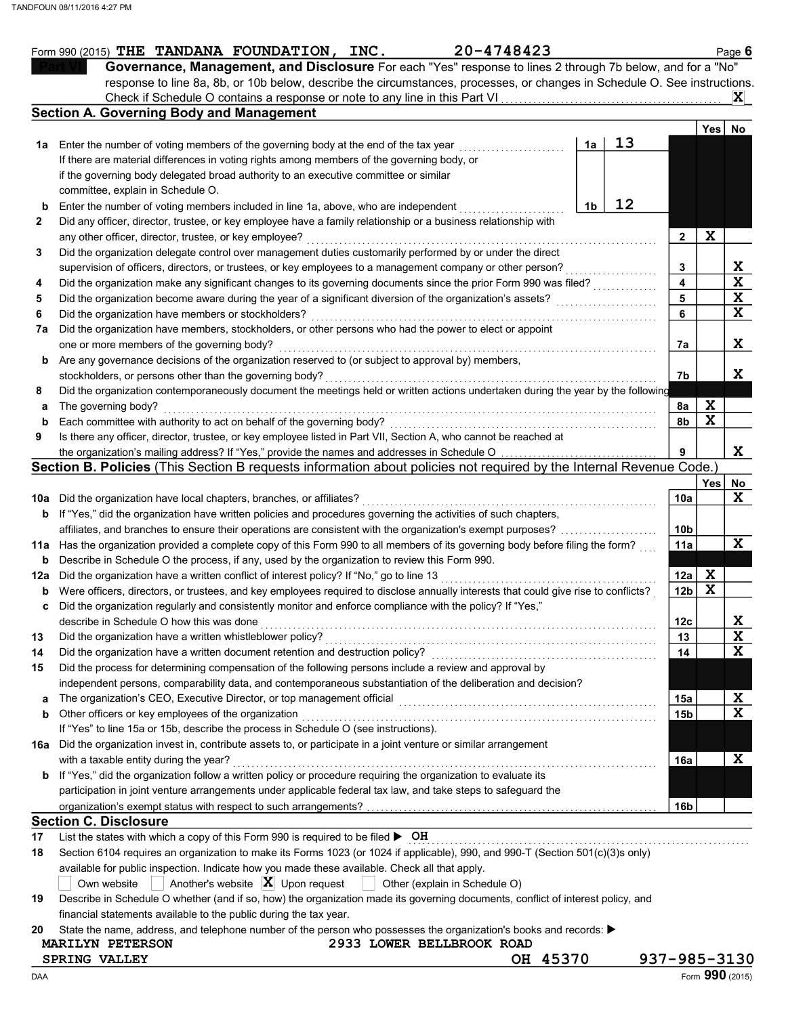|        | Governance, Management, and Disclosure For each "Yes" response to lines 2 through 7b below, and for a "No"<br>response to line 8a, 8b, or 10b below, describe the circumstances, processes, or changes in Schedule O. See instructions. |                |    |                 |     |                         |
|--------|-----------------------------------------------------------------------------------------------------------------------------------------------------------------------------------------------------------------------------------------|----------------|----|-----------------|-----|-------------------------|
|        | Check if Schedule O contains a response or note to any line in this Part VI.                                                                                                                                                            |                |    |                 |     | <b>X</b>                |
|        | <b>Section A. Governing Body and Management</b>                                                                                                                                                                                         |                |    |                 |     |                         |
|        |                                                                                                                                                                                                                                         |                |    |                 |     | Yes No                  |
|        | 1a Enter the number of voting members of the governing body at the end of the tax year                                                                                                                                                  | 1a             | 13 |                 |     |                         |
|        | If there are material differences in voting rights among members of the governing body, or                                                                                                                                              |                |    |                 |     |                         |
|        | if the governing body delegated broad authority to an executive committee or similar                                                                                                                                                    |                |    |                 |     |                         |
|        | committee, explain in Schedule O.                                                                                                                                                                                                       |                |    |                 |     |                         |
| b      | Enter the number of voting members included in line 1a, above, who are independent                                                                                                                                                      | 1 <sub>b</sub> | 12 |                 |     |                         |
| 2      | Did any officer, director, trustee, or key employee have a family relationship or a business relationship with                                                                                                                          |                |    |                 |     |                         |
|        | any other officer, director, trustee, or key employee?                                                                                                                                                                                  |                |    | 2               | X   |                         |
| 3      | Did the organization delegate control over management duties customarily performed by or under the direct                                                                                                                               |                |    |                 |     |                         |
|        | supervision of officers, directors, or trustees, or key employees to a management company or other person?                                                                                                                              |                |    | 3<br>4          |     | X<br>X                  |
| 4      | Did the organization make any significant changes to its governing documents since the prior Form 990 was filed?                                                                                                                        |                |    |                 |     | X                       |
| 5      | Did the organization become aware during the year of a significant diversion of the organization's assets?                                                                                                                              |                |    | 5<br>6          |     | $\mathbf x$             |
| 6      | Did the organization have members or stockholders?                                                                                                                                                                                      |                |    |                 |     |                         |
| 7a     | Did the organization have members, stockholders, or other persons who had the power to elect or appoint                                                                                                                                 |                |    |                 |     | X                       |
|        | one or more members of the governing body?                                                                                                                                                                                              |                |    | 7a              |     |                         |
| b      | Are any governance decisions of the organization reserved to (or subject to approval by) members,<br>stockholders, or persons other than the governing body?                                                                            |                |    | 7b              |     | X                       |
|        | Did the organization contemporaneously document the meetings held or written actions undertaken during the year by the following                                                                                                        |                |    |                 |     |                         |
| 8      | The governing body?                                                                                                                                                                                                                     |                |    | 8a              | X   |                         |
| а<br>b | Each committee with authority to act on behalf of the governing body?                                                                                                                                                                   |                |    | 8b              | X   |                         |
| 9      | Is there any officer, director, trustee, or key employee listed in Part VII, Section A, who cannot be reached at                                                                                                                        |                |    |                 |     |                         |
|        | the organization's mailing address? If "Yes," provide the names and addresses in Schedule O                                                                                                                                             |                |    | 9               |     | X                       |
|        | Section B. Policies (This Section B requests information about policies not required by the Internal Revenue Code.)                                                                                                                     |                |    |                 |     |                         |
|        |                                                                                                                                                                                                                                         |                |    |                 | Yes | No                      |
|        | 10a Did the organization have local chapters, branches, or affiliates?                                                                                                                                                                  |                |    | 10a             |     | $\mathbf x$             |
| b      | If "Yes," did the organization have written policies and procedures governing the activities of such chapters,                                                                                                                          |                |    |                 |     |                         |
|        | affiliates, and branches to ensure their operations are consistent with the organization's exempt purposes?                                                                                                                             |                |    | 10 <sub>b</sub> |     |                         |
|        | 11a Has the organization provided a complete copy of this Form 990 to all members of its governing body before filing the form?                                                                                                         |                |    | 11a             |     | X                       |
| b      | Describe in Schedule O the process, if any, used by the organization to review this Form 990.                                                                                                                                           |                |    |                 |     |                         |
| 12a    | Did the organization have a written conflict of interest policy? If "No," go to line 13                                                                                                                                                 |                |    | 12a             | X   |                         |
| b      | Were officers, directors, or trustees, and key employees required to disclose annually interests that could give rise to conflicts?                                                                                                     |                |    | 12 <sub>b</sub> | X   |                         |
| c      | Did the organization regularly and consistently monitor and enforce compliance with the policy? If "Yes,"                                                                                                                               |                |    |                 |     |                         |
|        | describe in Schedule O how this was done                                                                                                                                                                                                |                |    | 12c             |     | X                       |
|        | Did the organization have a written whistleblower policy?                                                                                                                                                                               |                |    | 13              |     | $\overline{\mathbf{x}}$ |
| 14     | Did the organization have a written document retention and destruction policy?                                                                                                                                                          |                |    | 14              |     | $\mathbf x$             |
| 15     | Did the process for determining compensation of the following persons include a review and approval by                                                                                                                                  |                |    |                 |     |                         |
|        | independent persons, comparability data, and contemporaneous substantiation of the deliberation and decision?                                                                                                                           |                |    |                 |     |                         |
| a      | The organization's CEO, Executive Director, or top management official                                                                                                                                                                  |                |    | 15a             |     | X                       |
| b      | Other officers or key employees of the organization                                                                                                                                                                                     |                |    | 15 <sub>b</sub> |     | $\mathbf x$             |
|        | If "Yes" to line 15a or 15b, describe the process in Schedule O (see instructions).                                                                                                                                                     |                |    |                 |     |                         |
|        | 16a Did the organization invest in, contribute assets to, or participate in a joint venture or similar arrangement                                                                                                                      |                |    |                 |     |                         |
|        | with a taxable entity during the year?                                                                                                                                                                                                  |                |    | 16a             |     | X                       |
| b      | If "Yes," did the organization follow a written policy or procedure requiring the organization to evaluate its                                                                                                                          |                |    |                 |     |                         |
|        | participation in joint venture arrangements under applicable federal tax law, and take steps to safeguard the                                                                                                                           |                |    |                 |     |                         |
|        |                                                                                                                                                                                                                                         |                |    | 16b             |     |                         |
|        | <b>Section C. Disclosure</b>                                                                                                                                                                                                            |                |    |                 |     |                         |
| 17     | List the states with which a copy of this Form 990 is required to be filed $\triangleright$ OH                                                                                                                                          |                |    |                 |     |                         |
| 18     | Section 6104 requires an organization to make its Forms 1023 (or 1024 if applicable), 990, and 990-T (Section 501(c)(3)s only)                                                                                                          |                |    |                 |     |                         |
|        | available for public inspection. Indicate how you made these available. Check all that apply.                                                                                                                                           |                |    |                 |     |                         |
|        | Another's website $ \mathbf{X} $ Upon request<br>Other (explain in Schedule O)<br>Own website<br>$\mathcal{L}$                                                                                                                          |                |    |                 |     |                         |
| 19     | Describe in Schedule O whether (and if so, how) the organization made its governing documents, conflict of interest policy, and                                                                                                         |                |    |                 |     |                         |
| 20     | financial statements available to the public during the tax year.<br>State the name, address, and telephone number of the person who possesses the organization's books and records: ▶                                                  |                |    |                 |     |                         |
|        | 2933 LOWER BELLBROOK ROAD<br><b>MARILYN PETERSON</b>                                                                                                                                                                                    |                |    |                 |     |                         |

**SPRING VALLEY OH 45370 937-985-3130**

 $\blacksquare$   $\blacksquare$   $\blacksquare$   $\blacksquare$   $\blacksquare$   $\blacksquare$   $\blacksquare$   $\blacksquare$   $\blacksquare$   $\blacksquare$   $\blacksquare$   $\blacksquare$   $\blacksquare$   $\blacksquare$   $\blacksquare$   $\blacksquare$   $\blacksquare$   $\blacksquare$   $\blacksquare$   $\blacksquare$   $\blacksquare$   $\blacksquare$   $\blacksquare$   $\blacksquare$   $\blacksquare$   $\blacksquare$   $\blacksquare$   $\blacksquare$   $\blacksquare$   $\blacksquare$   $\blacksquare$   $\blacks$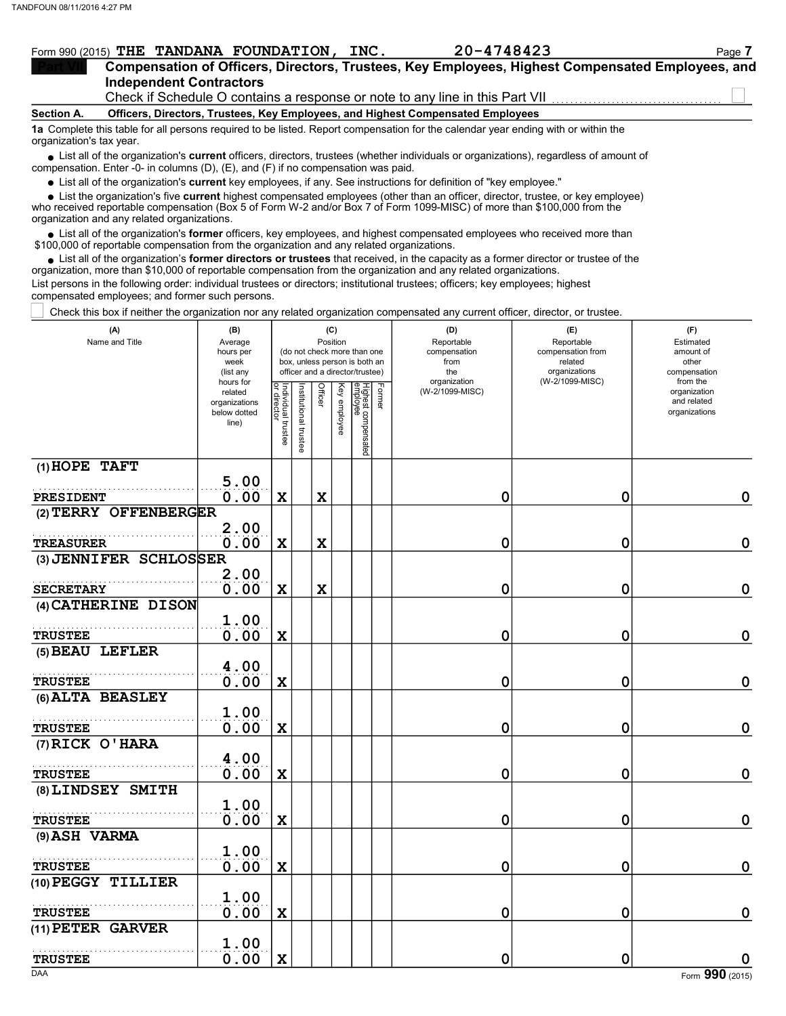|                          | Form 990 (2015) THE TANDANA FOUNDATION,<br>INC.                                                                                                                                                                                                             | 20-4748423 | Page 7 |
|--------------------------|-------------------------------------------------------------------------------------------------------------------------------------------------------------------------------------------------------------------------------------------------------------|------------|--------|
|                          | Compensation of Officers, Directors, Trustees, Key Employees, Highest Compensated Employees, and                                                                                                                                                            |            |        |
|                          | <b>Independent Contractors</b>                                                                                                                                                                                                                              |            |        |
|                          | Check if Schedule O contains a response or note to any line in this Part VII                                                                                                                                                                                |            |        |
| Section A.               | Officers, Directors, Trustees, Key Employees, and Highest Compensated Employees                                                                                                                                                                             |            |        |
| organization's tax year. | 1a Complete this table for all persons required to be listed. Report compensation for the calendar year ending with or within the                                                                                                                           |            |        |
|                          | • List all of the organization's current officers, directors, trustees (whether individuals or organizations), regardless of amount of<br>compensation. Enter -0- in columns (D), (E), and (F) if no compensation was paid.                                 |            |        |
|                          | • List all of the organization's current key employees, if any. See instructions for definition of "key employee."                                                                                                                                          |            |        |
|                          | • List the organization's five current highest compensated employees (other than an officer, director, trustee, or key employee)<br>who resolved repertable compensation (Pox 5 of Ferm W 2 and/or Pox 7 of Ferm 1000 MISC) of mere than \$100,000 from the |            |        |

who received reportable compensation (Box 5 of Form W-2 and/or Box 7 of Form 1099-MISC) of more than \$100,000 from the organization and any related organizations.

List all of the organization's **former** officers, key employees, and highest compensated employees who received more than ● List all of the organization's **former** officers, key employees, and highest compensate \$100,000 of reportable compensation from the organization and any related organizations.

• List all of the organization's **former directors or trustees** that received, in the capacity as a former director or trustee of the organization, more than \$10,000 of reportable compensation from the organization and any related organizations. List persons in the following order: individual trustees or directors; institutional trustees; officers; key employees; highest compensated employees; and former such persons.

 $\vert\,\,\vert$  Check this box if neither the organization nor any related organization compensated any current officer, director, or trustee.

| (A)<br>Name and Title              | (B)<br>Average<br>hours per<br>week<br>(list any<br>hours for |                                   | (C)<br>Position<br>(do not check more than one<br>box, unless person is both an<br>officer and a director/trustee) |             |              |                                 |        | (D)<br>Reportable<br>compensation<br>from<br>the<br>organization | (E)<br>Reportable<br>compensation from<br>related<br>organizations<br>(W-2/1099-MISC) | (F)<br>Estimated<br>amount of<br>other<br>compensation<br>from the |
|------------------------------------|---------------------------------------------------------------|-----------------------------------|--------------------------------------------------------------------------------------------------------------------|-------------|--------------|---------------------------------|--------|------------------------------------------------------------------|---------------------------------------------------------------------------------------|--------------------------------------------------------------------|
|                                    | related<br>organizations<br>below dotted<br>line)             | Individual trustee<br>or director | nstitutional trustee                                                                                               | Officer     | Key employee | Highest compensated<br>employee | Former | (W-2/1099-MISC)                                                  |                                                                                       | organization<br>and related<br>organizations                       |
| $(1)$ HOPE TAFT                    |                                                               |                                   |                                                                                                                    |             |              |                                 |        |                                                                  |                                                                                       |                                                                    |
| PRESIDENT                          | 5.00<br>0.00                                                  | $\mathbf x$                       |                                                                                                                    | $\mathbf x$ |              |                                 |        | $\mathbf 0$                                                      | 0                                                                                     | 0                                                                  |
| (2) TERRY OFFENBERGER              |                                                               |                                   |                                                                                                                    |             |              |                                 |        |                                                                  |                                                                                       |                                                                    |
|                                    | 2.00                                                          |                                   |                                                                                                                    |             |              |                                 |        |                                                                  |                                                                                       |                                                                    |
| <b>TREASURER</b>                   | 0.00                                                          | $\mathbf x$                       |                                                                                                                    | $\mathbf x$ |              |                                 |        | 0                                                                | 0                                                                                     | 0                                                                  |
| (3) JENNIFER SCHLOSSER             | 2.00                                                          |                                   |                                                                                                                    |             |              |                                 |        |                                                                  |                                                                                       |                                                                    |
| <b>SECRETARY</b>                   | 0.00                                                          | $\mathbf x$                       |                                                                                                                    | X           |              |                                 |        | 0                                                                | 0                                                                                     | 0                                                                  |
| (4) CATHERINE DISON                |                                                               |                                   |                                                                                                                    |             |              |                                 |        |                                                                  |                                                                                       |                                                                    |
|                                    | 1.00                                                          |                                   |                                                                                                                    |             |              |                                 |        |                                                                  |                                                                                       |                                                                    |
| <b>TRUSTEE</b>                     | 0.00                                                          | $\mathbf x$                       |                                                                                                                    |             |              |                                 |        | 0                                                                | 0                                                                                     | 0                                                                  |
| (5) BEAU LEFLER                    |                                                               |                                   |                                                                                                                    |             |              |                                 |        |                                                                  |                                                                                       |                                                                    |
|                                    | 4.00                                                          |                                   |                                                                                                                    |             |              |                                 |        |                                                                  |                                                                                       | $\mathbf 0$                                                        |
| <b>TRUSTEE</b><br>(6) ALTA BEASLEY | 0.00                                                          | $\mathbf x$                       |                                                                                                                    |             |              |                                 |        | 0                                                                | 0                                                                                     |                                                                    |
| <b>TRUSTEE</b>                     | 1.00<br>0.00                                                  | X                                 |                                                                                                                    |             |              |                                 |        | 0                                                                | 0                                                                                     | 0                                                                  |
| (7) RICK O'HARA                    |                                                               |                                   |                                                                                                                    |             |              |                                 |        |                                                                  |                                                                                       |                                                                    |
|                                    | 4.00                                                          |                                   |                                                                                                                    |             |              |                                 |        |                                                                  |                                                                                       |                                                                    |
| <b>TRUSTEE</b>                     | 0.00                                                          | $\mathbf x$                       |                                                                                                                    |             |              |                                 |        | 0                                                                | 0                                                                                     | 0                                                                  |
| (8) LINDSEY SMITH                  |                                                               |                                   |                                                                                                                    |             |              |                                 |        |                                                                  |                                                                                       |                                                                    |
| <b>TRUSTEE</b>                     | 1.00<br>0.00                                                  | $\mathbf x$                       |                                                                                                                    |             |              |                                 |        | 0                                                                | 0                                                                                     | $\mathbf 0$                                                        |
| (9) ASH VARMA                      |                                                               |                                   |                                                                                                                    |             |              |                                 |        |                                                                  |                                                                                       |                                                                    |
|                                    | 1.00                                                          |                                   |                                                                                                                    |             |              |                                 |        |                                                                  |                                                                                       |                                                                    |
| <b>TRUSTEE</b>                     | 0.00                                                          | $\mathbf x$                       |                                                                                                                    |             |              |                                 |        | 0                                                                | 0                                                                                     | 0                                                                  |
| (10) PEGGY TILLIER                 | 1.00                                                          |                                   |                                                                                                                    |             |              |                                 |        |                                                                  |                                                                                       |                                                                    |
| <b>TRUSTEE</b>                     | 0.00                                                          | $\mathbf x$                       |                                                                                                                    |             |              |                                 |        | 0                                                                | 0                                                                                     | 0                                                                  |
| (11) PETER GARVER                  |                                                               |                                   |                                                                                                                    |             |              |                                 |        |                                                                  |                                                                                       |                                                                    |
|                                    | 1.00                                                          |                                   |                                                                                                                    |             |              |                                 |        |                                                                  |                                                                                       |                                                                    |
| <b>TRUSTEE</b>                     | 0.00                                                          | $\mathbf x$                       |                                                                                                                    |             |              |                                 |        | 0                                                                | 0                                                                                     | 0                                                                  |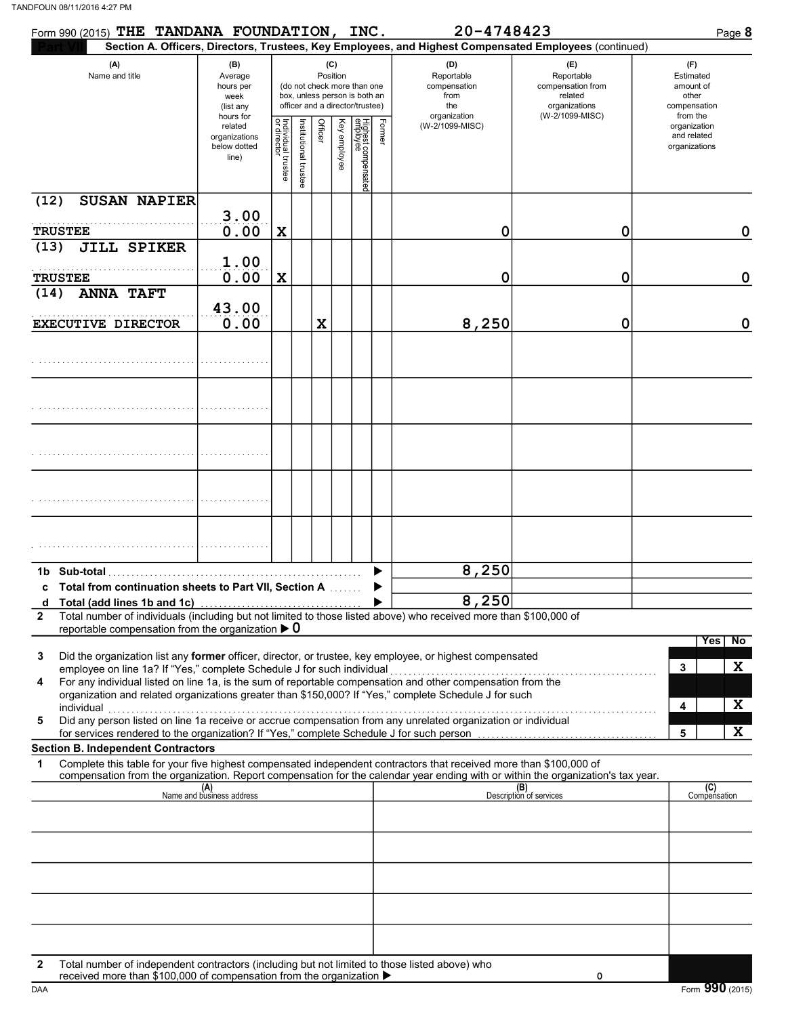| Form 990 (2015) THE TANDANA FOUNDATION, INC.                                                                                                                                                                                                                                                                                                                                                                                                                                                                                                                                                                                                         |                                                               |                                   |                       |         |                 |                                                                                                 |        | 20-4748423                                                                                             |                                                                                       | Page 8                                                             |
|------------------------------------------------------------------------------------------------------------------------------------------------------------------------------------------------------------------------------------------------------------------------------------------------------------------------------------------------------------------------------------------------------------------------------------------------------------------------------------------------------------------------------------------------------------------------------------------------------------------------------------------------------|---------------------------------------------------------------|-----------------------------------|-----------------------|---------|-----------------|-------------------------------------------------------------------------------------------------|--------|--------------------------------------------------------------------------------------------------------|---------------------------------------------------------------------------------------|--------------------------------------------------------------------|
|                                                                                                                                                                                                                                                                                                                                                                                                                                                                                                                                                                                                                                                      |                                                               |                                   |                       |         |                 |                                                                                                 |        | Section A. Officers, Directors, Trustees, Key Employees, and Highest Compensated Employees (continued) |                                                                                       |                                                                    |
| (A)<br>Name and title                                                                                                                                                                                                                                                                                                                                                                                                                                                                                                                                                                                                                                | (B)<br>Average<br>hours per<br>week<br>(list any<br>hours for |                                   |                       |         | (C)<br>Position | (do not check more than one<br>box, unless person is both an<br>officer and a director/trustee) |        | (D)<br>Reportable<br>compensation<br>from<br>the<br>organization                                       | (E)<br>Reportable<br>compensation from<br>related<br>organizations<br>(W-2/1099-MISC) | (F)<br>Estimated<br>amount of<br>other<br>compensation<br>from the |
|                                                                                                                                                                                                                                                                                                                                                                                                                                                                                                                                                                                                                                                      | related<br>organizations<br>below dotted<br>line)             | Individual trustee<br>or director | Institutional trustee | Officer | Key employee    | Highest compensated<br>employee                                                                 | Former | (W-2/1099-MISC)                                                                                        |                                                                                       | organization<br>and related<br>organizations                       |
| (12)<br><b>SUSAN NAPIER</b>                                                                                                                                                                                                                                                                                                                                                                                                                                                                                                                                                                                                                          |                                                               |                                   |                       |         |                 |                                                                                                 |        |                                                                                                        |                                                                                       |                                                                    |
| <b>TRUSTEE</b>                                                                                                                                                                                                                                                                                                                                                                                                                                                                                                                                                                                                                                       | 3.00<br>0.00                                                  | $\mathbf x$                       |                       |         |                 |                                                                                                 |        | 0                                                                                                      | 0                                                                                     | 0                                                                  |
| (13)<br><b>JILL SPIKER</b>                                                                                                                                                                                                                                                                                                                                                                                                                                                                                                                                                                                                                           |                                                               |                                   |                       |         |                 |                                                                                                 |        |                                                                                                        |                                                                                       |                                                                    |
| <b>TRUSTEE</b>                                                                                                                                                                                                                                                                                                                                                                                                                                                                                                                                                                                                                                       | 1.00<br>0.00                                                  | $\mathbf x$                       |                       |         |                 |                                                                                                 |        | 0                                                                                                      | 0                                                                                     | $\mathbf 0$                                                        |
| <b>ANNA TAFT</b><br>(14)                                                                                                                                                                                                                                                                                                                                                                                                                                                                                                                                                                                                                             |                                                               |                                   |                       |         |                 |                                                                                                 |        |                                                                                                        |                                                                                       |                                                                    |
| <b>EXECUTIVE DIRECTOR</b>                                                                                                                                                                                                                                                                                                                                                                                                                                                                                                                                                                                                                            | 43.00<br>0.00                                                 |                                   |                       | X       |                 |                                                                                                 |        | 8,250                                                                                                  | 0                                                                                     | $\mathbf 0$                                                        |
|                                                                                                                                                                                                                                                                                                                                                                                                                                                                                                                                                                                                                                                      |                                                               |                                   |                       |         |                 |                                                                                                 |        |                                                                                                        |                                                                                       |                                                                    |
|                                                                                                                                                                                                                                                                                                                                                                                                                                                                                                                                                                                                                                                      |                                                               |                                   |                       |         |                 |                                                                                                 |        |                                                                                                        |                                                                                       |                                                                    |
|                                                                                                                                                                                                                                                                                                                                                                                                                                                                                                                                                                                                                                                      |                                                               |                                   |                       |         |                 |                                                                                                 |        |                                                                                                        |                                                                                       |                                                                    |
|                                                                                                                                                                                                                                                                                                                                                                                                                                                                                                                                                                                                                                                      |                                                               |                                   |                       |         |                 |                                                                                                 |        |                                                                                                        |                                                                                       |                                                                    |
|                                                                                                                                                                                                                                                                                                                                                                                                                                                                                                                                                                                                                                                      |                                                               |                                   |                       |         |                 |                                                                                                 |        |                                                                                                        |                                                                                       |                                                                    |
| 1b Sub-total                                                                                                                                                                                                                                                                                                                                                                                                                                                                                                                                                                                                                                         |                                                               |                                   |                       |         |                 |                                                                                                 |        | 8,250                                                                                                  |                                                                                       |                                                                    |
| c Total from continuation sheets to Part VII, Section A<br>d Total (add lines 1b and 1c)                                                                                                                                                                                                                                                                                                                                                                                                                                                                                                                                                             |                                                               |                                   |                       |         |                 |                                                                                                 |        | 8,250                                                                                                  |                                                                                       |                                                                    |
| Total number of individuals (including but not limited to those listed above) who received more than \$100,000 of<br>$\mathbf{2}$<br>reportable compensation from the organization $\triangleright$ 0                                                                                                                                                                                                                                                                                                                                                                                                                                                |                                                               |                                   |                       |         |                 |                                                                                                 |        |                                                                                                        |                                                                                       |                                                                    |
| 3<br>Did the organization list any former officer, director, or trustee, key employee, or highest compensated<br>employee on line 1a? If "Yes," complete Schedule J for such individual<br>For any individual listed on line 1a, is the sum of reportable compensation and other compensation from the<br>4<br>organization and related organizations greater than \$150,000? If "Yes," complete Schedule J for such<br>individual<br>Did any person listed on line 1a receive or accrue compensation from any unrelated organization or individual<br>5<br>for services rendered to the organization? If "Yes," complete Schedule J for such person |                                                               |                                   |                       |         |                 |                                                                                                 |        |                                                                                                        |                                                                                       | Yes No<br>$\mathbf x$<br>3<br>X<br>4<br>$\mathbf x$<br>5           |
| <b>Section B. Independent Contractors</b>                                                                                                                                                                                                                                                                                                                                                                                                                                                                                                                                                                                                            |                                                               |                                   |                       |         |                 |                                                                                                 |        |                                                                                                        |                                                                                       |                                                                    |
| Complete this table for your five highest compensated independent contractors that received more than \$100,000 of<br>1<br>compensation from the organization. Report compensation for the calendar year ending with or within the organization's tax year.                                                                                                                                                                                                                                                                                                                                                                                          |                                                               |                                   |                       |         |                 |                                                                                                 |        |                                                                                                        |                                                                                       |                                                                    |
|                                                                                                                                                                                                                                                                                                                                                                                                                                                                                                                                                                                                                                                      | (A)<br>Name and business address                              |                                   |                       |         |                 |                                                                                                 |        |                                                                                                        | (B)<br>Description of services                                                        | (C)<br>Compensation                                                |
|                                                                                                                                                                                                                                                                                                                                                                                                                                                                                                                                                                                                                                                      |                                                               |                                   |                       |         |                 |                                                                                                 |        |                                                                                                        |                                                                                       |                                                                    |
|                                                                                                                                                                                                                                                                                                                                                                                                                                                                                                                                                                                                                                                      |                                                               |                                   |                       |         |                 |                                                                                                 |        |                                                                                                        |                                                                                       |                                                                    |
|                                                                                                                                                                                                                                                                                                                                                                                                                                                                                                                                                                                                                                                      |                                                               |                                   |                       |         |                 |                                                                                                 |        |                                                                                                        |                                                                                       |                                                                    |
| Total number of independent contractors (including but not limited to those listed above) who<br>2<br>received more than \$100,000 of compensation from the organization ▶                                                                                                                                                                                                                                                                                                                                                                                                                                                                           |                                                               |                                   |                       |         |                 |                                                                                                 |        |                                                                                                        | 0                                                                                     |                                                                    |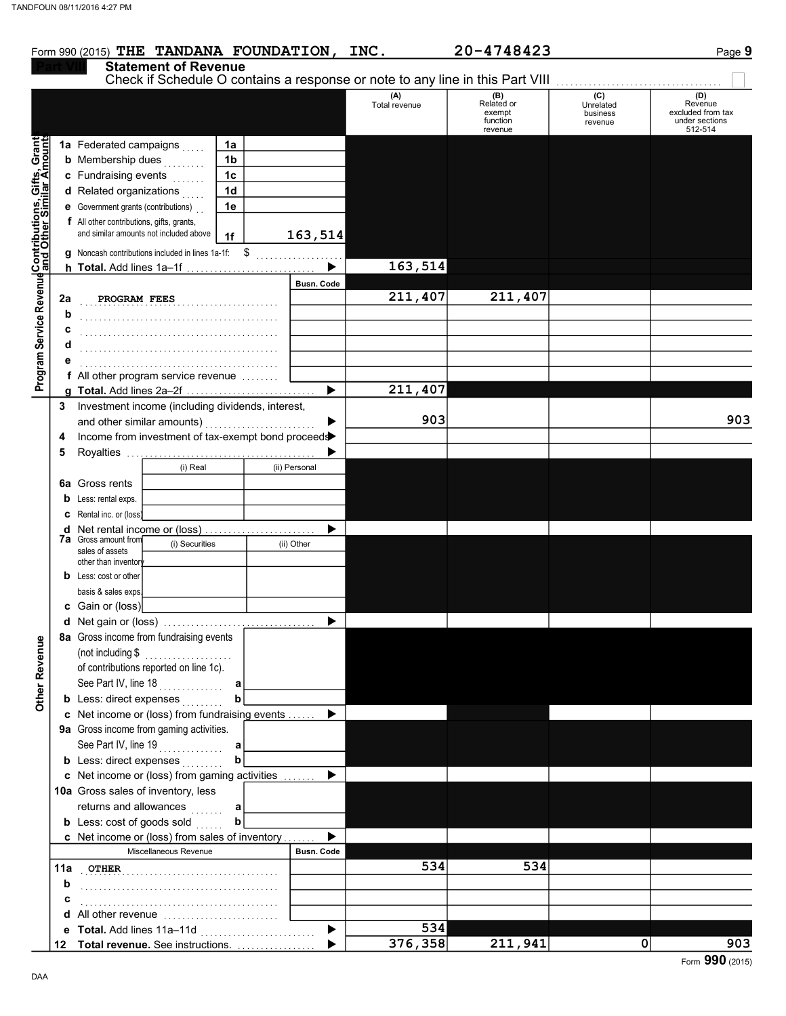|                                                                                                          |                                   | Form 990 (2015) THE TANDANA FOUNDATION, INC.                |                |  |                       |                      | 20-4748423                                         |                                         | Page 9                                                           |
|----------------------------------------------------------------------------------------------------------|-----------------------------------|-------------------------------------------------------------|----------------|--|-----------------------|----------------------|----------------------------------------------------|-----------------------------------------|------------------------------------------------------------------|
|                                                                                                          |                                   | <b>Statement of Revenue</b>                                 |                |  |                       |                      |                                                    |                                         |                                                                  |
|                                                                                                          |                                   |                                                             |                |  |                       |                      |                                                    |                                         |                                                                  |
|                                                                                                          |                                   |                                                             |                |  |                       | (A)<br>Total revenue | (B)<br>Related or<br>exempt<br>function<br>revenue | (C)<br>Unrelated<br>business<br>revenue | (D)<br>Revenue<br>excluded from tax<br>under sections<br>512-514 |
|                                                                                                          |                                   | 1a Federated campaigns                                      | 1a             |  |                       |                      |                                                    |                                         |                                                                  |
| Program Service Revenue Contributions, Gifts, Grant<br>Program Service Revenue and Other Similar Amounts |                                   | <b>b</b> Membership dues<br>1.1.1.1.1                       | 1 <sub>b</sub> |  |                       |                      |                                                    |                                         |                                                                  |
|                                                                                                          |                                   | c Fundraising events<br>.<br>.                              | 1 <sub>c</sub> |  |                       |                      |                                                    |                                         |                                                                  |
|                                                                                                          |                                   | d Related organizations                                     | 1 <sub>d</sub> |  |                       |                      |                                                    |                                         |                                                                  |
|                                                                                                          |                                   | <b>e</b> Government grants (contributions)                  | 1e             |  |                       |                      |                                                    |                                         |                                                                  |
|                                                                                                          |                                   | f All other contributions, gifts, grants,                   |                |  |                       |                      |                                                    |                                         |                                                                  |
|                                                                                                          |                                   | and similar amounts not included above                      | 1f             |  | 163,514               |                      |                                                    |                                         |                                                                  |
|                                                                                                          |                                   | g Noncash contributions included in lines 1a-1f: \$         |                |  |                       |                      |                                                    |                                         |                                                                  |
|                                                                                                          |                                   |                                                             |                |  |                       | 163,514              |                                                    |                                         |                                                                  |
|                                                                                                          |                                   |                                                             |                |  | <b>Busn. Code</b>     |                      |                                                    |                                         |                                                                  |
|                                                                                                          | 2a                                | PROGRAM FEES                                                |                |  |                       | 211,407              | 211,407                                            |                                         |                                                                  |
|                                                                                                          | b                                 |                                                             |                |  |                       |                      |                                                    |                                         |                                                                  |
|                                                                                                          | с                                 |                                                             |                |  |                       |                      |                                                    |                                         |                                                                  |
|                                                                                                          | d                                 |                                                             |                |  |                       |                      |                                                    |                                         |                                                                  |
|                                                                                                          |                                   |                                                             |                |  |                       |                      |                                                    |                                         |                                                                  |
|                                                                                                          |                                   | f All other program service revenue $\ldots$                |                |  |                       |                      |                                                    |                                         |                                                                  |
|                                                                                                          |                                   |                                                             |                |  | ▶                     | 211,407              |                                                    |                                         |                                                                  |
|                                                                                                          | 3                                 | Investment income (including dividends, interest,           |                |  |                       |                      |                                                    |                                         |                                                                  |
|                                                                                                          |                                   | and other similar amounts)                                  |                |  |                       | 903                  |                                                    |                                         | 903                                                              |
|                                                                                                          | 4                                 | Income from investment of tax-exempt bond proceed           |                |  |                       |                      |                                                    |                                         |                                                                  |
|                                                                                                          | 5                                 |                                                             |                |  |                       |                      |                                                    |                                         |                                                                  |
|                                                                                                          |                                   | (i) Real                                                    |                |  | (ii) Personal         |                      |                                                    |                                         |                                                                  |
|                                                                                                          |                                   | <b>6a</b> Gross rents                                       |                |  |                       |                      |                                                    |                                         |                                                                  |
|                                                                                                          | b                                 | Less: rental exps.                                          |                |  |                       |                      |                                                    |                                         |                                                                  |
|                                                                                                          |                                   | Rental inc. or (loss)                                       |                |  |                       |                      |                                                    |                                         |                                                                  |
|                                                                                                          | d                                 | <b>7a</b> Gross amount from                                 |                |  |                       |                      |                                                    |                                         |                                                                  |
|                                                                                                          | (i) Securities<br>sales of assets |                                                             |                |  | (ii) Other            |                      |                                                    |                                         |                                                                  |
|                                                                                                          |                                   | other than inventon                                         |                |  |                       |                      |                                                    |                                         |                                                                  |
|                                                                                                          |                                   | <b>b</b> Less: cost or other                                |                |  |                       |                      |                                                    |                                         |                                                                  |
|                                                                                                          |                                   | basis & sales exps.                                         |                |  |                       |                      |                                                    |                                         |                                                                  |
|                                                                                                          |                                   | c Gain or (loss)                                            |                |  |                       |                      |                                                    |                                         |                                                                  |
|                                                                                                          |                                   |                                                             |                |  |                       |                      |                                                    |                                         |                                                                  |
|                                                                                                          |                                   | 8a Gross income from fundraising events                     |                |  |                       |                      |                                                    |                                         |                                                                  |
|                                                                                                          |                                   | (not including \$<br>of contributions reported on line 1c). |                |  |                       |                      |                                                    |                                         |                                                                  |
|                                                                                                          |                                   |                                                             |                |  |                       |                      |                                                    |                                         |                                                                  |
| Other Revenue                                                                                            |                                   | See Part IV, line 18<br><b>b</b> Less: direct expenses      | а<br>h         |  |                       |                      |                                                    |                                         |                                                                  |
|                                                                                                          |                                   | c Net income or (loss) from fundraising events              |                |  |                       |                      |                                                    |                                         |                                                                  |
|                                                                                                          |                                   | 9a Gross income from gaming activities.                     |                |  |                       |                      |                                                    |                                         |                                                                  |
|                                                                                                          |                                   | See Part IV, line 19                                        | a              |  |                       |                      |                                                    |                                         |                                                                  |
|                                                                                                          |                                   | <b>b</b> Less: direct expenses                              | h              |  |                       |                      |                                                    |                                         |                                                                  |
|                                                                                                          |                                   | c Net income or (loss) from gaming activities               |                |  |                       |                      |                                                    |                                         |                                                                  |
|                                                                                                          |                                   | 10a Gross sales of inventory, less                          |                |  |                       |                      |                                                    |                                         |                                                                  |
|                                                                                                          |                                   | returns and allowances<br>.                                 | a              |  |                       |                      |                                                    |                                         |                                                                  |
|                                                                                                          |                                   | <b>b</b> Less: cost of goods sold                           | b              |  |                       |                      |                                                    |                                         |                                                                  |
|                                                                                                          |                                   | c Net income or (loss) from sales of inventory              |                |  |                       |                      |                                                    |                                         |                                                                  |
|                                                                                                          |                                   | Miscellaneous Revenue                                       |                |  | <b>Busn. Code</b>     |                      |                                                    |                                         |                                                                  |
|                                                                                                          |                                   | 11a OTHER                                                   |                |  |                       | 534                  | 534                                                |                                         |                                                                  |
|                                                                                                          | b                                 |                                                             |                |  |                       |                      |                                                    |                                         |                                                                  |
|                                                                                                          |                                   |                                                             |                |  |                       |                      |                                                    |                                         |                                                                  |
|                                                                                                          |                                   |                                                             |                |  |                       |                      |                                                    |                                         |                                                                  |
|                                                                                                          |                                   | e Total. Add lines 11a-11d                                  |                |  | $\blacktriangleright$ | 534                  |                                                    |                                         |                                                                  |
|                                                                                                          | 12                                |                                                             |                |  |                       | 376,358              | 211,941                                            | 0                                       | 903                                                              |

DAA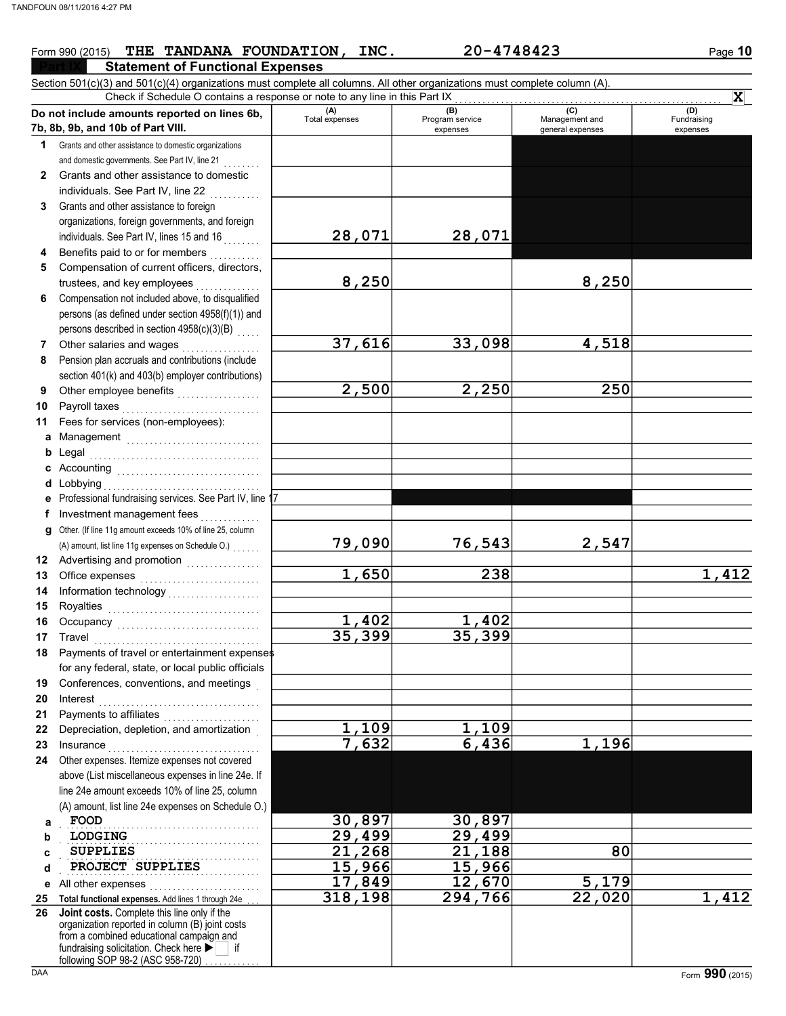**4 5**

**7 8**

**9 10 11**

**15**

**17 18**

**19 20 21**

#### **Statement of Functional Expenses Form 990 (2015) THE TANDANA FOUNDATION, INC. 20-4748423** Page 10 Section 501(c)(3) and 501(c)(4) organizations must complete all columns. All other organizations must complete column (A). **Do not include amounts reported on lines 6b, 7b, 8b, 9b, and 10b of Part VIII. 1 2 3** Grants and other assistance to domestic organizations and domestic governments. See Part IV, line 21 Grants and other assistance to domestic individuals. See Part IV, line 22 Grants and other assistance to foreign organizations, foreign governments, and foreign expenses **general expenses** Check if Schedule O contains a response or note to any line in this Part IX

**6 a** Management .............................. **b** Legal **c** Accounting ............................... **d** Lobbying **e** Professional fundraising services. See Part IV, line 17 **f g** Other. (If line 11g amount exceeds 10% of line 25, column **12** Advertising and promotion ................ **13 14 16 22 23 24 a b d e** All other expenses **......................**... **25 Total functional expenses.** Add lines 1 through 24e ... individuals. See Part IV, lines 15 and 16 Benefits paid to or for members ............ Compensation of current officers, directors, trustees, and key employees Compensation not included above, to disqualified persons (as defined under section 4958(f)(1)) and persons described in section 4958(c)(3)(B) Other salaries and wages .................. Pension plan accruals and contributions (include section 401(k) and 403(b) employer contributions) Other employee benefits ................... Payroll taxes .............................. Fees for services (non-employees): Legal ..................................... Lobbying .................................. Investment management fees .............. Office expenses .......................... Information technology .................... Royalties ................................. Occupancy ............................... Travel .................................... Payments of travel or entertainment expenses for any federal, state, or local public officials Conferences, conventions, and meetings . Interest ................................... Payments to affiliates ..................... Depreciation, depletion, and amortization . Insurance ................................. Other expenses. Itemize expenses not covered above (List miscellaneous expenses in line 24e. If line 24e amount exceeds 10% of line 25, column (A) amount, list line 24e expenses on Schedule O.) fundraising solicitation. Check here  $\blacktriangleright$  | if organization reported in column (B) joint costs from a combined educational campaign and **(A) (B) (C) (D)** Total expenses Program service Management and (D)<br>Fundraising expenses  $\textbf{FOOD}$ **LODGING**  $$ . .......................................... **PROJECT SUPPLIES 15,966 15,966 Joint costs.** Complete this line only if the (A) amount, list line 11g expenses on Schedule O.) ...... **X 28,071 28,071 8,250 8,250 37,616 33,098 4,518 2,500 2,250 250 79,090 76,543 2,547 1,650 238 1,412 1,402 1,402 35,399 35,399 1,109 1,109 7,632 6,436 1,196 FOOD 30,897 30,897 LODGING 29,499 29,499 SUPPLIES 21,268 21,188 80 17,849 12,670 5,179 318,198 294,766 22,020 1,412**

following SOP 98-2 (ASC 958-720)

**26**

**c**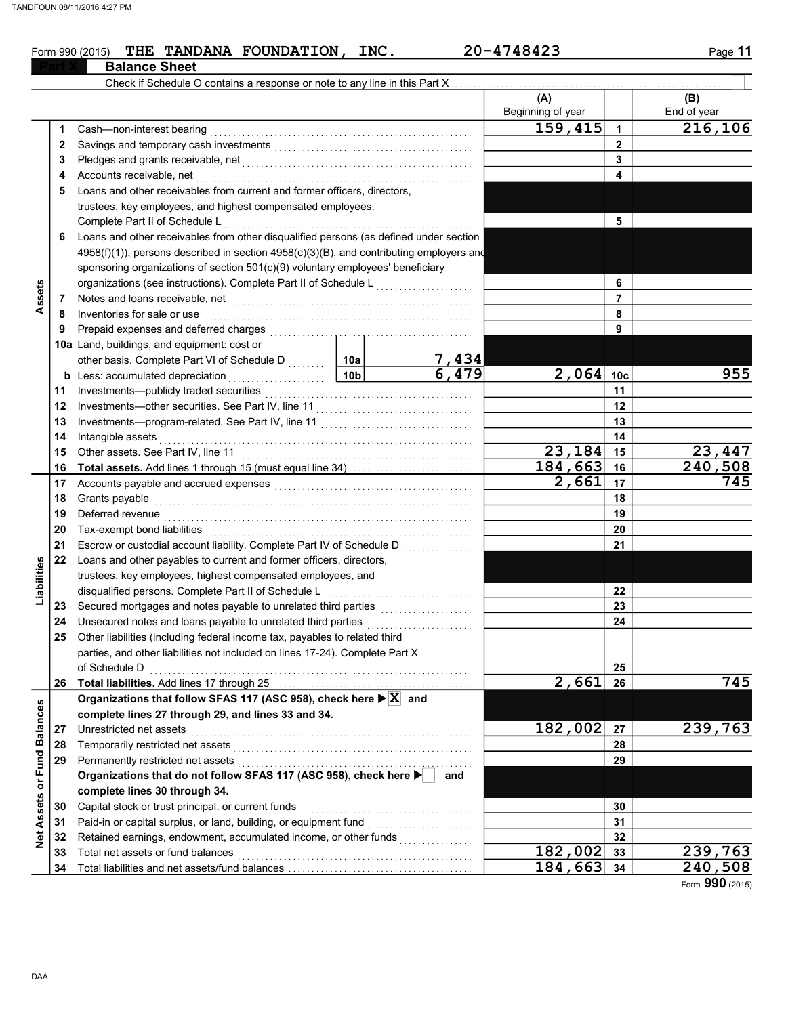|                             |    | THE TANDANA FOUNDATION, INC.<br>Form 990 (2015)                                                                     |                                                                                                                       |                 |                | 20-4748423               |              | Page 11            |
|-----------------------------|----|---------------------------------------------------------------------------------------------------------------------|-----------------------------------------------------------------------------------------------------------------------|-----------------|----------------|--------------------------|--------------|--------------------|
|                             |    | <b>Balance Sheet</b>                                                                                                |                                                                                                                       |                 |                |                          |              |                    |
|                             |    | Check if Schedule O contains a response or note to any line in this Part X                                          |                                                                                                                       |                 |                |                          |              |                    |
|                             |    |                                                                                                                     |                                                                                                                       |                 |                | (A)<br>Beginning of year |              | (B)<br>End of year |
|                             | 1  | Cash-non-interest bearing                                                                                           |                                                                                                                       |                 |                | 159,415                  | $\mathbf{1}$ | 216,106            |
|                             | 2  |                                                                                                                     |                                                                                                                       |                 |                |                          | $\mathbf{2}$ |                    |
|                             | 3  | Pledges and grants receivable, net <b>consider and property and grants</b> receivable, net                          |                                                                                                                       |                 |                |                          | 3            |                    |
|                             | 4  | Accounts receivable, net                                                                                            |                                                                                                                       |                 |                |                          | 4            |                    |
|                             | 5  | Loans and other receivables from current and former officers, directors,                                            |                                                                                                                       |                 |                |                          |              |                    |
|                             |    | trustees, key employees, and highest compensated employees.                                                         |                                                                                                                       |                 |                |                          |              |                    |
|                             |    | Complete Part II of Schedule L                                                                                      | 5                                                                                                                     |                 |                |                          |              |                    |
|                             | 6  | Loans and other receivables from other disqualified persons (as defined under section                               |                                                                                                                       |                 |                |                          |              |                    |
|                             |    | 4958(f)(1)), persons described in section 4958(c)(3)(B), and contributing employers and                             |                                                                                                                       |                 |                |                          |              |                    |
|                             |    | sponsoring organizations of section 501(c)(9) voluntary employees' beneficiary                                      |                                                                                                                       |                 |                |                          |              |                    |
|                             |    | organizations (see instructions). Complete Part II of Schedule L                                                    | <u> 1999 - Johann Stoff, martin film fan de ferske fan de ferske fan de ferske fan de ferske fan de ferske fan de</u> | 6               |                |                          |              |                    |
| Assets                      | 7  | Notes and loans receivable, net                                                                                     |                                                                                                                       |                 | $\overline{7}$ |                          |              |                    |
|                             | 8  | Inventories for sale or use                                                                                         |                                                                                                                       |                 | 8              |                          |              |                    |
|                             | 9  | Prepaid expenses and deferred charges                                                                               |                                                                                                                       |                 |                |                          | 9            |                    |
|                             |    | 10a Land, buildings, and equipment: cost or                                                                         |                                                                                                                       |                 |                |                          |              |                    |
|                             |    | other basis. Complete Part VI of Schedule D  10a                                                                    |                                                                                                                       |                 | 7,434          |                          |              |                    |
|                             |    | <b>b</b> Less: accumulated depreciation                                                                             | .                                                                                                                     | 10 <sub>b</sub> | 6,479          | $2,064$ 10c              |              | 955                |
|                             | 11 | Investments-publicly traded securities                                                                              |                                                                                                                       |                 |                |                          | 11           |                    |
|                             | 12 | Investments-other securities. See Part IV, line 11                                                                  |                                                                                                                       |                 |                |                          | 12           |                    |
|                             | 13 |                                                                                                                     |                                                                                                                       |                 |                |                          | 13           |                    |
|                             | 14 | Intangible assets                                                                                                   |                                                                                                                       |                 |                |                          | 14           |                    |
|                             | 15 | Other assets. See Part IV, line 11                                                                                  |                                                                                                                       |                 |                | 23,184                   | 15           | 23,447             |
|                             | 16 |                                                                                                                     |                                                                                                                       |                 |                | 184,663                  | 16           | 240,508            |
|                             | 17 |                                                                                                                     |                                                                                                                       |                 |                | 2,661                    | 17           | 745                |
|                             | 18 | Grants payable                                                                                                      |                                                                                                                       |                 |                |                          | 18           |                    |
|                             | 19 | Deferred revenue                                                                                                    |                                                                                                                       |                 |                |                          | 19           |                    |
|                             | 20 | Tax-exempt bond liabilities                                                                                         |                                                                                                                       |                 |                |                          | 20           |                    |
|                             | 21 | Escrow or custodial account liability. Complete Part IV of Schedule D                                               |                                                                                                                       |                 |                |                          | 21           |                    |
| Liabilities                 | 22 | Loans and other payables to current and former officers, directors,                                                 |                                                                                                                       |                 |                |                          |              |                    |
|                             |    | trustees, key employees, highest compensated employees, and<br>disqualified persons. Complete Part II of Schedule L |                                                                                                                       |                 |                |                          | 22           |                    |
|                             |    | 23 Secured mortgages and notes payable to unrelated third parties                                                   |                                                                                                                       |                 | .              |                          | 23           |                    |
|                             |    | 24 Unsecured notes and loans payable to unrelated third parties                                                     |                                                                                                                       |                 |                |                          | 24           |                    |
|                             | 25 | Other liabilities (including federal income tax, payables to related third                                          |                                                                                                                       |                 |                |                          |              |                    |
|                             |    | parties, and other liabilities not included on lines 17-24). Complete Part X                                        |                                                                                                                       |                 |                |                          |              |                    |
|                             |    | of Schedule D                                                                                                       |                                                                                                                       |                 |                |                          | 25           |                    |
|                             | 26 |                                                                                                                     |                                                                                                                       |                 |                | 2,661                    | 26           | 745                |
|                             |    | Organizations that follow SFAS 117 (ASC 958), check here $\blacktriangleright$ $\boxed{\mathbf{X}}$ and             |                                                                                                                       |                 |                |                          |              |                    |
|                             |    | complete lines 27 through 29, and lines 33 and 34.                                                                  |                                                                                                                       |                 |                |                          |              |                    |
|                             | 27 | Unrestricted net assets                                                                                             |                                                                                                                       |                 |                | $\overline{182}$ , 002   | 27           | 239,763            |
|                             | 28 | Temporarily restricted net assets                                                                                   |                                                                                                                       |                 |                |                          | 28           |                    |
|                             | 29 | Permanently restricted net assets                                                                                   |                                                                                                                       |                 |                |                          | 29           |                    |
|                             |    | Organizations that do not follow SFAS 117 (ASC 958), check here                                                     |                                                                                                                       |                 | and            |                          |              |                    |
| Net Assets or Fund Balances |    | complete lines 30 through 34.                                                                                       |                                                                                                                       |                 |                |                          |              |                    |
|                             | 30 | Capital stock or trust principal, or current funds                                                                  |                                                                                                                       |                 |                |                          | 30           |                    |
|                             | 31 | Paid-in or capital surplus, or land, building, or equipment fund                                                    |                                                                                                                       |                 |                |                          | 31           |                    |
|                             | 32 | Retained earnings, endowment, accumulated income, or other funds                                                    |                                                                                                                       |                 |                |                          | 32           |                    |
|                             | 33 | Total net assets or fund balances                                                                                   |                                                                                                                       |                 |                | 182,002                  | 33           | 239,763            |
|                             | 34 |                                                                                                                     |                                                                                                                       |                 |                | 184,663                  | 34           | 240,508            |

Form **990** (2015)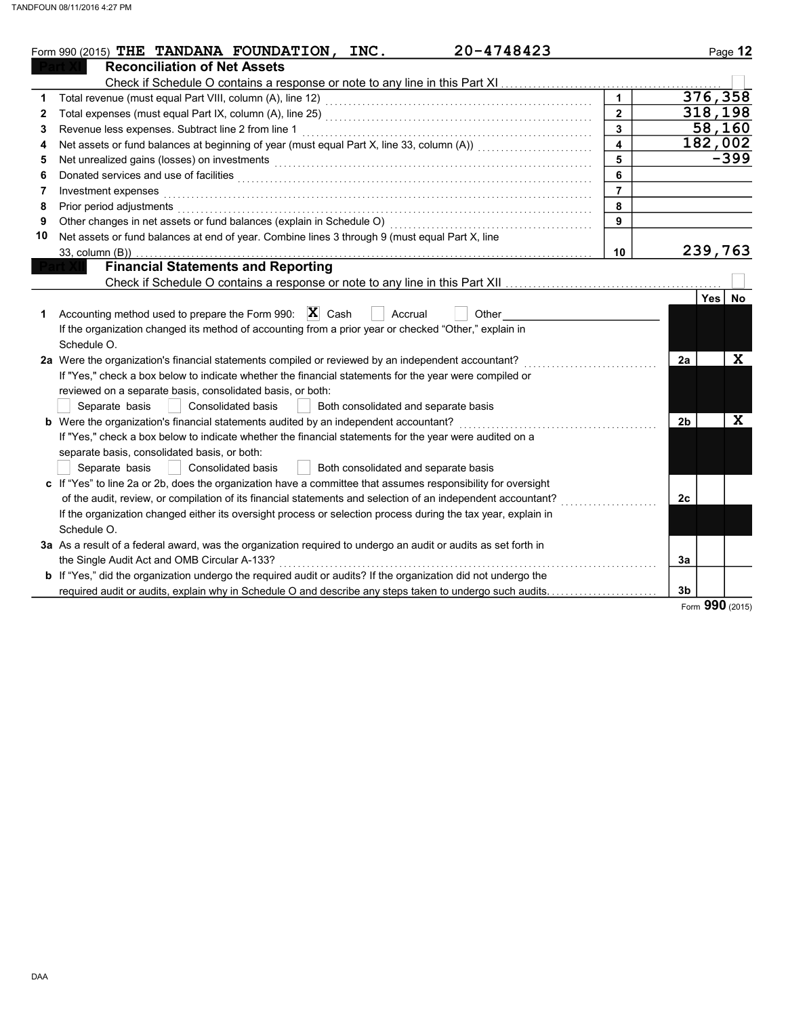|    | 20-4748423<br>Form 990 (2015) THE TANDANA FOUNDATION, INC.                                                                                                                                                                     |                  |                | Page 12  |
|----|--------------------------------------------------------------------------------------------------------------------------------------------------------------------------------------------------------------------------------|------------------|----------------|----------|
|    | <b>Reconciliation of Net Assets</b>                                                                                                                                                                                            |                  |                |          |
|    |                                                                                                                                                                                                                                |                  |                |          |
|    |                                                                                                                                                                                                                                | $\mathbf{1}$     |                | 376, 358 |
| 2  |                                                                                                                                                                                                                                | $\overline{2}$   |                | 318,198  |
| 3  | Revenue less expenses. Subtract line 2 from line 1                                                                                                                                                                             |                  |                | 58,160   |
| 4  | Net assets or fund balances at beginning of year (must equal Part X, line 33, column (A)) [[[[[[[[[[[[[[[[[[[                                                                                                                  | $\blacktriangle$ |                | 182,002  |
| 5  | Net unrealized gains (losses) on investments [11] with an intervention of the state of the state of the state of the state of the state of the state of the state of the state of the state of the state of the state of the s | 5                |                | $-399$   |
| 6  | Donated services and use of facilities <b>constructs</b> and the construction of the service of facilities <b>constructs</b>                                                                                                   | 6                |                |          |
| 7  | Investment expenses                                                                                                                                                                                                            | $\overline{7}$   |                |          |
| 8  | Prior period adjustments                                                                                                                                                                                                       | 8                |                |          |
| 9  | Other changes in net assets or fund balances (explain in Schedule O) [[[[[[[[[[[[[[[[[[[[[[]]]]]]]]]                                                                                                                           | 9                |                |          |
| 10 | Net assets or fund balances at end of year. Combine lines 3 through 9 (must equal Part X, line                                                                                                                                 |                  |                |          |
|    | 33, column (B))                                                                                                                                                                                                                | 10               |                | 239,763  |
|    | <b>Financial Statements and Reporting</b>                                                                                                                                                                                      |                  |                |          |
|    |                                                                                                                                                                                                                                |                  |                |          |
| 1  | Accounting method used to prepare the Form 990: $\ X\ $ Cash<br>Accrual<br>Other                                                                                                                                               |                  |                | Yes No   |
|    | If the organization changed its method of accounting from a prior year or checked "Other," explain in<br>Schedule O.                                                                                                           |                  |                |          |
|    | 2a Were the organization's financial statements compiled or reviewed by an independent accountant?                                                                                                                             |                  | 2a             | X        |
|    | If "Yes," check a box below to indicate whether the financial statements for the year were compiled or                                                                                                                         |                  |                |          |
|    | reviewed on a separate basis, consolidated basis, or both:                                                                                                                                                                     |                  |                |          |
|    | <b>Consolidated basis</b><br>Separate basis<br>Both consolidated and separate basis                                                                                                                                            |                  |                |          |
|    | b Were the organization's financial statements audited by an independent accountant?                                                                                                                                           |                  | 2 <sub>b</sub> | X        |
|    | If "Yes," check a box below to indicate whether the financial statements for the year were audited on a                                                                                                                        |                  |                |          |
|    | separate basis, consolidated basis, or both:                                                                                                                                                                                   |                  |                |          |
|    | Separate basis<br>Consolidated basis<br>Both consolidated and separate basis                                                                                                                                                   |                  |                |          |
|    | c If "Yes" to line 2a or 2b, does the organization have a committee that assumes responsibility for oversight                                                                                                                  |                  |                |          |
|    | of the audit, review, or compilation of its financial statements and selection of an independent accountant?                                                                                                                   |                  | 2c             |          |
|    | If the organization changed either its oversight process or selection process during the tax year, explain in                                                                                                                  |                  |                |          |
|    | Schedule O.                                                                                                                                                                                                                    |                  |                |          |
|    | 3a As a result of a federal award, was the organization required to undergo an audit or audits as set forth in                                                                                                                 |                  |                |          |
|    | the Single Audit Act and OMB Circular A-133?                                                                                                                                                                                   |                  | 3a             |          |
|    | <b>b</b> If "Yes," did the organization undergo the required audit or audits? If the organization did not undergo the                                                                                                          |                  |                |          |
|    | required audit or audits, explain why in Schedule O and describe any steps taken to undergo such audits                                                                                                                        |                  | 3b             |          |

Form **990** (2015)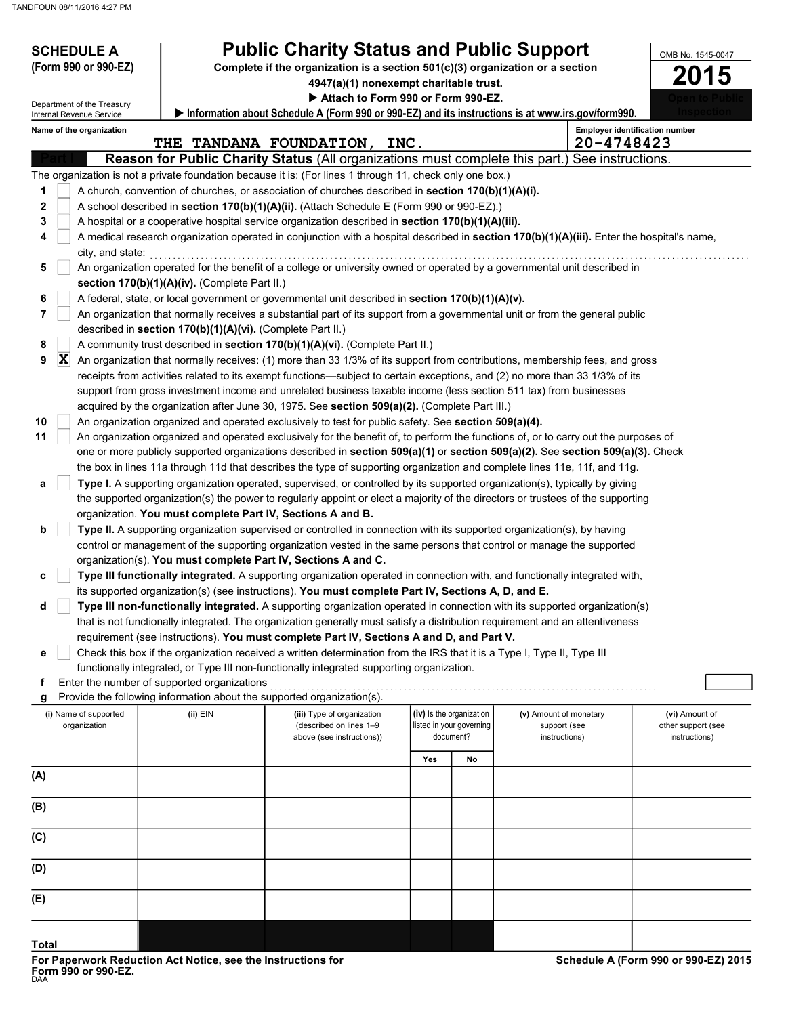| <b>SCHEDULE A</b><br>(Form 990 or 990-EZ)              |                                                                                                                                               | <b>Public Charity Status and Public Support</b><br>Complete if the organization is a section 501(c)(3) organization or a section |     |                          |                                                                                                                                     | OMB No. 1545-0047                     |  |  |  |
|--------------------------------------------------------|-----------------------------------------------------------------------------------------------------------------------------------------------|----------------------------------------------------------------------------------------------------------------------------------|-----|--------------------------|-------------------------------------------------------------------------------------------------------------------------------------|---------------------------------------|--|--|--|
|                                                        |                                                                                                                                               | 4947(a)(1) nonexempt charitable trust.                                                                                           |     |                          |                                                                                                                                     | 2015                                  |  |  |  |
|                                                        |                                                                                                                                               | Attach to Form 990 or Form 990-EZ.                                                                                               |     |                          |                                                                                                                                     |                                       |  |  |  |
| Department of the Treasury<br>Internal Revenue Service |                                                                                                                                               |                                                                                                                                  |     |                          | Information about Schedule A (Form 990 or 990-EZ) and its instructions is at www.irs.gov/form990.                                   |                                       |  |  |  |
| Name of the organization                               |                                                                                                                                               |                                                                                                                                  |     |                          |                                                                                                                                     | <b>Employer identification number</b> |  |  |  |
|                                                        |                                                                                                                                               | THE TANDANA FOUNDATION, INC.                                                                                                     |     |                          | 20-4748423                                                                                                                          |                                       |  |  |  |
|                                                        |                                                                                                                                               |                                                                                                                                  |     |                          | Reason for Public Charity Status (All organizations must complete this part.) See instructions.                                     |                                       |  |  |  |
|                                                        |                                                                                                                                               | The organization is not a private foundation because it is: (For lines 1 through 11, check only one box.)                        |     |                          |                                                                                                                                     |                                       |  |  |  |
| 1                                                      |                                                                                                                                               | A church, convention of churches, or association of churches described in section 170(b)(1)(A)(i).                               |     |                          |                                                                                                                                     |                                       |  |  |  |
| $\mathbf 2$                                            |                                                                                                                                               | A school described in section 170(b)(1)(A)(ii). (Attach Schedule E (Form 990 or 990-EZ).)                                        |     |                          |                                                                                                                                     |                                       |  |  |  |
| 3                                                      |                                                                                                                                               | A hospital or a cooperative hospital service organization described in section 170(b)(1)(A)(iii).                                |     |                          |                                                                                                                                     |                                       |  |  |  |
| 4                                                      | A medical research organization operated in conjunction with a hospital described in section 170(b)(1)(A)(iii). Enter the hospital's name,    |                                                                                                                                  |     |                          |                                                                                                                                     |                                       |  |  |  |
|                                                        | city, and state:<br>An organization operated for the benefit of a college or university owned or operated by a governmental unit described in |                                                                                                                                  |     |                          |                                                                                                                                     |                                       |  |  |  |
| 5                                                      |                                                                                                                                               |                                                                                                                                  |     |                          |                                                                                                                                     |                                       |  |  |  |
|                                                        | section 170(b)(1)(A)(iv). (Complete Part II.)                                                                                                 |                                                                                                                                  |     |                          |                                                                                                                                     |                                       |  |  |  |
| 6                                                      |                                                                                                                                               | A federal, state, or local government or governmental unit described in section 170(b)(1)(A)(v).                                 |     |                          |                                                                                                                                     |                                       |  |  |  |
| 7                                                      |                                                                                                                                               |                                                                                                                                  |     |                          | An organization that normally receives a substantial part of its support from a governmental unit or from the general public        |                                       |  |  |  |
| 8                                                      | described in section 170(b)(1)(A)(vi). (Complete Part II.)                                                                                    | A community trust described in section 170(b)(1)(A)(vi). (Complete Part II.)                                                     |     |                          |                                                                                                                                     |                                       |  |  |  |
| $ {\bf x} $<br>9                                       |                                                                                                                                               |                                                                                                                                  |     |                          | An organization that normally receives: (1) more than 33 1/3% of its support from contributions, membership fees, and gross         |                                       |  |  |  |
|                                                        |                                                                                                                                               |                                                                                                                                  |     |                          | receipts from activities related to its exempt functions—subject to certain exceptions, and (2) no more than 33 1/3% of its         |                                       |  |  |  |
|                                                        |                                                                                                                                               | support from gross investment income and unrelated business taxable income (less section 511 tax) from businesses                |     |                          |                                                                                                                                     |                                       |  |  |  |
|                                                        |                                                                                                                                               | acquired by the organization after June 30, 1975. See section 509(a)(2). (Complete Part III.)                                    |     |                          |                                                                                                                                     |                                       |  |  |  |
| 10                                                     |                                                                                                                                               | An organization organized and operated exclusively to test for public safety. See section 509(a)(4).                             |     |                          |                                                                                                                                     |                                       |  |  |  |
| 11                                                     |                                                                                                                                               |                                                                                                                                  |     |                          | An organization organized and operated exclusively for the benefit of, to perform the functions of, or to carry out the purposes of |                                       |  |  |  |
|                                                        |                                                                                                                                               |                                                                                                                                  |     |                          | one or more publicly supported organizations described in section 509(a)(1) or section 509(a)(2). See section 509(a)(3). Check      |                                       |  |  |  |
|                                                        |                                                                                                                                               |                                                                                                                                  |     |                          | the box in lines 11a through 11d that describes the type of supporting organization and complete lines 11e, 11f, and 11g.           |                                       |  |  |  |
| а                                                      |                                                                                                                                               |                                                                                                                                  |     |                          | Type I. A supporting organization operated, supervised, or controlled by its supported organization(s), typically by giving         |                                       |  |  |  |
|                                                        |                                                                                                                                               |                                                                                                                                  |     |                          | the supported organization(s) the power to regularly appoint or elect a majority of the directors or trustees of the supporting     |                                       |  |  |  |
|                                                        |                                                                                                                                               | organization. You must complete Part IV, Sections A and B.                                                                       |     |                          |                                                                                                                                     |                                       |  |  |  |
| b                                                      |                                                                                                                                               | Type II. A supporting organization supervised or controlled in connection with its supported organization(s), by having          |     |                          |                                                                                                                                     |                                       |  |  |  |
|                                                        |                                                                                                                                               |                                                                                                                                  |     |                          | control or management of the supporting organization vested in the same persons that control or manage the supported                |                                       |  |  |  |
|                                                        |                                                                                                                                               | organization(s). You must complete Part IV, Sections A and C.                                                                    |     |                          |                                                                                                                                     |                                       |  |  |  |
| c                                                      |                                                                                                                                               |                                                                                                                                  |     |                          | Type III functionally integrated. A supporting organization operated in connection with, and functionally integrated with,          |                                       |  |  |  |
|                                                        |                                                                                                                                               | its supported organization(s) (see instructions). You must complete Part IV, Sections A, D, and E.                               |     |                          |                                                                                                                                     |                                       |  |  |  |
| d                                                      |                                                                                                                                               |                                                                                                                                  |     |                          | Type III non-functionally integrated. A supporting organization operated in connection with its supported organization(s)           |                                       |  |  |  |
|                                                        |                                                                                                                                               |                                                                                                                                  |     |                          | that is not functionally integrated. The organization generally must satisfy a distribution requirement and an attentiveness        |                                       |  |  |  |
|                                                        |                                                                                                                                               | requirement (see instructions). You must complete Part IV, Sections A and D, and Part V.                                         |     |                          |                                                                                                                                     |                                       |  |  |  |
| е                                                      |                                                                                                                                               | Check this box if the organization received a written determination from the IRS that it is a Type I, Type II, Type III          |     |                          |                                                                                                                                     |                                       |  |  |  |
|                                                        | Enter the number of supported organizations                                                                                                   | functionally integrated, or Type III non-functionally integrated supporting organization.                                        |     |                          |                                                                                                                                     |                                       |  |  |  |
| g                                                      |                                                                                                                                               | Provide the following information about the supported organization(s).                                                           |     |                          |                                                                                                                                     |                                       |  |  |  |
| (i) Name of supported                                  | (ii) EIN                                                                                                                                      | (iii) Type of organization                                                                                                       |     | (iv) Is the organization | (v) Amount of monetary                                                                                                              | (vi) Amount of                        |  |  |  |
| organization                                           |                                                                                                                                               | (described on lines 1-9                                                                                                          |     | listed in your governing | support (see                                                                                                                        | other support (see                    |  |  |  |
|                                                        |                                                                                                                                               | above (see instructions))                                                                                                        |     | document?                | instructions)                                                                                                                       | instructions)                         |  |  |  |
|                                                        |                                                                                                                                               |                                                                                                                                  | Yes | No                       |                                                                                                                                     |                                       |  |  |  |
| (A)                                                    |                                                                                                                                               |                                                                                                                                  |     |                          |                                                                                                                                     |                                       |  |  |  |
|                                                        |                                                                                                                                               |                                                                                                                                  |     |                          |                                                                                                                                     |                                       |  |  |  |
| (B)                                                    |                                                                                                                                               |                                                                                                                                  |     |                          |                                                                                                                                     |                                       |  |  |  |
|                                                        |                                                                                                                                               |                                                                                                                                  |     |                          |                                                                                                                                     |                                       |  |  |  |
| (C)                                                    |                                                                                                                                               |                                                                                                                                  |     |                          |                                                                                                                                     |                                       |  |  |  |
|                                                        |                                                                                                                                               |                                                                                                                                  |     |                          |                                                                                                                                     |                                       |  |  |  |
| (D)                                                    |                                                                                                                                               |                                                                                                                                  |     |                          |                                                                                                                                     |                                       |  |  |  |
|                                                        |                                                                                                                                               |                                                                                                                                  |     |                          |                                                                                                                                     |                                       |  |  |  |
| (E)                                                    |                                                                                                                                               |                                                                                                                                  |     |                          |                                                                                                                                     |                                       |  |  |  |
|                                                        |                                                                                                                                               |                                                                                                                                  |     |                          |                                                                                                                                     |                                       |  |  |  |

DAA **For Paperwork Reduction Act Notice, see the Instructions for Form 990 or 990-EZ.**

**Total**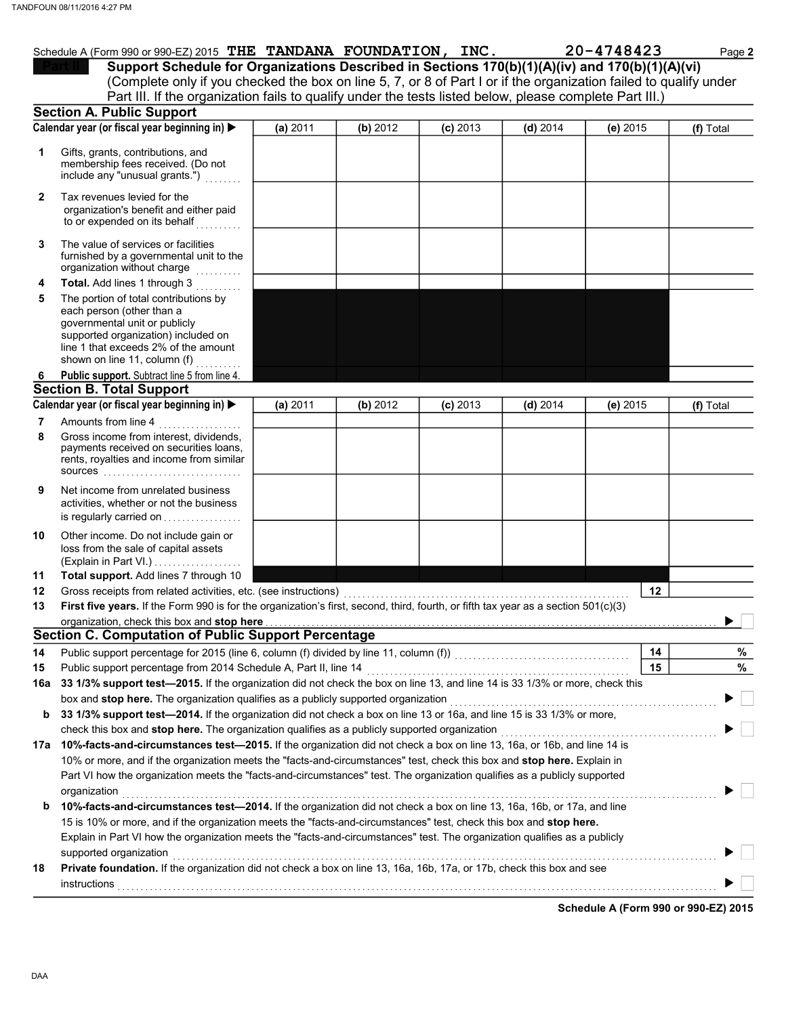|                                                                                                | Schedule A (Form 990 or 990-EZ) 2015 THE TANDANA FOUNDATION, INC.                                                                                                                                                                                                                                  |          |          |            |            | 20-4748423 | Page 2    |
|------------------------------------------------------------------------------------------------|----------------------------------------------------------------------------------------------------------------------------------------------------------------------------------------------------------------------------------------------------------------------------------------------------|----------|----------|------------|------------|------------|-----------|
| Support Schedule for Organizations Described in Sections 170(b)(1)(A)(iv) and 170(b)(1)(A)(vi) |                                                                                                                                                                                                                                                                                                    |          |          |            |            |            |           |
|                                                                                                | (Complete only if you checked the box on line 5, 7, or 8 of Part I or if the organization failed to qualify under                                                                                                                                                                                  |          |          |            |            |            |           |
|                                                                                                | Part III. If the organization fails to qualify under the tests listed below, please complete Part III.)                                                                                                                                                                                            |          |          |            |            |            |           |
|                                                                                                | <b>Section A. Public Support</b>                                                                                                                                                                                                                                                                   |          |          |            |            |            |           |
|                                                                                                | Calendar year (or fiscal year beginning in)                                                                                                                                                                                                                                                        | (a) 2011 | (b) 2012 | $(c)$ 2013 | $(d)$ 2014 | (e) 2015   | (f) Total |
|                                                                                                |                                                                                                                                                                                                                                                                                                    |          |          |            |            |            |           |
| 1                                                                                              | Gifts, grants, contributions, and<br>membership fees received. (Do not                                                                                                                                                                                                                             |          |          |            |            |            |           |
|                                                                                                | include any "unusual grants.")                                                                                                                                                                                                                                                                     |          |          |            |            |            |           |
|                                                                                                |                                                                                                                                                                                                                                                                                                    |          |          |            |            |            |           |
| 2                                                                                              | Tax revenues levied for the                                                                                                                                                                                                                                                                        |          |          |            |            |            |           |
|                                                                                                | organization's benefit and either paid<br>to or expended on its behalf                                                                                                                                                                                                                             |          |          |            |            |            |           |
|                                                                                                |                                                                                                                                                                                                                                                                                                    |          |          |            |            |            |           |
| 3                                                                                              | The value of services or facilities                                                                                                                                                                                                                                                                |          |          |            |            |            |           |
|                                                                                                | furnished by a governmental unit to the<br>organization without charge                                                                                                                                                                                                                             |          |          |            |            |            |           |
| 4                                                                                              | Total. Add lines 1 through 3                                                                                                                                                                                                                                                                       |          |          |            |            |            |           |
| 5                                                                                              | The portion of total contributions by                                                                                                                                                                                                                                                              |          |          |            |            |            |           |
|                                                                                                | each person (other than a                                                                                                                                                                                                                                                                          |          |          |            |            |            |           |
|                                                                                                | governmental unit or publicly                                                                                                                                                                                                                                                                      |          |          |            |            |            |           |
|                                                                                                | supported organization) included on                                                                                                                                                                                                                                                                |          |          |            |            |            |           |
|                                                                                                | line 1 that exceeds 2% of the amount                                                                                                                                                                                                                                                               |          |          |            |            |            |           |
|                                                                                                | shown on line 11, column (f)                                                                                                                                                                                                                                                                       |          |          |            |            |            |           |
| 6                                                                                              | Public support. Subtract line 5 from line 4.<br><b>Section B. Total Support</b>                                                                                                                                                                                                                    |          |          |            |            |            |           |
|                                                                                                | Calendar year (or fiscal year beginning in) >                                                                                                                                                                                                                                                      | (a) 2011 | (b) 2012 | $(c)$ 2013 | $(d)$ 2014 | (e) 2015   |           |
|                                                                                                |                                                                                                                                                                                                                                                                                                    |          |          |            |            |            | (f) Total |
| 7<br>8                                                                                         | Amounts from line 4                                                                                                                                                                                                                                                                                |          |          |            |            |            |           |
|                                                                                                | Gross income from interest, dividends,<br>payments received on securities loans,                                                                                                                                                                                                                   |          |          |            |            |            |           |
|                                                                                                | rents, royalties and income from similar                                                                                                                                                                                                                                                           |          |          |            |            |            |           |
|                                                                                                | <b>SOUICES</b>                                                                                                                                                                                                                                                                                     |          |          |            |            |            |           |
| 9                                                                                              | Net income from unrelated business                                                                                                                                                                                                                                                                 |          |          |            |            |            |           |
|                                                                                                | activities, whether or not the business                                                                                                                                                                                                                                                            |          |          |            |            |            |           |
|                                                                                                | is regularly carried on                                                                                                                                                                                                                                                                            |          |          |            |            |            |           |
| 10                                                                                             | Other income. Do not include gain or                                                                                                                                                                                                                                                               |          |          |            |            |            |           |
|                                                                                                | loss from the sale of capital assets                                                                                                                                                                                                                                                               |          |          |            |            |            |           |
|                                                                                                | (Explain in Part VI.)                                                                                                                                                                                                                                                                              |          |          |            |            |            |           |
| 11                                                                                             | Total support. Add lines 7 through 10                                                                                                                                                                                                                                                              |          |          |            |            |            |           |
| 12                                                                                             | Gross receipts from related activities, etc. (see instructions)                                                                                                                                                                                                                                    |          |          |            |            | 12         |           |
| 13                                                                                             | First five years. If the Form 990 is for the organization's first, second, third, fourth, or fifth tax year as a section 501(c)(3)                                                                                                                                                                 |          |          |            |            |            |           |
|                                                                                                | organization, check this box and stop here <i>manufacture in the content of the content of the content of the content of the content of the content of the content of the content of the content of the content of the content o</i><br><b>Section C. Computation of Public Support Percentage</b> |          |          |            |            |            |           |
| 14                                                                                             | Public support percentage for 2015 (line 6, column (f) divided by line 11, column (f)) [[[[[[[[[[[[[[[[[[[[[[                                                                                                                                                                                      |          |          |            |            | 14         | %         |
| 15                                                                                             | Public support percentage from 2014 Schedule A, Part II, line 14                                                                                                                                                                                                                                   |          |          |            |            | 15         | %         |
| 16a                                                                                            |                                                                                                                                                                                                                                                                                                    |          |          |            |            |            |           |
|                                                                                                | 33 1/3% support test-2015. If the organization did not check the box on line 13, and line 14 is 33 1/3% or more, check this                                                                                                                                                                        |          |          |            |            |            |           |
|                                                                                                | box and stop here. The organization qualifies as a publicly supported organization                                                                                                                                                                                                                 |          |          |            |            |            |           |
| b                                                                                              | 33 1/3% support test-2014. If the organization did not check a box on line 13 or 16a, and line 15 is 33 1/3% or more,                                                                                                                                                                              |          |          |            |            |            |           |
|                                                                                                | check this box and stop here. The organization qualifies as a publicly supported organization                                                                                                                                                                                                      |          |          |            |            |            |           |
|                                                                                                | 17a 10%-facts-and-circumstances test-2015. If the organization did not check a box on line 13, 16a, or 16b, and line 14 is<br>10% or more, and if the organization meets the "facts-and-circumstances" test, check this box and stop here. Explain in                                              |          |          |            |            |            |           |
|                                                                                                | Part VI how the organization meets the "facts-and-circumstances" test. The organization qualifies as a publicly supported                                                                                                                                                                          |          |          |            |            |            |           |
|                                                                                                |                                                                                                                                                                                                                                                                                                    |          |          |            |            |            |           |
|                                                                                                | organization                                                                                                                                                                                                                                                                                       |          |          |            |            |            |           |
| b                                                                                              | 10%-facts-and-circumstances test-2014. If the organization did not check a box on line 13, 16a, 16b, or 17a, and line                                                                                                                                                                              |          |          |            |            |            |           |
|                                                                                                | 15 is 10% or more, and if the organization meets the "facts-and-circumstances" test, check this box and stop here.                                                                                                                                                                                 |          |          |            |            |            |           |
|                                                                                                | Explain in Part VI how the organization meets the "facts-and-circumstances" test. The organization qualifies as a publicly                                                                                                                                                                         |          |          |            |            |            |           |
|                                                                                                | supported organization                                                                                                                                                                                                                                                                             |          |          |            |            |            |           |
| 18                                                                                             | Private foundation. If the organization did not check a box on line 13, 16a, 16b, 17a, or 17b, check this box and see                                                                                                                                                                              |          |          |            |            |            |           |
|                                                                                                | instructions                                                                                                                                                                                                                                                                                       |          |          |            |            |            |           |

**Schedule A (Form 990 or 990-EZ) 2015**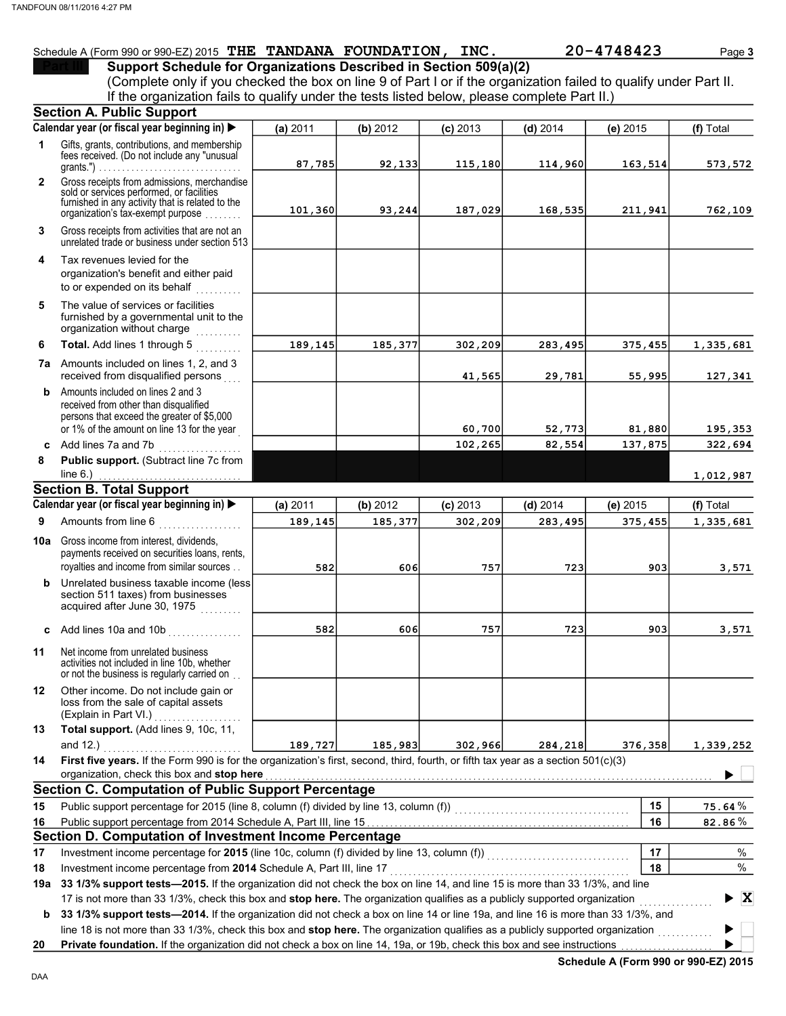## Schedule A (Form 990 or 990-EZ) 2015 **THE TANDANA FOUNDATION, INC.** 20-4748423 Page 3

**Part III Support Schedule for Organizations Described in Section 509(a)(2)** (Complete only if you checked the box on line 9 of Part I or if the organization failed to qualify under Part II. **Section A. Public Support (a)** 2011 **(b)** 2012 **(c)** 2013 **(d)** 2014 **(e)** 2015 **(f)** Total **Calendar year (or fiscal year beginning in)** If the organization fails to qualify under the tests listed below, please complete Part II.)

|              | ar your (or noour your bogmming m)                                                                                                                                                | (a) 2011 | <i>_</i> ם ושב | טו טב נשן  | דו טב נשן  | טו ט∠ נסן | ווסוטון נו       |
|--------------|-----------------------------------------------------------------------------------------------------------------------------------------------------------------------------------|----------|----------------|------------|------------|-----------|------------------|
| 1            | Gifts, grants, contributions, and membership<br>fees received. (Do not include any "unusual                                                                                       | 87,785   | 92,133         | 115,180    | 114,960    | 163,514   | 573,572          |
| $\mathbf{2}$ | Gross receipts from admissions, merchandise<br>sold or services performed, or facilities<br>furnished in any activity that is related to the<br>organization's tax-exempt purpose | 101,360  | 93,244         | 187,029    | 168,535    | 211,941   | 762,109          |
| 3            | Gross receipts from activities that are not an<br>unrelated trade or business under section 513                                                                                   |          |                |            |            |           |                  |
| 4            | Tax revenues levied for the<br>organization's benefit and either paid<br>to or expended on its behalf<br>.                                                                        |          |                |            |            |           |                  |
| 5            | The value of services or facilities<br>furnished by a governmental unit to the<br>organization without charge                                                                     |          |                |            |            |           |                  |
| 6            | Total. Add lines 1 through 5<br>.                                                                                                                                                 | 189,145  | 185,377        | 302,209    | 283,495    | 375,455   | 1,335,681        |
|              | 7a Amounts included on lines 1, 2, and 3<br>received from disqualified persons                                                                                                    |          |                | 41,565     | 29,781     | 55,995    | 127,341          |
|              | <b>b</b> Amounts included on lines 2 and 3<br>received from other than disqualified<br>persons that exceed the greater of \$5,000                                                 |          |                |            |            |           |                  |
|              | or 1% of the amount on line 13 for the year                                                                                                                                       |          |                | 60,700     | 52,773     | 81,880    | 195,353          |
| 8            | c Add lines 7a and 7b<br>Public support. (Subtract line 7c from                                                                                                                   |          |                | 102,265    | 82,554     | 137,875   | 322,694          |
|              | line $6.$ )                                                                                                                                                                       |          |                |            |            |           | 1,012,987        |
|              | <b>Section B. Total Support</b>                                                                                                                                                   |          |                |            |            |           |                  |
|              | Calendar year (or fiscal year beginning in) >                                                                                                                                     | (a) 2011 | (b) 2012       | $(c)$ 2013 | $(d)$ 2014 | (e) 2015  | (f) Total        |
| 9            | Amounts from line 6                                                                                                                                                               | 189,145  | 185,377        | 302,209    | 283,495    | 375,455   | 1,335,681        |
| 10a          | Gross income from interest, dividends,<br>payments received on securities loans, rents,<br>royalties and income from similar sources                                              | 582      | 606            | 757        | 723        | 903       | 3,571            |
| b            | Unrelated business taxable income (less<br>section 511 taxes) from businesses<br>acquired after June 30, 1975                                                                     |          |                |            |            |           |                  |
|              | c Add lines 10a and 10b $\ldots$                                                                                                                                                  | 582      | 606            | 757        | 723        | 903       | 3,571            |
| 11           | Net income from unrelated business<br>activities not included in line 10b, whether<br>or not the business is regularly carried on                                                 |          |                |            |            |           |                  |
| 12           | Other income. Do not include gain or<br>loss from the sale of capital assets<br>(Explain in Part VI.)                                                                             |          |                |            |            |           |                  |
| 13           | Total support. (Add lines 9, 10c, 11,                                                                                                                                             |          |                |            |            |           |                  |
|              | and $12.$ )<br>.                                                                                                                                                                  | 189,727  | 185,983        | 302,966    | 284,218    | 376,358   | 1,339,252        |
| 14           | First five years. If the Form 990 is for the organization's first, second, third, fourth, or fifth tax year as a section 501(c)(3)                                                |          |                |            |            |           |                  |
|              | organization, check this box and stop here<br><b>Section C. Computation of Public Support Percentage</b>                                                                          |          |                |            |            |           |                  |
| 15           | Public support percentage for 2015 (line 8, column (f) divided by line 13, column (f)) [[[[[[[[[[[[[[[[[[[[[[                                                                     |          |                |            |            | 15        |                  |
| 16           |                                                                                                                                                                                   |          |                |            |            | 16        | 75.64%<br>82.86% |
|              | Section D. Computation of Investment Income Percentage                                                                                                                            |          |                |            |            |           |                  |
| 17           |                                                                                                                                                                                   |          |                |            |            | 17        | %                |
| 18           | Investment income percentage from 2014 Schedule A, Part III, line 17<br>18                                                                                                        |          |                |            |            |           | %                |
| 19a          | 33 1/3% support tests-2015. If the organization did not check the box on line 14, and line 15 is more than 33 1/3%, and line                                                      |          |                |            |            |           |                  |
|              | 17 is not more than 33 1/3%, check this box and stop here. The organization qualifies as a publicly supported organization                                                        |          |                |            |            |           | $\mathbf{x}$     |
| b            | 33 1/3% support tests—2014. If the organization did not check a box on line 14 or line 19a, and line 16 is more than 33 1/3%, and                                                 |          |                |            |            |           |                  |
|              | line 18 is not more than 33 1/3%, check this box and stop here. The organization qualifies as a publicly supported organization                                                   |          |                |            |            |           |                  |
| 20           | Private foundation. If the organization did not check a box on line 14, 19a, or 19b, check this box and see instructions                                                          |          |                |            |            |           |                  |
|              |                                                                                                                                                                                   |          |                |            |            |           |                  |

**Schedule A (Form 990 or 990-EZ) 2015**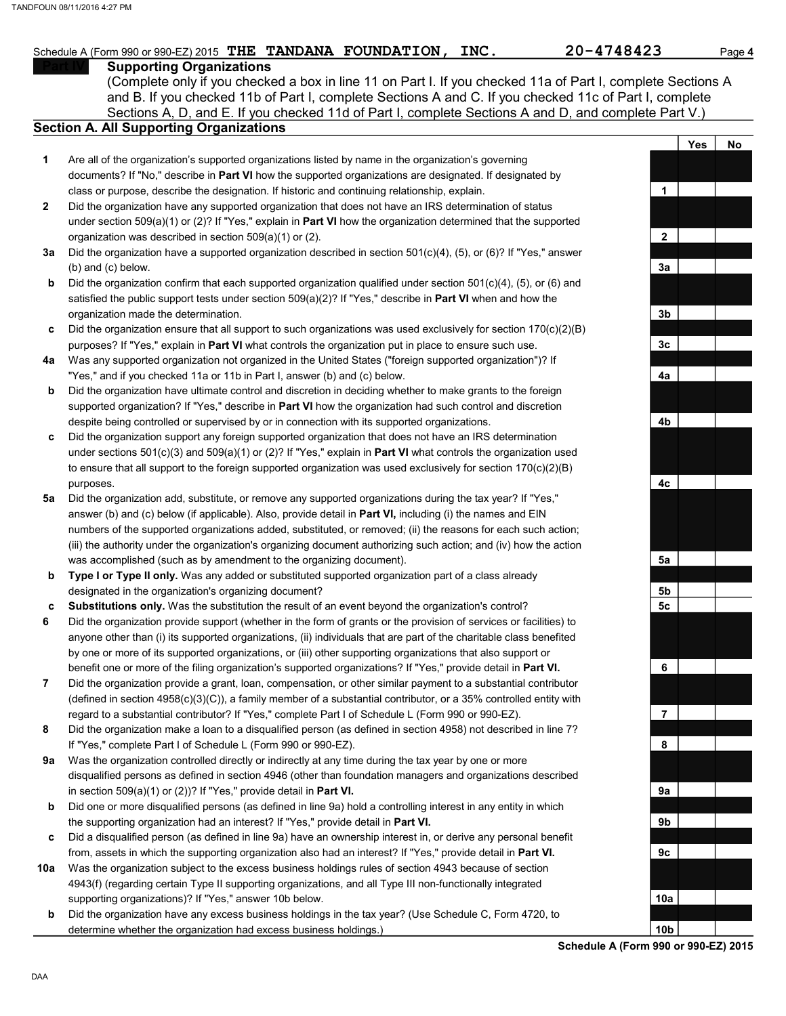## Schedule A (Form 990 or 990-EZ) 2015 **THE TANDANA FOUNDATION, INC.** 20-4748423 Page 4

#### **Supporting Organizations**

Sections A, D, and E. If you checked 11d of Part I, complete Sections A and D, and complete Part V.) (Complete only if you checked a box in line 11 on Part I. If you checked 11a of Part I, complete Sections A and B. If you checked 11b of Part I, complete Sections A and C. If you checked 11c of Part I, complete

## **Section A. All Supporting Organizations**

- Are all of the organization's supported organizations listed by name in the organization's governing documents? If "No," describe in **Part VI** how the supported organizations are designated. If designated by class or purpose, describe the designation. If historic and continuing relationship, explain. **1**
- Did the organization have any supported organization that does not have an IRS determination of status under section 509(a)(1) or (2)? If "Yes," explain in **Part VI** how the organization determined that the supported organization was described in section 509(a)(1) or (2). **2**
- **3a** Did the organization have a supported organization described in section 501(c)(4), (5), or (6)? If "Yes," answer (b) and (c) below.
- **b** Did the organization confirm that each supported organization qualified under section 501(c)(4), (5), or (6) and satisfied the public support tests under section 509(a)(2)? If "Yes," describe in **Part VI** when and how the organization made the determination.
- **c** Did the organization ensure that all support to such organizations was used exclusively for section 170(c)(2)(B) purposes? If "Yes," explain in **Part VI** what controls the organization put in place to ensure such use.
- **4a** Was any supported organization not organized in the United States ("foreign supported organization")? If "Yes," and if you checked 11a or 11b in Part I, answer (b) and (c) below.
- **b** Did the organization have ultimate control and discretion in deciding whether to make grants to the foreign supported organization? If "Yes," describe in **Part VI** how the organization had such control and discretion despite being controlled or supervised by or in connection with its supported organizations.
- **c** Did the organization support any foreign supported organization that does not have an IRS determination under sections 501(c)(3) and 509(a)(1) or (2)? If "Yes," explain in **Part VI** what controls the organization used to ensure that all support to the foreign supported organization was used exclusively for section 170(c)(2)(B) purposes.
- **5a** Did the organization add, substitute, or remove any supported organizations during the tax year? If "Yes," answer (b) and (c) below (if applicable). Also, provide detail in **Part VI,** including (i) the names and EIN numbers of the supported organizations added, substituted, or removed; (ii) the reasons for each such action; (iii) the authority under the organization's organizing document authorizing such action; and (iv) how the action was accomplished (such as by amendment to the organizing document).
- **b Type I or Type II only.** Was any added or substituted supported organization part of a class already designated in the organization's organizing document?
- **c Substitutions only.** Was the substitution the result of an event beyond the organization's control?
- **6** Did the organization provide support (whether in the form of grants or the provision of services or facilities) to anyone other than (i) its supported organizations, (ii) individuals that are part of the charitable class benefited by one or more of its supported organizations, or (iii) other supporting organizations that also support or benefit one or more of the filing organization's supported organizations? If "Yes," provide detail in **Part VI.**
- **7** Did the organization provide a grant, loan, compensation, or other similar payment to a substantial contributor (defined in section 4958(c)(3)(C)), a family member of a substantial contributor, or a 35% controlled entity with regard to a substantial contributor? If "Yes," complete Part I of Schedule L (Form 990 or 990-EZ).
- **8** Did the organization make a loan to a disqualified person (as defined in section 4958) not described in line 7? If "Yes," complete Part I of Schedule L (Form 990 or 990-EZ).
- **9a** Was the organization controlled directly or indirectly at any time during the tax year by one or more disqualified persons as defined in section 4946 (other than foundation managers and organizations described in section 509(a)(1) or (2))? If "Yes," provide detail in **Part VI.**
- **b** Did one or more disqualified persons (as defined in line 9a) hold a controlling interest in any entity in which the supporting organization had an interest? If "Yes," provide detail in **Part VI.**
- **c** Did a disqualified person (as defined in line 9a) have an ownership interest in, or derive any personal benefit from, assets in which the supporting organization also had an interest? If "Yes," provide detail in **Part VI.**
- **10a** Was the organization subject to the excess business holdings rules of section 4943 because of section 4943(f) (regarding certain Type II supporting organizations, and all Type III non-functionally integrated supporting organizations)? If "Yes," answer 10b below.
- **b** Did the organization have any excess business holdings in the tax year? (Use Schedule C, Form 4720, to determine whether the organization had excess business holdings.)

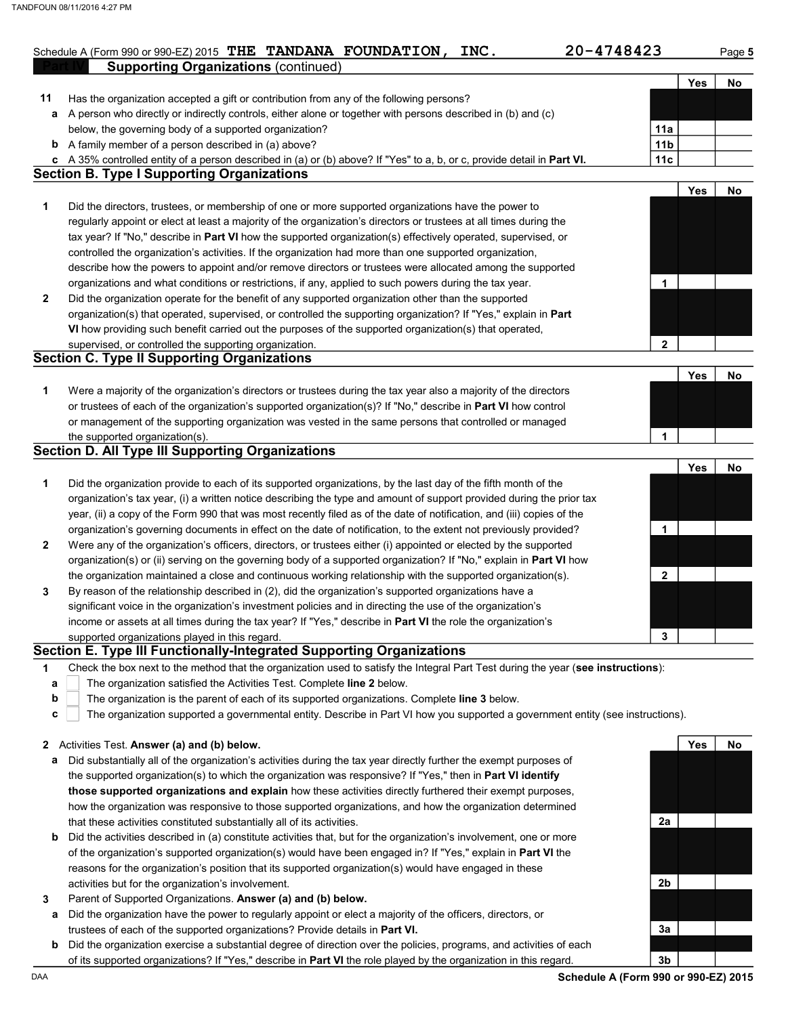#### **Supporting Organizations** (continued) Schedule A (Form 990 or 990-EZ) 2015 **THE TANDANA FOUNDATION, INC.** 20-4748423 Page 5

|    |                                                                                                                                   |                 | Yes | No |
|----|-----------------------------------------------------------------------------------------------------------------------------------|-----------------|-----|----|
| 11 | Has the organization accepted a gift or contribution from any of the following persons?                                           |                 |     |    |
| а  | A person who directly or indirectly controls, either alone or together with persons described in (b) and (c)                      |                 |     |    |
|    | below, the governing body of a supported organization?                                                                            | 11a             |     |    |
|    | <b>b</b> A family member of a person described in (a) above?                                                                      | 11 <sub>b</sub> |     |    |
| c  | A 35% controlled entity of a person described in (a) or (b) above? If "Yes" to a, b, or c, provide detail in Part VI.             | 11c             |     |    |
|    | <b>Section B. Type I Supporting Organizations</b>                                                                                 |                 |     |    |
|    |                                                                                                                                   |                 | Yes | No |
| 1  | Did the directors, trustees, or membership of one or more supported organizations have the power to                               |                 |     |    |
|    | regularly appoint or elect at least a majority of the organization's directors or trustees at all times during the                |                 |     |    |
|    | tax year? If "No," describe in Part VI how the supported organization(s) effectively operated, supervised, or                     |                 |     |    |
|    | controlled the organization's activities. If the organization had more than one supported organization,                           |                 |     |    |
|    | describe how the powers to appoint and/or remove directors or trustees were allocated among the supported                         |                 |     |    |
|    | organizations and what conditions or restrictions, if any, applied to such powers during the tax year.                            | 1               |     |    |
| 2  | Did the organization operate for the benefit of any supported organization other than the supported                               |                 |     |    |
|    | organization(s) that operated, supervised, or controlled the supporting organization? If "Yes," explain in Part                   |                 |     |    |
|    | VI how providing such benefit carried out the purposes of the supported organization(s) that operated,                            |                 |     |    |
|    | supervised, or controlled the supporting organization.                                                                            | $\mathbf{2}$    |     |    |
|    | <b>Section C. Type II Supporting Organizations</b>                                                                                |                 |     |    |
|    |                                                                                                                                   |                 | Yes | No |
| 1  | Were a majority of the organization's directors or trustees during the tax year also a majority of the directors                  |                 |     |    |
|    | or trustees of each of the organization's supported organization(s)? If "No," describe in Part VI how control                     |                 |     |    |
|    | or management of the supporting organization was vested in the same persons that controlled or managed                            |                 |     |    |
|    | the supported organization(s).                                                                                                    | 1               |     |    |
|    | <b>Section D. All Type III Supporting Organizations</b>                                                                           |                 |     |    |
|    |                                                                                                                                   |                 | Yes | No |
| 1  | Did the organization provide to each of its supported organizations, by the last day of the fifth month of the                    |                 |     |    |
|    | organization's tax year, (i) a written notice describing the type and amount of support provided during the prior tax             |                 |     |    |
|    | year, (ii) a copy of the Form 990 that was most recently filed as of the date of notification, and (iii) copies of the            |                 |     |    |
|    | organization's governing documents in effect on the date of notification, to the extent not previously provided?                  | 1               |     |    |
| 2  | Were any of the organization's officers, directors, or trustees either (i) appointed or elected by the supported                  |                 |     |    |
|    | organization(s) or (ii) serving on the governing body of a supported organization? If "No," explain in Part VI how                |                 |     |    |
|    | the organization maintained a close and continuous working relationship with the supported organization(s).                       | $\mathbf{2}$    |     |    |
| 3  | By reason of the relationship described in (2), did the organization's supported organizations have a                             |                 |     |    |
|    | significant voice in the organization's investment policies and in directing the use of the organization's                        |                 |     |    |
|    | income or assets at all times during the tax year? If "Yes," describe in Part VI the role the organization's                      |                 |     |    |
|    | supported organizations played in this regard.                                                                                    | 3               |     |    |
|    | Section E. Type III Functionally-Integrated Supporting Organizations                                                              |                 |     |    |
| 1  | Check the box next to the method that the organization used to satisfy the Integral Part Test during the year (see instructions): |                 |     |    |

- The organization satisfied the Activities Test. Complete **line 2** below. **a**
- The organization is the parent of each of its supported organizations. Complete **line 3** below. **b**
- The organization supported a governmental entity. Describe in Part VI how you supported a government entity (see instructions). **c**

- **a** Did substantially all of the organization's activities during the tax year directly further the exempt purposes of the supported organization(s) to which the organization was responsive? If "Yes," then in **Part VI identify those supported organizations and explain** how these activities directly furthered their exempt purposes, how the organization was responsive to those supported organizations, and how the organization determined that these activities constituted substantially all of its activities.
- **b** Did the activities described in (a) constitute activities that, but for the organization's involvement, one or more of the organization's supported organization(s) would have been engaged in? If "Yes," explain in **Part VI** the reasons for the organization's position that its supported organization(s) would have engaged in these activities but for the organization's involvement.
- **3** Parent of Supported Organizations. **Answer (a) and (b) below.**
- **a** Did the organization have the power to regularly appoint or elect a majority of the officers, directors, or trustees of each of the supported organizations? Provide details in **Part VI.**
- **b** Did the organization exercise a substantial degree of direction over the policies, programs, and activities of each of its supported organizations? If "Yes," describe in **Part VI** the role played by the organization in this regard.



**<sup>2</sup>** Activities Test. **Answer (a) and (b) below.**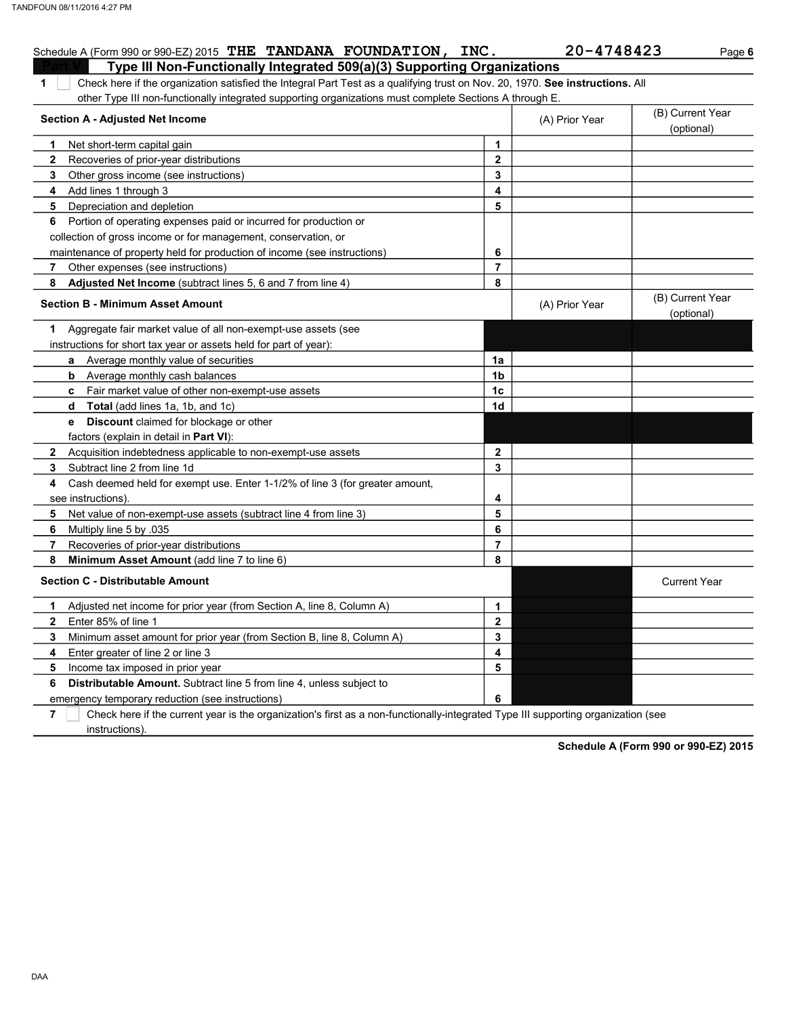|                     | Schedule A (Form 990 or 990-EZ) 2015 THE TANDANA FOUNDATION, INC.                                                             |                         | 20-4748423     | Page 6                         |
|---------------------|-------------------------------------------------------------------------------------------------------------------------------|-------------------------|----------------|--------------------------------|
|                     | Type III Non-Functionally Integrated 509(a)(3) Supporting Organizations                                                       |                         |                |                                |
| $1 \quad$           | Check here if the organization satisfied the Integral Part Test as a qualifying trust on Nov. 20, 1970. See instructions. All |                         |                |                                |
|                     | other Type III non-functionally integrated supporting organizations must complete Sections A through E.                       |                         |                |                                |
|                     | <b>Section A - Adjusted Net Income</b>                                                                                        |                         | (A) Prior Year | (B) Current Year               |
|                     |                                                                                                                               |                         |                | (optional)                     |
| 1                   | Net short-term capital gain                                                                                                   | 1                       |                |                                |
| $\mathbf{2}$        | Recoveries of prior-year distributions                                                                                        | $\overline{2}$          |                |                                |
| 3                   | Other gross income (see instructions)                                                                                         | 3                       |                |                                |
| 4                   | Add lines 1 through 3                                                                                                         | $\overline{\mathbf{4}}$ |                |                                |
| 5                   | Depreciation and depletion                                                                                                    | 5                       |                |                                |
| 6                   | Portion of operating expenses paid or incurred for production or                                                              |                         |                |                                |
|                     | collection of gross income or for management, conservation, or                                                                |                         |                |                                |
|                     | maintenance of property held for production of income (see instructions)                                                      | 6                       |                |                                |
| 7                   | Other expenses (see instructions)                                                                                             | $\overline{7}$          |                |                                |
| 8                   | Adjusted Net Income (subtract lines 5, 6 and 7 from line 4)                                                                   | 8                       |                |                                |
|                     | <b>Section B - Minimum Asset Amount</b>                                                                                       |                         | (A) Prior Year | (B) Current Year<br>(optional) |
| 1                   | Aggregate fair market value of all non-exempt-use assets (see                                                                 |                         |                |                                |
|                     | instructions for short tax year or assets held for part of year):                                                             |                         |                |                                |
|                     | <b>a</b> Average monthly value of securities                                                                                  | 1a                      |                |                                |
|                     | b<br>Average monthly cash balances                                                                                            | 1b                      |                |                                |
|                     | Fair market value of other non-exempt-use assets<br>C                                                                         | 1c                      |                |                                |
|                     | Total (add lines 1a, 1b, and 1c)<br>d                                                                                         | 1d                      |                |                                |
|                     | <b>Discount</b> claimed for blockage or other<br>е                                                                            |                         |                |                                |
|                     | factors (explain in detail in Part VI):                                                                                       |                         |                |                                |
| $2 \nightharpoonup$ | Acquisition indebtedness applicable to non-exempt-use assets                                                                  | $\mathbf{2}$            |                |                                |
| 3                   | Subtract line 2 from line 1d                                                                                                  | 3                       |                |                                |
| 4                   | Cash deemed held for exempt use. Enter 1-1/2% of line 3 (for greater amount,                                                  |                         |                |                                |
|                     | see instructions).                                                                                                            | 4                       |                |                                |
| 5                   | Net value of non-exempt-use assets (subtract line 4 from line 3)                                                              | 5                       |                |                                |
| 6                   | Multiply line 5 by .035                                                                                                       | 6                       |                |                                |
| $\overline{7}$      | Recoveries of prior-year distributions                                                                                        | $\overline{7}$          |                |                                |
| 8                   | Minimum Asset Amount (add line 7 to line 6)                                                                                   | 8                       |                |                                |
|                     | <b>Section C - Distributable Amount</b>                                                                                       |                         |                | <b>Current Year</b>            |
| 1                   | Adjusted net income for prior year (from Section A, line 8, Column A)                                                         | 1                       |                |                                |
| $\mathbf{2}$        | Enter 85% of line 1                                                                                                           | $\mathbf 2$             |                |                                |
| 3                   | Minimum asset amount for prior year (from Section B, line 8, Column A)                                                        | 3                       |                |                                |
| 4                   | Enter greater of line 2 or line 3                                                                                             | 4                       |                |                                |
| 5                   | Income tax imposed in prior year                                                                                              | 5                       |                |                                |
| 6                   | <b>Distributable Amount.</b> Subtract line 5 from line 4, unless subject to                                                   |                         |                |                                |
|                     | emergency temporary reduction (see instructions)                                                                              | 6                       |                |                                |

**7** instructions). Check here if the current year is the organization's first as a non-functionally-integrated Type III supporting organization (see

**Schedule A (Form 990 or 990-EZ) 2015**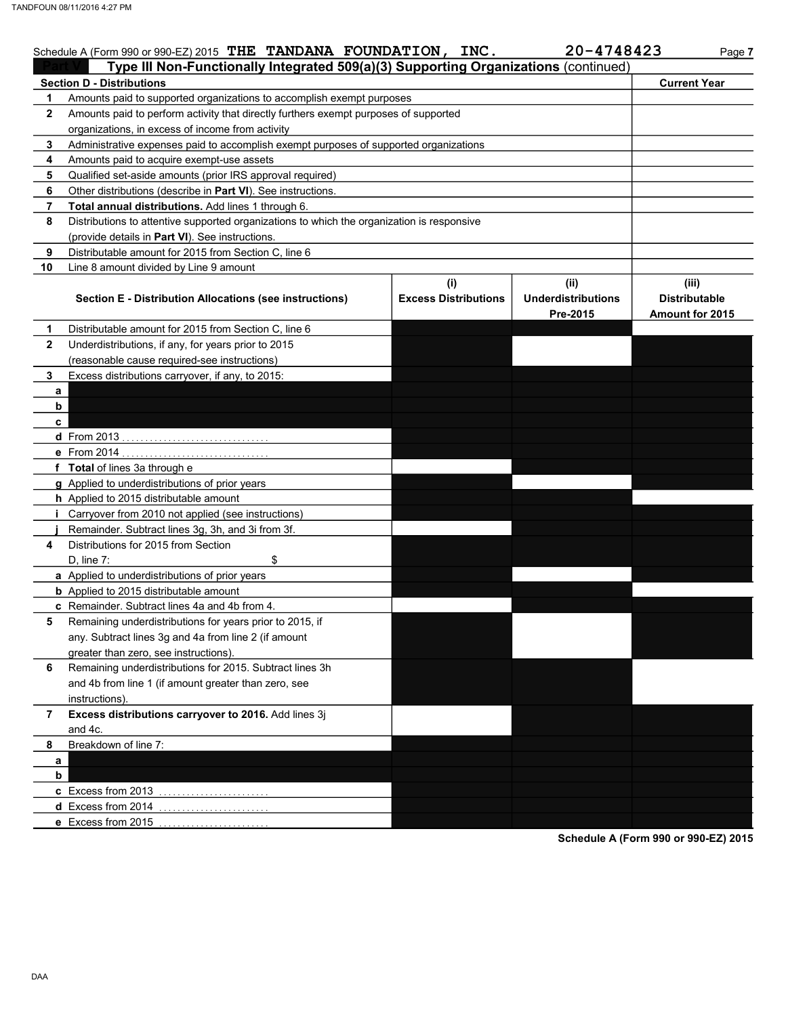| 20-4748423<br>Schedule A (Form 990 or 990-EZ) 2015 THE TANDANA FOUNDATION, INC.<br>Page 7 |                                                                                            |                             |                           |                        |  |  |  |
|-------------------------------------------------------------------------------------------|--------------------------------------------------------------------------------------------|-----------------------------|---------------------------|------------------------|--|--|--|
| Type III Non-Functionally Integrated 509(a)(3) Supporting Organizations (continued)       |                                                                                            |                             |                           |                        |  |  |  |
|                                                                                           | <b>Section D - Distributions</b>                                                           |                             |                           | <b>Current Year</b>    |  |  |  |
| 1                                                                                         | Amounts paid to supported organizations to accomplish exempt purposes                      |                             |                           |                        |  |  |  |
| $\mathbf{2}$                                                                              | Amounts paid to perform activity that directly furthers exempt purposes of supported       |                             |                           |                        |  |  |  |
|                                                                                           | organizations, in excess of income from activity                                           |                             |                           |                        |  |  |  |
| 3                                                                                         | Administrative expenses paid to accomplish exempt purposes of supported organizations      |                             |                           |                        |  |  |  |
| 4                                                                                         | Amounts paid to acquire exempt-use assets                                                  |                             |                           |                        |  |  |  |
| 5                                                                                         | Qualified set-aside amounts (prior IRS approval required)                                  |                             |                           |                        |  |  |  |
| 6                                                                                         | Other distributions (describe in Part VI). See instructions.                               |                             |                           |                        |  |  |  |
| 7                                                                                         | Total annual distributions. Add lines 1 through 6.                                         |                             |                           |                        |  |  |  |
| 8                                                                                         | Distributions to attentive supported organizations to which the organization is responsive |                             |                           |                        |  |  |  |
|                                                                                           | (provide details in Part VI). See instructions.                                            |                             |                           |                        |  |  |  |
| 9                                                                                         | Distributable amount for 2015 from Section C, line 6                                       |                             |                           |                        |  |  |  |
| 10                                                                                        | Line 8 amount divided by Line 9 amount                                                     |                             |                           |                        |  |  |  |
|                                                                                           |                                                                                            | (i)                         | (i)                       | (iii)                  |  |  |  |
|                                                                                           | Section E - Distribution Allocations (see instructions)                                    | <b>Excess Distributions</b> | <b>Underdistributions</b> | <b>Distributable</b>   |  |  |  |
|                                                                                           |                                                                                            |                             | Pre-2015                  | <b>Amount for 2015</b> |  |  |  |
| 1                                                                                         | Distributable amount for 2015 from Section C, line 6                                       |                             |                           |                        |  |  |  |
| $\mathbf{2}$                                                                              | Underdistributions, if any, for years prior to 2015                                        |                             |                           |                        |  |  |  |
|                                                                                           | (reasonable cause required-see instructions)                                               |                             |                           |                        |  |  |  |
| 3                                                                                         | Excess distributions carryover, if any, to 2015:                                           |                             |                           |                        |  |  |  |
| а                                                                                         |                                                                                            |                             |                           |                        |  |  |  |
| b                                                                                         |                                                                                            |                             |                           |                        |  |  |  |
| c                                                                                         |                                                                                            |                             |                           |                        |  |  |  |
|                                                                                           | d From 2013                                                                                |                             |                           |                        |  |  |  |
|                                                                                           | e From 2014                                                                                |                             |                           |                        |  |  |  |
|                                                                                           | f Total of lines 3a through e                                                              |                             |                           |                        |  |  |  |
|                                                                                           | g Applied to underdistributions of prior years                                             |                             |                           |                        |  |  |  |
|                                                                                           | h Applied to 2015 distributable amount                                                     |                             |                           |                        |  |  |  |
|                                                                                           | i Carryover from 2010 not applied (see instructions)                                       |                             |                           |                        |  |  |  |
|                                                                                           | Remainder. Subtract lines 3g, 3h, and 3i from 3f.                                          |                             |                           |                        |  |  |  |
| 4                                                                                         | Distributions for 2015 from Section                                                        |                             |                           |                        |  |  |  |
|                                                                                           | D, line $7$ :<br>\$                                                                        |                             |                           |                        |  |  |  |
|                                                                                           | a Applied to underdistributions of prior years                                             |                             |                           |                        |  |  |  |
|                                                                                           | <b>b</b> Applied to 2015 distributable amount                                              |                             |                           |                        |  |  |  |
|                                                                                           | c Remainder. Subtract lines 4a and 4b from 4.                                              |                             |                           |                        |  |  |  |
|                                                                                           | Remaining underdistributions for years prior to 2015, if                                   |                             |                           |                        |  |  |  |
|                                                                                           | any. Subtract lines 3g and 4a from line 2 (if amount                                       |                             |                           |                        |  |  |  |
|                                                                                           | greater than zero, see instructions)                                                       |                             |                           |                        |  |  |  |
| 6                                                                                         | Remaining underdistributions for 2015. Subtract lines 3h                                   |                             |                           |                        |  |  |  |
|                                                                                           | and 4b from line 1 (if amount greater than zero, see                                       |                             |                           |                        |  |  |  |
|                                                                                           | instructions).                                                                             |                             |                           |                        |  |  |  |
| 7                                                                                         | Excess distributions carryover to 2016. Add lines 3j                                       |                             |                           |                        |  |  |  |
|                                                                                           | and 4c.                                                                                    |                             |                           |                        |  |  |  |
| 8                                                                                         | Breakdown of line 7:                                                                       |                             |                           |                        |  |  |  |
| а                                                                                         |                                                                                            |                             |                           |                        |  |  |  |
| b                                                                                         |                                                                                            |                             |                           |                        |  |  |  |
|                                                                                           | c Excess from 2013                                                                         |                             |                           |                        |  |  |  |
|                                                                                           | d Excess from 2014                                                                         |                             |                           |                        |  |  |  |
|                                                                                           | e Excess from 2015                                                                         |                             |                           |                        |  |  |  |

**Schedule A (Form 990 or 990-EZ) 2015**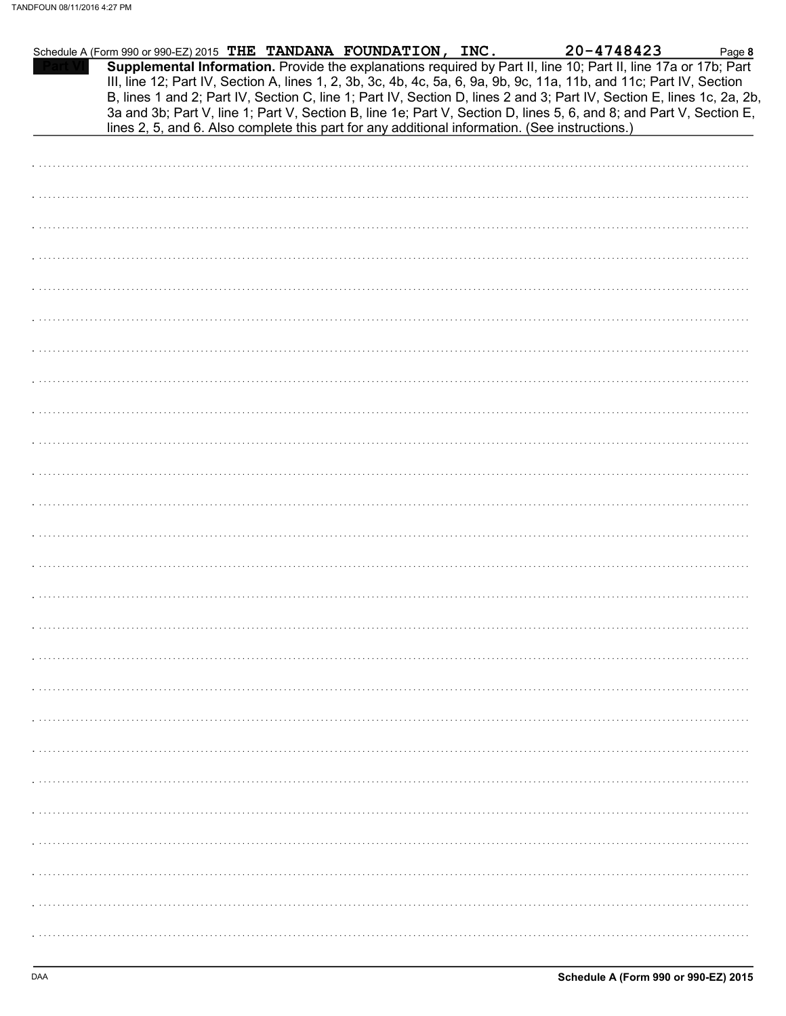| Schedule A (Form 990 or 990-EZ) 2015 THE TANDANA FOUNDATION, INC.                              |  | 20-4748423                                                                                                             | Page 8 |
|------------------------------------------------------------------------------------------------|--|------------------------------------------------------------------------------------------------------------------------|--------|
|                                                                                                |  | Supplemental Information. Provide the explanations required by Part II, line 10; Part II, line 17a or 17b; Part        |        |
|                                                                                                |  | III, line 12; Part IV, Section A, lines 1, 2, 3b, 3c, 4b, 4c, 5a, 6, 9a, 9b, 9c, 11a, 11b, and 11c; Part IV, Section   |        |
|                                                                                                |  | B, lines 1 and 2; Part IV, Section C, line 1; Part IV, Section D, lines 2 and 3; Part IV, Section E, lines 1c, 2a, 2b, |        |
|                                                                                                |  |                                                                                                                        |        |
|                                                                                                |  | 3a and 3b; Part V, line 1; Part V, Section B, line 1e; Part V, Section D, lines 5, 6, and 8; and Part V, Section E,    |        |
| lines 2, 5, and 6. Also complete this part for any additional information. (See instructions.) |  |                                                                                                                        |        |
|                                                                                                |  |                                                                                                                        |        |
|                                                                                                |  |                                                                                                                        |        |
|                                                                                                |  |                                                                                                                        |        |
|                                                                                                |  |                                                                                                                        |        |
|                                                                                                |  |                                                                                                                        |        |
|                                                                                                |  |                                                                                                                        |        |
|                                                                                                |  |                                                                                                                        |        |
|                                                                                                |  |                                                                                                                        |        |
|                                                                                                |  |                                                                                                                        |        |
|                                                                                                |  |                                                                                                                        |        |
|                                                                                                |  |                                                                                                                        |        |
|                                                                                                |  |                                                                                                                        |        |
|                                                                                                |  |                                                                                                                        |        |
|                                                                                                |  |                                                                                                                        |        |
|                                                                                                |  |                                                                                                                        |        |
|                                                                                                |  |                                                                                                                        |        |
|                                                                                                |  |                                                                                                                        |        |
|                                                                                                |  |                                                                                                                        |        |
|                                                                                                |  |                                                                                                                        |        |
|                                                                                                |  |                                                                                                                        |        |
|                                                                                                |  |                                                                                                                        |        |
|                                                                                                |  |                                                                                                                        |        |
|                                                                                                |  |                                                                                                                        |        |
|                                                                                                |  |                                                                                                                        |        |
|                                                                                                |  |                                                                                                                        |        |
|                                                                                                |  |                                                                                                                        |        |
|                                                                                                |  |                                                                                                                        |        |
|                                                                                                |  |                                                                                                                        |        |
|                                                                                                |  |                                                                                                                        |        |
|                                                                                                |  |                                                                                                                        |        |
|                                                                                                |  |                                                                                                                        |        |
|                                                                                                |  |                                                                                                                        |        |
|                                                                                                |  |                                                                                                                        |        |
|                                                                                                |  |                                                                                                                        |        |
|                                                                                                |  |                                                                                                                        |        |
|                                                                                                |  |                                                                                                                        |        |
|                                                                                                |  |                                                                                                                        |        |
|                                                                                                |  |                                                                                                                        |        |
|                                                                                                |  |                                                                                                                        |        |
|                                                                                                |  |                                                                                                                        |        |
|                                                                                                |  |                                                                                                                        |        |
|                                                                                                |  |                                                                                                                        |        |
|                                                                                                |  |                                                                                                                        |        |
|                                                                                                |  |                                                                                                                        |        |
|                                                                                                |  |                                                                                                                        |        |
|                                                                                                |  |                                                                                                                        |        |
|                                                                                                |  |                                                                                                                        |        |
|                                                                                                |  |                                                                                                                        |        |
|                                                                                                |  |                                                                                                                        |        |
|                                                                                                |  |                                                                                                                        |        |
|                                                                                                |  |                                                                                                                        |        |
|                                                                                                |  |                                                                                                                        |        |
|                                                                                                |  |                                                                                                                        |        |
|                                                                                                |  |                                                                                                                        |        |
|                                                                                                |  |                                                                                                                        |        |
|                                                                                                |  |                                                                                                                        |        |
|                                                                                                |  |                                                                                                                        |        |
|                                                                                                |  |                                                                                                                        |        |
|                                                                                                |  |                                                                                                                        |        |
|                                                                                                |  |                                                                                                                        |        |
|                                                                                                |  |                                                                                                                        |        |
|                                                                                                |  |                                                                                                                        |        |
|                                                                                                |  |                                                                                                                        |        |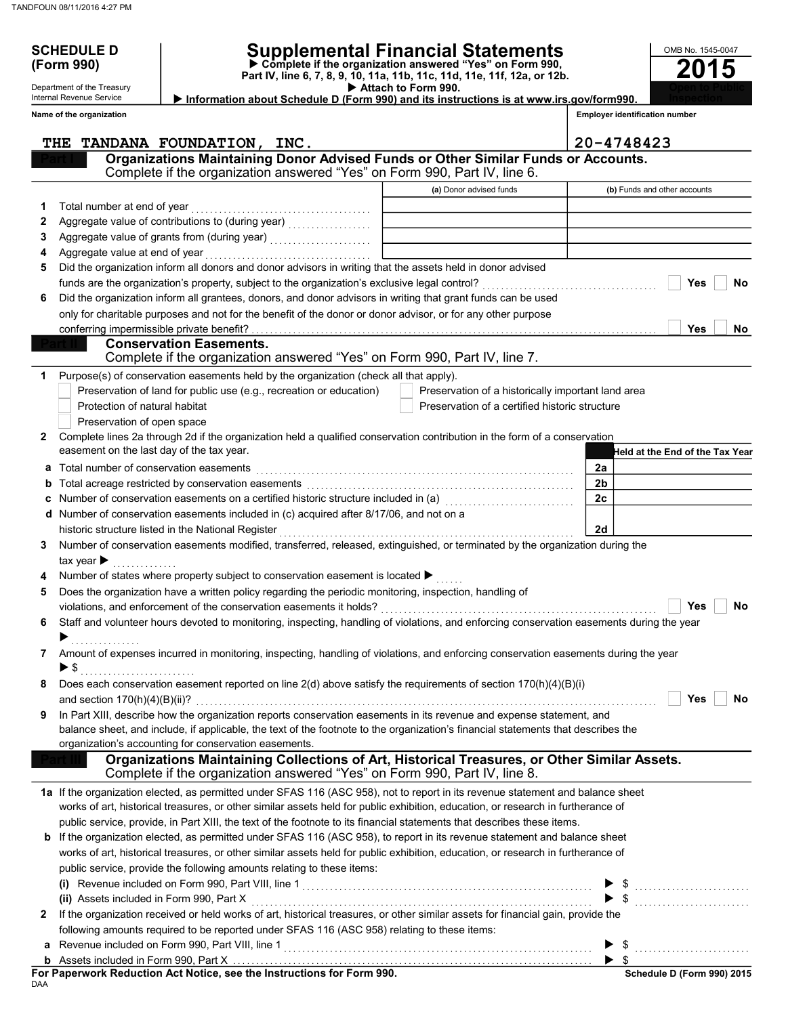# **SCHEDULE D Supplemental Financial Statements**

Attach to Form 990. **(Form 990) Part IV, line 6, 7, 8, 9, 10, 11a, 11b, 11c, 11d, 11e, 11f, 12a, or 12b.** X **Complete if the organization answered "Yes" on Form 990,**

| OMB No. 1545-0047 |  |
|-------------------|--|
|                   |  |

| Information about Schedule D (Form 990) and its instructions is at www.irs.gov/form990. |                                       |
|-----------------------------------------------------------------------------------------|---------------------------------------|
|                                                                                         | <b>Emplover identification number</b> |

| Internal Revenue Service |
|--------------------------|
| Name of the organization |

Department of the Treasury

|              | TANDANA FOUNDATION, INC.<br>THE                                                                                                           |                                                    | 20-4748423                      |
|--------------|-------------------------------------------------------------------------------------------------------------------------------------------|----------------------------------------------------|---------------------------------|
|              | Organizations Maintaining Donor Advised Funds or Other Similar Funds or Accounts.                                                         |                                                    |                                 |
|              | Complete if the organization answered "Yes" on Form 990, Part IV, line 6.                                                                 |                                                    |                                 |
|              |                                                                                                                                           | (a) Donor advised funds                            | (b) Funds and other accounts    |
| 1            | Total number at end of year                                                                                                               |                                                    |                                 |
|              |                                                                                                                                           |                                                    |                                 |
| 3            |                                                                                                                                           | the contract of the contract of the contract of    |                                 |
| 4            | Aggregate value at end of year                                                                                                            |                                                    |                                 |
|              | Did the organization inform all donors and donor advisors in writing that the assets held in donor advised                                |                                                    |                                 |
|              | funds are the organization's property, subject to the organization's exclusive legal control?                                             |                                                    | Yes<br>No                       |
| 6            | Did the organization inform all grantees, donors, and donor advisors in writing that grant funds can be used                              |                                                    |                                 |
|              | only for charitable purposes and not for the benefit of the donor or donor advisor, or for any other purpose                              |                                                    |                                 |
|              | conferring impermissible private benefit?                                                                                                 |                                                    | <b>Yes</b><br>No                |
|              | <b>Conservation Easements.</b>                                                                                                            |                                                    |                                 |
|              | Complete if the organization answered "Yes" on Form 990, Part IV, line 7.                                                                 |                                                    |                                 |
| 1            | Purpose(s) of conservation easements held by the organization (check all that apply).                                                     |                                                    |                                 |
|              | Preservation of land for public use (e.g., recreation or education)                                                                       | Preservation of a historically important land area |                                 |
|              | Protection of natural habitat                                                                                                             | Preservation of a certified historic structure     |                                 |
|              | Preservation of open space                                                                                                                |                                                    |                                 |
| $\mathbf{2}$ | Complete lines 2a through 2d if the organization held a qualified conservation contribution in the form of a conservation                 |                                                    |                                 |
|              | easement on the last day of the tax year.                                                                                                 |                                                    | Held at the End of the Tax Year |
| a            | Total number of conservation easements                                                                                                    |                                                    | 2a                              |
|              | Total acreage restricted by conservation easements                                                                                        |                                                    | 2 <sub>b</sub>                  |
| с            | Number of conservation easements on a certified historic structure included in (a) [[[[[[[[[[[[[[[[[[[[[[[[[]]]]]]]                       |                                                    | 2c                              |
| d            | Number of conservation easements included in (c) acquired after 8/17/06, and not on a                                                     |                                                    |                                 |
|              | historic structure listed in the National Register                                                                                        |                                                    | 2d                              |
| 3            | Number of conservation easements modified, transferred, released, extinguished, or terminated by the organization during the              |                                                    |                                 |
|              | tax year $\blacktriangleright$                                                                                                            |                                                    |                                 |
|              | Number of states where property subject to conservation easement is located >                                                             |                                                    |                                 |
| 5            | Does the organization have a written policy regarding the periodic monitoring, inspection, handling of                                    |                                                    |                                 |
|              |                                                                                                                                           |                                                    | Yes<br>No                       |
| 6            | Staff and volunteer hours devoted to monitoring, inspecting, handling of violations, and enforcing conservation easements during the year |                                                    |                                 |
|              |                                                                                                                                           |                                                    |                                 |
| 7            | Amount of expenses incurred in monitoring, inspecting, handling of violations, and enforcing conservation easements during the year       |                                                    |                                 |
|              | .                                                                                                                                         |                                                    |                                 |
|              | Does each conservation easement reported on line 2(d) above satisfy the requirements of section 170(h)(4)(B)(i)                           |                                                    |                                 |
|              |                                                                                                                                           |                                                    | $\Box$ Yes $\Box$ No            |
| 9            | In Part XIII, describe how the organization reports conservation easements in its revenue and expense statement, and                      |                                                    |                                 |
|              | balance sheet, and include, if applicable, the text of the footnote to the organization's financial statements that describes the         |                                                    |                                 |
|              | organization's accounting for conservation easements.                                                                                     |                                                    |                                 |
|              | Organizations Maintaining Collections of Art, Historical Treasures, or Other Similar Assets.                                              |                                                    |                                 |
|              | Complete if the organization answered "Yes" on Form 990, Part IV, line 8.                                                                 |                                                    |                                 |
|              | 1a If the organization elected, as permitted under SFAS 116 (ASC 958), not to report in its revenue statement and balance sheet           |                                                    |                                 |
|              | works of art, historical treasures, or other similar assets held for public exhibition, education, or research in furtherance of          |                                                    |                                 |
|              | public service, provide, in Part XIII, the text of the footnote to its financial statements that describes these items.                   |                                                    |                                 |
| b            | If the organization elected, as permitted under SFAS 116 (ASC 958), to report in its revenue statement and balance sheet                  |                                                    |                                 |
|              | works of art, historical treasures, or other similar assets held for public exhibition, education, or research in furtherance of          |                                                    |                                 |
|              | public service, provide the following amounts relating to these items:                                                                    |                                                    |                                 |
|              |                                                                                                                                           |                                                    |                                 |
|              | (ii) Assets included in Form 990, Part X                                                                                                  |                                                    |                                 |
| $\mathbf{2}$ | If the organization received or held works of art, historical treasures, or other similar assets for financial gain, provide the          |                                                    |                                 |
|              | following amounts required to be reported under SFAS 116 (ASC 958) relating to these items:                                               |                                                    |                                 |
| a            |                                                                                                                                           |                                                    |                                 |
|              |                                                                                                                                           |                                                    |                                 |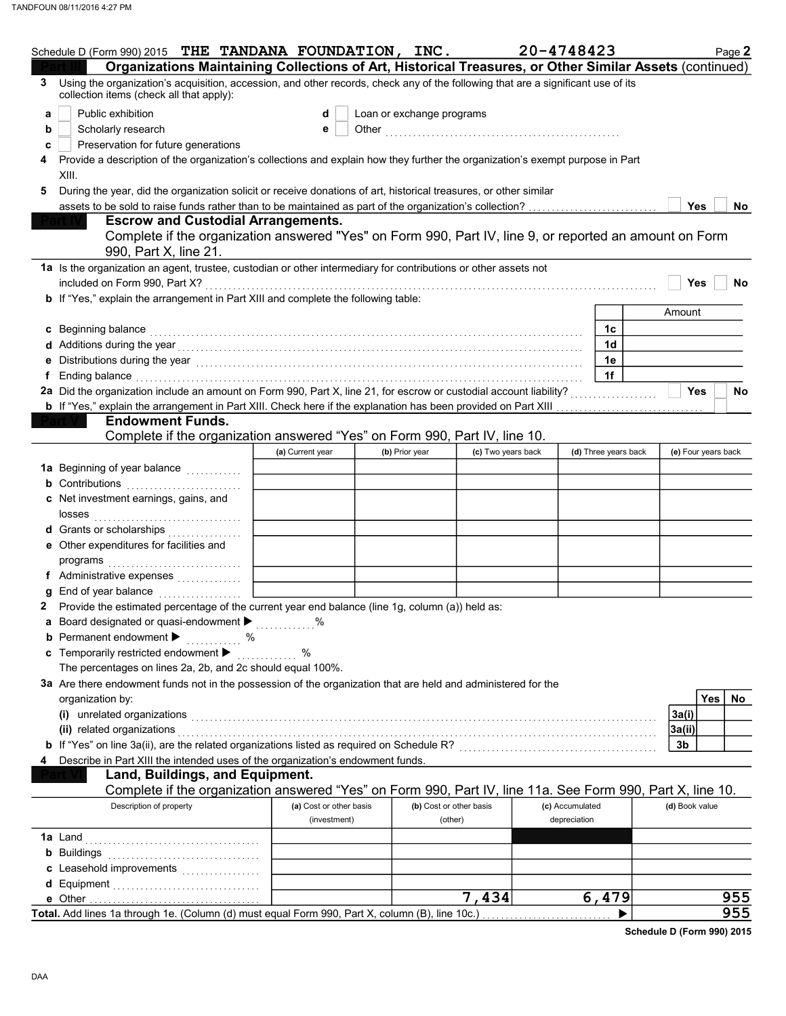|   | Schedule D (Form 990) 2015 THE TANDANA FOUNDATION, INC.                                                                                                                                                                                          |                         |                           |                    | 20-4748423      |                      |                | Page 2              |    |
|---|--------------------------------------------------------------------------------------------------------------------------------------------------------------------------------------------------------------------------------------------------|-------------------------|---------------------------|--------------------|-----------------|----------------------|----------------|---------------------|----|
|   | Organizations Maintaining Collections of Art, Historical Treasures, or Other Similar Assets (continued)                                                                                                                                          |                         |                           |                    |                 |                      |                |                     |    |
|   | 3 Using the organization's acquisition, accession, and other records, check any of the following that are a significant use of its<br>collection items (check all that apply):                                                                   |                         |                           |                    |                 |                      |                |                     |    |
| a | Public exhibition                                                                                                                                                                                                                                | d                       | Loan or exchange programs |                    |                 |                      |                |                     |    |
| b | Scholarly research                                                                                                                                                                                                                               | е                       |                           |                    |                 |                      |                |                     |    |
| c | Preservation for future generations                                                                                                                                                                                                              |                         |                           |                    |                 |                      |                |                     |    |
|   | Provide a description of the organization's collections and explain how they further the organization's exempt purpose in Part                                                                                                                   |                         |                           |                    |                 |                      |                |                     |    |
|   | XIII.                                                                                                                                                                                                                                            |                         |                           |                    |                 |                      |                |                     |    |
| 5 | During the year, did the organization solicit or receive donations of art, historical treasures, or other similar                                                                                                                                |                         |                           |                    |                 |                      |                |                     |    |
|   | assets to be sold to raise funds rather than to be maintained as part of the organization's collection?                                                                                                                                          |                         |                           |                    |                 |                      | <b>Yes</b>     |                     | No |
|   | <b>Escrow and Custodial Arrangements.</b>                                                                                                                                                                                                        |                         |                           |                    |                 |                      |                |                     |    |
|   | Complete if the organization answered "Yes" on Form 990, Part IV, line 9, or reported an amount on Form                                                                                                                                          |                         |                           |                    |                 |                      |                |                     |    |
|   | 990, Part X, line 21.                                                                                                                                                                                                                            |                         |                           |                    |                 |                      |                |                     |    |
|   | 1a Is the organization an agent, trustee, custodian or other intermediary for contributions or other assets not                                                                                                                                  |                         |                           |                    |                 |                      |                |                     |    |
|   | included on Form 990, Part X?                                                                                                                                                                                                                    |                         |                           |                    |                 |                      | Yes            | <b>No</b>           |    |
|   | <b>b</b> If "Yes," explain the arrangement in Part XIII and complete the following table:                                                                                                                                                        |                         |                           |                    |                 |                      |                |                     |    |
|   |                                                                                                                                                                                                                                                  |                         |                           |                    |                 |                      | Amount         |                     |    |
|   | c Beginning balance                                                                                                                                                                                                                              |                         |                           |                    |                 | 1c                   |                |                     |    |
|   | Additions during the year<br>interaction continuous continuous continuous during the year of the year of the set of the set of the set of the set of the set of the set of the set of the set of the set of the set of the set o                 |                         |                           |                    |                 | 1 <sub>d</sub>       |                |                     |    |
|   |                                                                                                                                                                                                                                                  |                         |                           |                    |                 | 1e                   |                |                     |    |
|   | Distributions during the year material contact the set of the year material contact the year material contact the year material contact the year material contact the year material contact the year of the year of the year o<br>Ending balance |                         |                           |                    |                 | 1 <sup>f</sup>       |                |                     |    |
|   | 2a Did the organization include an amount on Form 990, Part X, line 21, for escrow or custodial account liability?                                                                                                                               |                         |                           |                    |                 |                      | <b>Yes</b>     | No                  |    |
|   | <b>b</b> If "Yes," explain the arrangement in Part XIII. Check here if the explanation has been provided on Part XIII                                                                                                                            |                         |                           |                    |                 |                      |                |                     |    |
|   | <b>Endowment Funds.</b>                                                                                                                                                                                                                          |                         |                           |                    |                 |                      |                |                     |    |
|   | Complete if the organization answered "Yes" on Form 990, Part IV, line 10.                                                                                                                                                                       |                         |                           |                    |                 |                      |                |                     |    |
|   |                                                                                                                                                                                                                                                  | (a) Current year        | (b) Prior year            | (c) Two years back |                 | (d) Three years back |                | (e) Four years back |    |
|   | 1a Beginning of year balance <i>minimizing</i>                                                                                                                                                                                                   |                         |                           |                    |                 |                      |                |                     |    |
|   | <b>b</b> Contributions                                                                                                                                                                                                                           |                         |                           |                    |                 |                      |                |                     |    |
|   | c Net investment earnings, gains, and                                                                                                                                                                                                            |                         |                           |                    |                 |                      |                |                     |    |
|   | losses                                                                                                                                                                                                                                           |                         |                           |                    |                 |                      |                |                     |    |
|   | d Grants or scholarships                                                                                                                                                                                                                         |                         |                           |                    |                 |                      |                |                     |    |
|   | Other expenditures for facilities and                                                                                                                                                                                                            |                         |                           |                    |                 |                      |                |                     |    |
|   | programs                                                                                                                                                                                                                                         |                         |                           |                    |                 |                      |                |                     |    |
|   | f Administrative expenses                                                                                                                                                                                                                        |                         |                           |                    |                 |                      |                |                     |    |
|   | End of year balance                                                                                                                                                                                                                              |                         |                           |                    |                 |                      |                |                     |    |
|   | Provide the estimated percentage of the current year end balance (line 1g, column (a)) held as:                                                                                                                                                  |                         |                           |                    |                 |                      |                |                     |    |
|   | a Board designated or quasi-endowment > %                                                                                                                                                                                                        |                         |                           |                    |                 |                      |                |                     |    |
|   | <b>b</b> Permanent endowment $\blacktriangleright$<br>%                                                                                                                                                                                          |                         |                           |                    |                 |                      |                |                     |    |
|   | c Temporarily restricted endowment >                                                                                                                                                                                                             | $\%$                    |                           |                    |                 |                      |                |                     |    |
|   | The percentages on lines 2a, 2b, and 2c should equal 100%.                                                                                                                                                                                       |                         |                           |                    |                 |                      |                |                     |    |
|   | 3a Are there endowment funds not in the possession of the organization that are held and administered for the                                                                                                                                    |                         |                           |                    |                 |                      |                |                     |    |
|   | organization by:                                                                                                                                                                                                                                 |                         |                           |                    |                 |                      |                | <b>Yes</b><br>No.   |    |
|   | (i) unrelated organizations                                                                                                                                                                                                                      |                         |                           |                    |                 |                      | 3a(i)          |                     |    |
|   | (ii) related organizations                                                                                                                                                                                                                       |                         |                           |                    |                 |                      | 3a(ii)         |                     |    |
|   | b If "Yes" on line 3a(ii), are the related organizations listed as required on Schedule R? [[[[[[[[[[[[[[[[[[[                                                                                                                                   |                         |                           |                    |                 |                      | 3b             |                     |    |
| 4 | Describe in Part XIII the intended uses of the organization's endowment funds.                                                                                                                                                                   |                         |                           |                    |                 |                      |                |                     |    |
|   | Land, Buildings, and Equipment.                                                                                                                                                                                                                  |                         |                           |                    |                 |                      |                |                     |    |
|   | Complete if the organization answered "Yes" on Form 990, Part IV, line 11a. See Form 990, Part X, line 10.                                                                                                                                       |                         |                           |                    |                 |                      |                |                     |    |
|   | Description of property                                                                                                                                                                                                                          | (a) Cost or other basis | (b) Cost or other basis   |                    | (c) Accumulated |                      | (d) Book value |                     |    |
|   |                                                                                                                                                                                                                                                  | (investment)            | (other)                   |                    | depreciation    |                      |                |                     |    |
|   | 1a Land                                                                                                                                                                                                                                          |                         |                           |                    |                 |                      |                |                     |    |
|   | <b>b</b> Buildings                                                                                                                                                                                                                               |                         |                           |                    |                 |                      |                |                     |    |
|   | c Leasehold improvements                                                                                                                                                                                                                         |                         |                           |                    |                 |                      |                |                     |    |
|   |                                                                                                                                                                                                                                                  |                         |                           |                    |                 |                      |                |                     |    |
|   |                                                                                                                                                                                                                                                  |                         |                           | 7,434              |                 | 6,479                |                | 955                 |    |
|   |                                                                                                                                                                                                                                                  |                         |                           |                    |                 |                      |                | 955                 |    |
|   |                                                                                                                                                                                                                                                  |                         |                           |                    |                 |                      |                |                     |    |

**Schedule D (Form 990) 2015**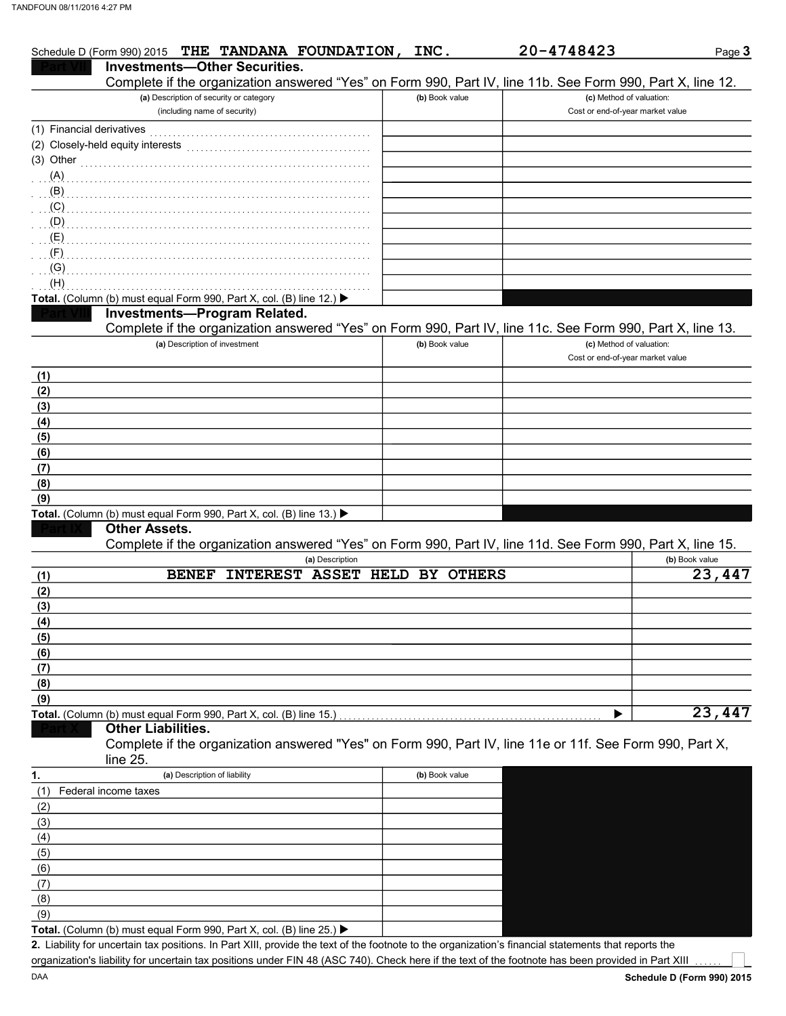|                           | Schedule D (Form 990) 2015 THE TANDANA FOUNDATION,                                                                                                                                                                                 | INC.           | 20-4748423                       | Page 3                |
|---------------------------|------------------------------------------------------------------------------------------------------------------------------------------------------------------------------------------------------------------------------------|----------------|----------------------------------|-----------------------|
|                           | <b>Investments-Other Securities.</b>                                                                                                                                                                                               |                |                                  |                       |
|                           | Complete if the organization answered "Yes" on Form 990, Part IV, line 11b. See Form 990, Part X, line 12.                                                                                                                         |                |                                  |                       |
|                           | (a) Description of security or category                                                                                                                                                                                            | (b) Book value | (c) Method of valuation:         |                       |
|                           | (including name of security)                                                                                                                                                                                                       |                | Cost or end-of-year market value |                       |
| (1) Financial derivatives |                                                                                                                                                                                                                                    |                |                                  |                       |
|                           |                                                                                                                                                                                                                                    |                |                                  |                       |
| $(3)$ Other               |                                                                                                                                                                                                                                    |                |                                  |                       |
| (A)                       |                                                                                                                                                                                                                                    |                |                                  |                       |
| (B)                       |                                                                                                                                                                                                                                    |                |                                  |                       |
|                           | $\overline{a}$ (C) and the continuum continuum continuum continuum continuum continuum continuum continuum continuum continuum continuum continuum continuum continuum continuum continuum continuum continuum continuum continuum |                |                                  |                       |
|                           |                                                                                                                                                                                                                                    |                |                                  |                       |
| (E)                       |                                                                                                                                                                                                                                    |                |                                  |                       |
| $\cdot$ (F)               |                                                                                                                                                                                                                                    |                |                                  |                       |
| (G)                       |                                                                                                                                                                                                                                    |                |                                  |                       |
| (H)                       |                                                                                                                                                                                                                                    |                |                                  |                       |
|                           | Total. (Column (b) must equal Form 990, Part X, col. (B) line 12.) ▶                                                                                                                                                               |                |                                  |                       |
|                           | <b>Investments-Program Related.</b>                                                                                                                                                                                                |                |                                  |                       |
|                           | Complete if the organization answered "Yes" on Form 990, Part IV, line 11c. See Form 990, Part X, line 13.                                                                                                                         |                |                                  |                       |
|                           | (a) Description of investment                                                                                                                                                                                                      | (b) Book value | (c) Method of valuation:         |                       |
|                           |                                                                                                                                                                                                                                    |                | Cost or end-of-year market value |                       |
| (1)                       |                                                                                                                                                                                                                                    |                |                                  |                       |
| (2)                       |                                                                                                                                                                                                                                    |                |                                  |                       |
| (3)                       |                                                                                                                                                                                                                                    |                |                                  |                       |
| (4)                       |                                                                                                                                                                                                                                    |                |                                  |                       |
| (5)                       |                                                                                                                                                                                                                                    |                |                                  |                       |
| (6)                       |                                                                                                                                                                                                                                    |                |                                  |                       |
| (7)                       |                                                                                                                                                                                                                                    |                |                                  |                       |
| (8)                       |                                                                                                                                                                                                                                    |                |                                  |                       |
| (9)                       |                                                                                                                                                                                                                                    |                |                                  |                       |
|                           | Total. (Column (b) must equal Form 990, Part X, col. (B) line 13.) ▶                                                                                                                                                               |                |                                  |                       |
|                           | <b>Other Assets.</b>                                                                                                                                                                                                               |                |                                  |                       |
|                           | Complete if the organization answered "Yes" on Form 990, Part IV, line 11d. See Form 990, Part X, line 15.                                                                                                                         |                |                                  |                       |
|                           | (a) Description                                                                                                                                                                                                                    |                |                                  | (b) Book value        |
| (1)                       | INTEREST ASSET HELD BY OTHERS<br><b>BENEF</b>                                                                                                                                                                                      |                |                                  | $\overline{23}$ , 447 |
| (2)                       |                                                                                                                                                                                                                                    |                |                                  |                       |
| (3)                       |                                                                                                                                                                                                                                    |                |                                  |                       |
| (4)                       |                                                                                                                                                                                                                                    |                |                                  |                       |
| (5)                       |                                                                                                                                                                                                                                    |                |                                  |                       |
| (6)                       |                                                                                                                                                                                                                                    |                |                                  |                       |
| (7)                       |                                                                                                                                                                                                                                    |                |                                  |                       |
| (8)                       |                                                                                                                                                                                                                                    |                |                                  |                       |
| (9)                       |                                                                                                                                                                                                                                    |                |                                  |                       |
|                           | Total. (Column (b) must equal Form 990, Part X, col. (B) line 15.)                                                                                                                                                                 |                |                                  | 23,447                |
|                           | <b>Other Liabilities.</b>                                                                                                                                                                                                          |                |                                  |                       |
|                           | Complete if the organization answered "Yes" on Form 990, Part IV, line 11e or 11f. See Form 990, Part X,                                                                                                                           |                |                                  |                       |
|                           | line 25.                                                                                                                                                                                                                           |                |                                  |                       |
| 1.                        | (a) Description of liability                                                                                                                                                                                                       | (b) Book value |                                  |                       |
| (1)                       | Federal income taxes                                                                                                                                                                                                               |                |                                  |                       |
| (2)                       |                                                                                                                                                                                                                                    |                |                                  |                       |
| (3)                       |                                                                                                                                                                                                                                    |                |                                  |                       |
| (4)                       |                                                                                                                                                                                                                                    |                |                                  |                       |
| (5)                       |                                                                                                                                                                                                                                    |                |                                  |                       |
| (6)                       |                                                                                                                                                                                                                                    |                |                                  |                       |
| (7)                       |                                                                                                                                                                                                                                    |                |                                  |                       |
| (8)                       |                                                                                                                                                                                                                                    |                |                                  |                       |
| (9)                       |                                                                                                                                                                                                                                    |                |                                  |                       |
|                           | Total. (Column (b) must equal Form 990, Part X, col. (B) line 25.) ▶                                                                                                                                                               |                |                                  |                       |

Liability for uncertain tax positions. In Part XIII, provide the text of the footnote to the organization's financial statements that reports the **2.** organization's liability for uncertain tax positions under FIN 48 (ASC 740). Check here if the text of the footnote has been provided in Part XIII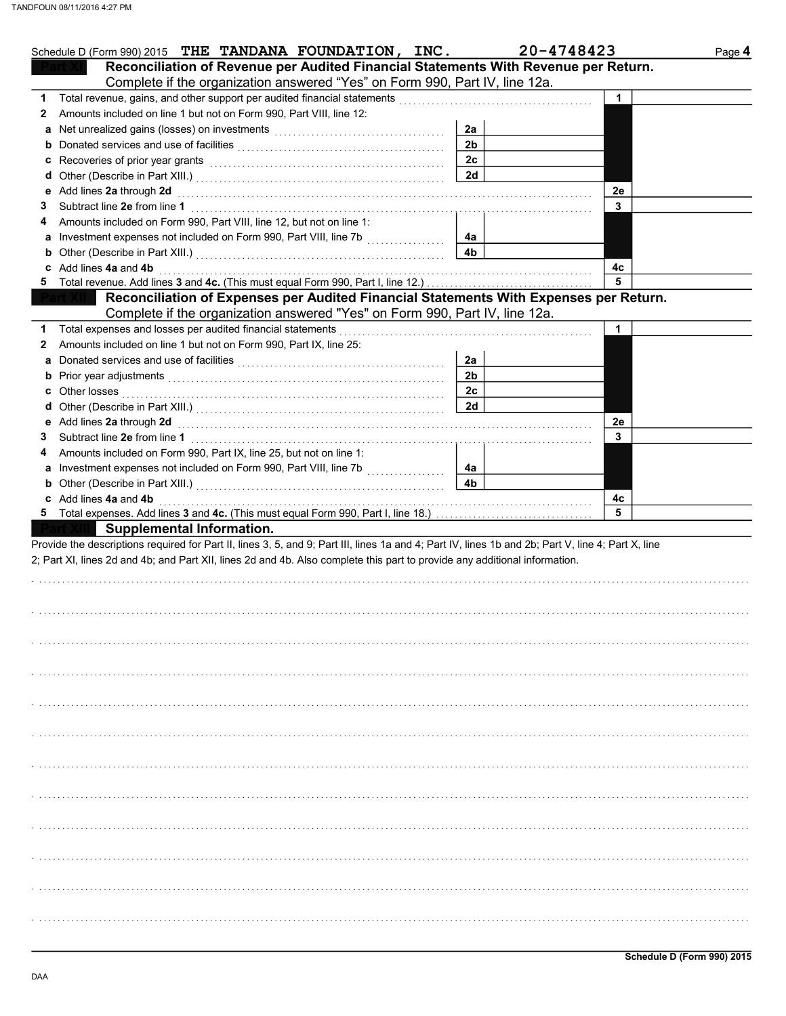|        | Schedule D (Form 990) 2015 THE TANDANA FOUNDATION, INC.                                                                                                                                                                             |                | 20-4748423  | Page 4 |
|--------|-------------------------------------------------------------------------------------------------------------------------------------------------------------------------------------------------------------------------------------|----------------|-------------|--------|
|        | Reconciliation of Revenue per Audited Financial Statements With Revenue per Return.                                                                                                                                                 |                |             |        |
|        | Complete if the organization answered "Yes" on Form 990, Part IV, line 12a.                                                                                                                                                         |                |             |        |
| 1      | Total revenue, gains, and other support per audited financial statements                                                                                                                                                            |                | $\mathbf 1$ |        |
| 2      | Amounts included on line 1 but not on Form 990, Part VIII, line 12:                                                                                                                                                                 |                |             |        |
| а      | Net unrealized gains (losses) on investments [1994] [1994] [1994] [1995] [1995] [1995] [1995] [1995] [1995] [1                                                                                                                      | 2a             |             |        |
| b      |                                                                                                                                                                                                                                     | 2 <sub>b</sub> |             |        |
|        | c Recoveries of prior year grants <b>contained</b> and the Recoveries of prior year grants and contained and the Recoveries of Prior vertex and the Recoveries of prior vertex and the Recoveries of Prior vertex and the Recoverie | 2c             |             |        |
| d      |                                                                                                                                                                                                                                     | 2d             |             |        |
| е      | Add lines 2a through 2d                                                                                                                                                                                                             |                | 2e          |        |
| 3      |                                                                                                                                                                                                                                     |                | 3           |        |
| 4      | Amounts included on Form 990, Part VIII, line 12, but not on line 1:                                                                                                                                                                |                |             |        |
| а      |                                                                                                                                                                                                                                     | 4a             |             |        |
| b      |                                                                                                                                                                                                                                     | 4 <sub>b</sub> |             |        |
|        | Add lines 4a and 4b                                                                                                                                                                                                                 |                | 4с<br>5     |        |
| 5.     |                                                                                                                                                                                                                                     |                |             |        |
|        | Reconciliation of Expenses per Audited Financial Statements With Expenses per Return.<br>Complete if the organization answered "Yes" on Form 990, Part IV, line 12a.                                                                |                |             |        |
|        | Total expenses and losses per audited financial statements                                                                                                                                                                          |                |             |        |
| 1<br>2 | Amounts included on line 1 but not on Form 990, Part IX, line 25:                                                                                                                                                                   |                | 1           |        |
| a      |                                                                                                                                                                                                                                     | 2a             |             |        |
|        |                                                                                                                                                                                                                                     | 2 <sub>b</sub> |             |        |
|        | <b>c</b> Other losses                                                                                                                                                                                                               | 2c             |             |        |
|        |                                                                                                                                                                                                                                     | <b>2d</b>      |             |        |
|        | e Add lines 2a through 2d                                                                                                                                                                                                           |                | 2e          |        |
| 3      | Subtract line 2e from line 1                                                                                                                                                                                                        |                | 3           |        |
| 4      | Amounts included on Form 990, Part IX, line 25, but not on line 1:                                                                                                                                                                  |                |             |        |
|        |                                                                                                                                                                                                                                     | 4a             |             |        |
|        |                                                                                                                                                                                                                                     | 4b             |             |        |
|        | c Add lines 4a and 4b                                                                                                                                                                                                               |                | 4с          |        |
|        |                                                                                                                                                                                                                                     |                | 5           |        |
|        | <b>Supplemental Information.</b>                                                                                                                                                                                                    |                |             |        |
|        | Provide the descriptions required for Part II, lines 3, 5, and 9; Part III, lines 1a and 4; Part IV, lines 1b and 2b; Part V, line 4; Part X, line                                                                                  |                |             |        |
|        | 2; Part XI, lines 2d and 4b; and Part XII, lines 2d and 4b. Also complete this part to provide any additional information.                                                                                                          |                |             |        |
|        |                                                                                                                                                                                                                                     |                |             |        |
|        |                                                                                                                                                                                                                                     |                |             |        |
|        |                                                                                                                                                                                                                                     |                |             |        |
|        |                                                                                                                                                                                                                                     |                |             |        |
|        |                                                                                                                                                                                                                                     |                |             |        |
|        |                                                                                                                                                                                                                                     |                |             |        |
|        |                                                                                                                                                                                                                                     |                |             |        |
|        |                                                                                                                                                                                                                                     |                |             |        |
|        |                                                                                                                                                                                                                                     |                |             |        |
|        |                                                                                                                                                                                                                                     |                |             |        |
|        |                                                                                                                                                                                                                                     |                |             |        |
|        |                                                                                                                                                                                                                                     |                |             |        |
|        |                                                                                                                                                                                                                                     |                |             |        |
|        |                                                                                                                                                                                                                                     |                |             |        |
|        |                                                                                                                                                                                                                                     |                |             |        |
|        |                                                                                                                                                                                                                                     |                |             |        |
|        |                                                                                                                                                                                                                                     |                |             |        |
|        |                                                                                                                                                                                                                                     |                |             |        |
|        |                                                                                                                                                                                                                                     |                |             |        |
|        |                                                                                                                                                                                                                                     |                |             |        |
|        |                                                                                                                                                                                                                                     |                |             |        |
|        |                                                                                                                                                                                                                                     |                |             |        |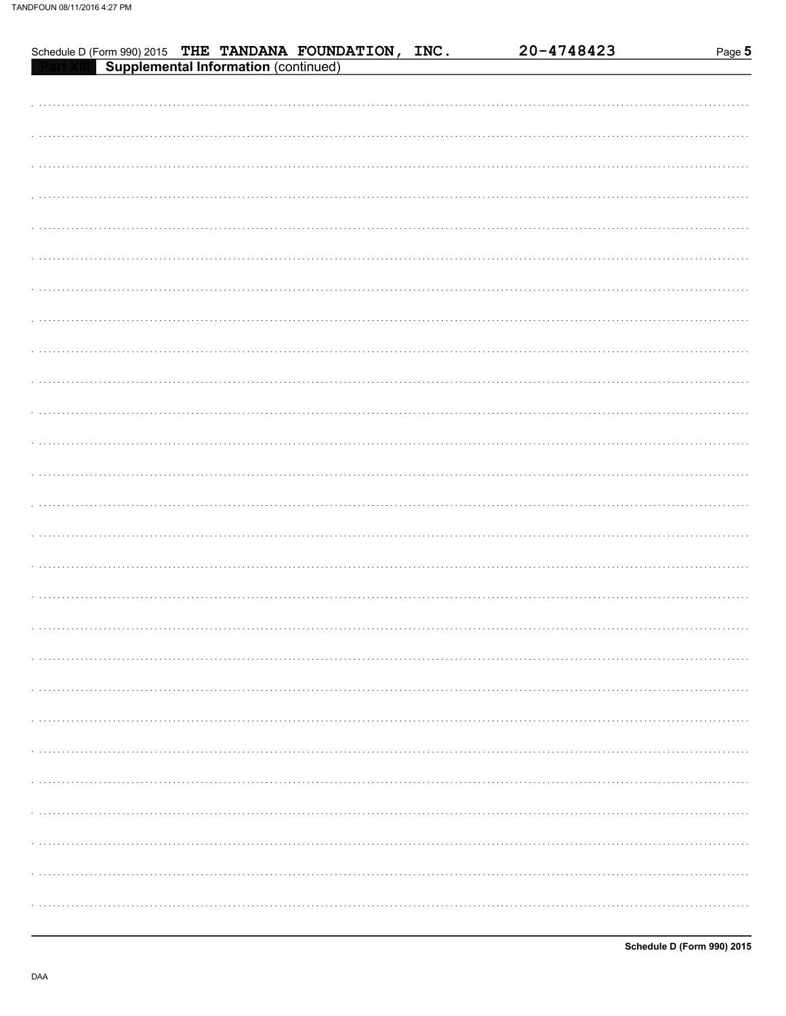| Schedule D (Form 990) 2015 THE TANDANA FOUNDATION, INC.<br>Supplemental Information (continued) |  | 20-4748423 | Page 5 |
|-------------------------------------------------------------------------------------------------|--|------------|--------|
|                                                                                                 |  |            |        |
|                                                                                                 |  |            |        |
|                                                                                                 |  |            |        |
|                                                                                                 |  |            |        |
|                                                                                                 |  |            |        |
|                                                                                                 |  |            |        |
|                                                                                                 |  |            |        |
|                                                                                                 |  |            |        |
|                                                                                                 |  |            |        |
|                                                                                                 |  |            |        |
|                                                                                                 |  |            |        |
|                                                                                                 |  |            |        |
|                                                                                                 |  |            |        |
|                                                                                                 |  |            |        |
|                                                                                                 |  |            |        |
|                                                                                                 |  |            |        |
|                                                                                                 |  |            |        |
|                                                                                                 |  |            |        |
|                                                                                                 |  |            |        |
|                                                                                                 |  |            |        |
|                                                                                                 |  |            |        |
|                                                                                                 |  |            |        |
|                                                                                                 |  |            |        |
|                                                                                                 |  |            |        |
|                                                                                                 |  |            |        |
|                                                                                                 |  |            |        |
|                                                                                                 |  |            |        |
|                                                                                                 |  |            |        |
|                                                                                                 |  |            |        |
|                                                                                                 |  |            |        |
|                                                                                                 |  |            |        |
|                                                                                                 |  |            |        |
|                                                                                                 |  |            |        |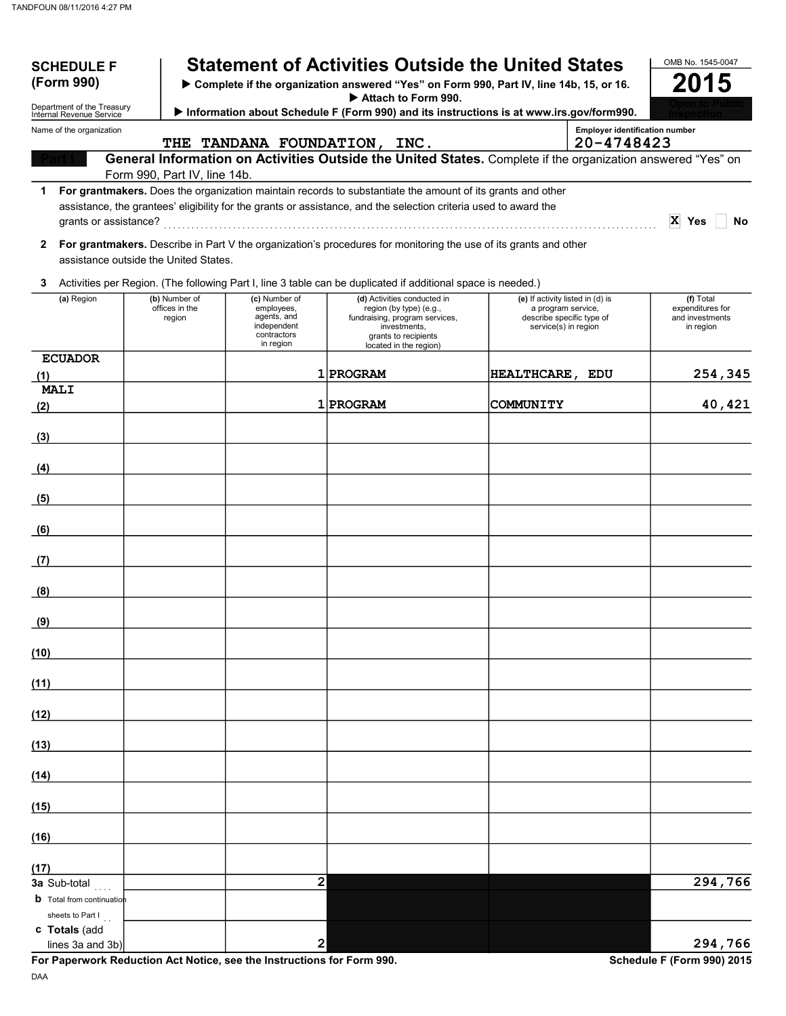| <b>SCHEDULE F</b><br>(Form 990)                                      |                                           |                                                                                       | <b>Statement of Activities Outside the United States</b><br>> Complete if the organization answered "Yes" on Form 990, Part IV, line 14b, 15, or 16.                                                                           |                                                                                                             |                                       | OMB No. 1545-0047<br>2015                                     |
|----------------------------------------------------------------------|-------------------------------------------|---------------------------------------------------------------------------------------|--------------------------------------------------------------------------------------------------------------------------------------------------------------------------------------------------------------------------------|-------------------------------------------------------------------------------------------------------------|---------------------------------------|---------------------------------------------------------------|
| Department of the Treasury                                           |                                           |                                                                                       | Attach to Form 990.                                                                                                                                                                                                            |                                                                                                             |                                       |                                                               |
| Internal Revenue Service<br>Name of the organization                 |                                           |                                                                                       | Information about Schedule F (Form 990) and its instructions is at www.irs.gov/form990.                                                                                                                                        |                                                                                                             | <b>Employer identification number</b> |                                                               |
|                                                                      |                                           |                                                                                       | THE TANDANA FOUNDATION, INC.                                                                                                                                                                                                   |                                                                                                             | 20-4748423                            |                                                               |
|                                                                      | Form 990, Part IV, line 14b.              |                                                                                       | General Information on Activities Outside the United States. Complete if the organization answered "Yes" on                                                                                                                    |                                                                                                             |                                       |                                                               |
| 1<br>grants or assistance?                                           |                                           |                                                                                       | For grantmakers. Does the organization maintain records to substantiate the amount of its grants and other<br>assistance, the grantees' eligibility for the grants or assistance, and the selection criteria used to award the |                                                                                                             |                                       | $ X $ Yes<br>No                                               |
| 2<br>assistance outside the United States.                           |                                           |                                                                                       | For grantmakers. Describe in Part V the organization's procedures for monitoring the use of its grants and other                                                                                                               |                                                                                                             |                                       |                                                               |
| 3                                                                    |                                           |                                                                                       | Activities per Region. (The following Part I, line 3 table can be duplicated if additional space is needed.)                                                                                                                   |                                                                                                             |                                       |                                                               |
| (a) Region                                                           | (b) Number of<br>offices in the<br>region | (c) Number of<br>employees,<br>agents, and<br>independent<br>contractors<br>in region | (d) Activities conducted in<br>region (by type) (e.g.,<br>fundraising, program services,<br>investments,<br>grants to recipients<br>located in the region)                                                                     | (e) If activity listed in (d) is<br>a program service,<br>describe specific type of<br>service(s) in region |                                       | (f) Total<br>expenditures for<br>and investments<br>in region |
| <b>ECUADOR</b><br>(1)                                                |                                           |                                                                                       | 1 PROGRAM                                                                                                                                                                                                                      | <b>HEALTHCARE, EDU</b>                                                                                      |                                       | 254,345                                                       |
| <b>MALI</b>                                                          |                                           |                                                                                       |                                                                                                                                                                                                                                |                                                                                                             |                                       |                                                               |
| (2)                                                                  |                                           |                                                                                       | 1 PROGRAM                                                                                                                                                                                                                      | <b>COMMUNITY</b>                                                                                            |                                       | 40,421                                                        |
| (3)                                                                  |                                           |                                                                                       |                                                                                                                                                                                                                                |                                                                                                             |                                       |                                                               |
| (4)                                                                  |                                           |                                                                                       |                                                                                                                                                                                                                                |                                                                                                             |                                       |                                                               |
| (5)                                                                  |                                           |                                                                                       |                                                                                                                                                                                                                                |                                                                                                             |                                       |                                                               |
| (6)                                                                  |                                           |                                                                                       |                                                                                                                                                                                                                                |                                                                                                             |                                       |                                                               |
| (7)                                                                  |                                           |                                                                                       |                                                                                                                                                                                                                                |                                                                                                             |                                       |                                                               |
| (8)                                                                  |                                           |                                                                                       |                                                                                                                                                                                                                                |                                                                                                             |                                       |                                                               |
| (9)                                                                  |                                           |                                                                                       |                                                                                                                                                                                                                                |                                                                                                             |                                       |                                                               |
| (10)                                                                 |                                           |                                                                                       |                                                                                                                                                                                                                                |                                                                                                             |                                       |                                                               |
| (11)                                                                 |                                           |                                                                                       |                                                                                                                                                                                                                                |                                                                                                             |                                       |                                                               |
| (12)                                                                 |                                           |                                                                                       |                                                                                                                                                                                                                                |                                                                                                             |                                       |                                                               |
| (13)                                                                 |                                           |                                                                                       |                                                                                                                                                                                                                                |                                                                                                             |                                       |                                                               |
| (14)                                                                 |                                           |                                                                                       |                                                                                                                                                                                                                                |                                                                                                             |                                       |                                                               |
| (15)                                                                 |                                           |                                                                                       |                                                                                                                                                                                                                                |                                                                                                             |                                       |                                                               |
| (16)                                                                 |                                           |                                                                                       |                                                                                                                                                                                                                                |                                                                                                             |                                       |                                                               |
| (17)                                                                 |                                           |                                                                                       |                                                                                                                                                                                                                                |                                                                                                             |                                       |                                                               |
| 3a Sub-total<br><b>b</b> Total from continuation<br>sheets to Part I |                                           |                                                                                       | 2                                                                                                                                                                                                                              |                                                                                                             |                                       | 294,766                                                       |
| c Totals (add<br>lines 3a and 3b)                                    |                                           |                                                                                       | $\overline{2}$                                                                                                                                                                                                                 |                                                                                                             |                                       | 294,766                                                       |

**For Paperwork Reduction Act Notice, see the Instructions for Form 990. Schedule F (Form 990) 2015** DAA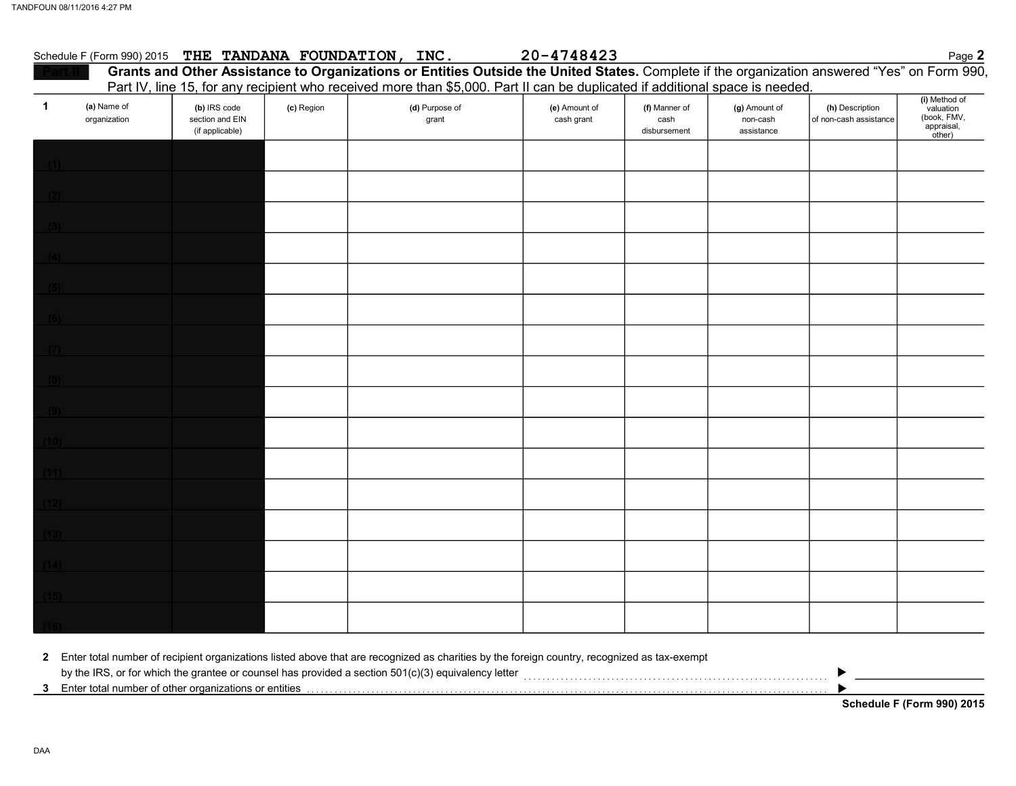|   |                             |                                                    |            | Schedule F (Form 990) 2015 THE TANDANA FOUNDATION, INC.                                                                                                 | 20-4748423                  |                                       |                                         |                                           | Page 2                                                            |
|---|-----------------------------|----------------------------------------------------|------------|---------------------------------------------------------------------------------------------------------------------------------------------------------|-----------------------------|---------------------------------------|-----------------------------------------|-------------------------------------------|-------------------------------------------------------------------|
|   |                             |                                                    |            | Grants and Other Assistance to Organizations or Entities Outside the United States. Complete if the organization answered "Yes" on Form 990,            |                             |                                       |                                         |                                           |                                                                   |
| 1 | (a) Name of<br>organization | (b) IRS code<br>section and EIN<br>(if applicable) | (c) Region | Part IV, line 15, for any recipient who received more than \$5,000. Part II can be duplicated if additional space is needed.<br>(d) Purpose of<br>grant | (e) Amount of<br>cash grant | (f) Manner of<br>cash<br>disbursement | (g) Amount of<br>non-cash<br>assistance | (h) Description<br>of non-cash assistance | (i) Method of<br>valuation<br>(book, FMV,<br>appraisal,<br>other) |
|   |                             |                                                    |            |                                                                                                                                                         |                             |                                       |                                         |                                           |                                                                   |
|   |                             |                                                    |            |                                                                                                                                                         |                             |                                       |                                         |                                           |                                                                   |
|   |                             |                                                    |            |                                                                                                                                                         |                             |                                       |                                         |                                           |                                                                   |
|   |                             |                                                    |            |                                                                                                                                                         |                             |                                       |                                         |                                           |                                                                   |
|   |                             |                                                    |            |                                                                                                                                                         |                             |                                       |                                         |                                           |                                                                   |
|   |                             |                                                    |            |                                                                                                                                                         |                             |                                       |                                         |                                           |                                                                   |
|   |                             |                                                    |            |                                                                                                                                                         |                             |                                       |                                         |                                           |                                                                   |
|   |                             |                                                    |            |                                                                                                                                                         |                             |                                       |                                         |                                           |                                                                   |
|   |                             |                                                    |            |                                                                                                                                                         |                             |                                       |                                         |                                           |                                                                   |
|   |                             |                                                    |            |                                                                                                                                                         |                             |                                       |                                         |                                           |                                                                   |
|   |                             |                                                    |            |                                                                                                                                                         |                             |                                       |                                         |                                           |                                                                   |
|   |                             |                                                    |            |                                                                                                                                                         |                             |                                       |                                         |                                           |                                                                   |
|   |                             |                                                    |            |                                                                                                                                                         |                             |                                       |                                         |                                           |                                                                   |
|   |                             |                                                    |            |                                                                                                                                                         |                             |                                       |                                         |                                           |                                                                   |
|   |                             |                                                    |            |                                                                                                                                                         |                             |                                       |                                         |                                           |                                                                   |
|   |                             |                                                    |            |                                                                                                                                                         |                             |                                       |                                         |                                           |                                                                   |
|   |                             |                                                    |            |                                                                                                                                                         |                             |                                       |                                         |                                           |                                                                   |

**2** Enter total number of recipient organizations listed above that are recognized as charities by the foreign country, recognized as tax-exempt **3** Enter total number of other organizations or entities **considerations** or entities **considerations** or entities **considerations** or entities **considerations** or entities **considerations** or entities **considerations c** by the IRS, or for which the grantee or counsel has provided a section 501(c)(3) equivalency letter ..................................................................  $\blacktriangleright$  $\blacktriangleright$ 

**Schedule F (Form 990) 2015**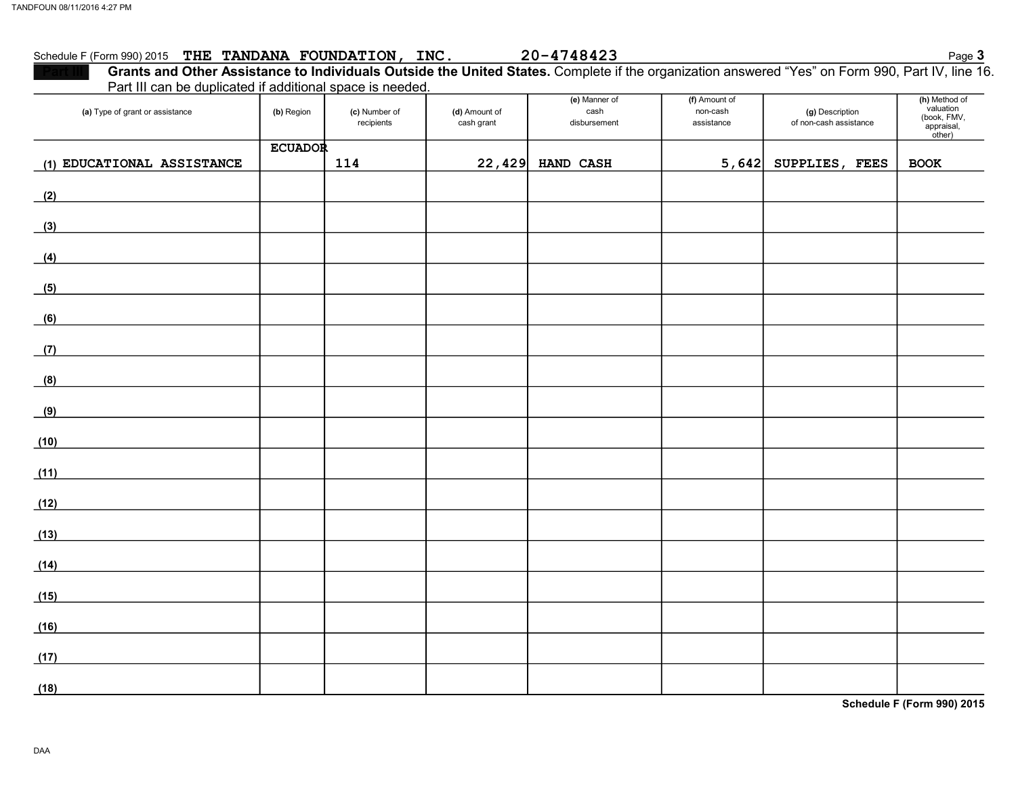## Schedule F (Form 990) 2015 THE TANDANA FOUNDATION, INC. 20-4748423 Page 3

| Part III can be duplicated if additional space is needed. |                |                             |                             |                                       |                                         |                                           |                                                                   |
|-----------------------------------------------------------|----------------|-----------------------------|-----------------------------|---------------------------------------|-----------------------------------------|-------------------------------------------|-------------------------------------------------------------------|
| (a) Type of grant or assistance                           | (b) Region     | (c) Number of<br>recipients | (d) Amount of<br>cash grant | (e) Manner of<br>cash<br>disbursement | (f) Amount of<br>non-cash<br>assistance | (g) Description<br>of non-cash assistance | (h) Method of<br>valuation<br>(book, FMV,<br>appraisal,<br>other) |
| (1) EDUCATIONAL ASSISTANCE                                | <b>ECUADOR</b> | 114                         |                             | 22,429 HAND CASH                      | 5,642                                   | SUPPLIES, FEES                            | <b>BOOK</b>                                                       |
| (2)                                                       |                |                             |                             |                                       |                                         |                                           |                                                                   |
| (3)<br><u> 1989 - Johann Barbara, martx</u>               |                |                             |                             |                                       |                                         |                                           |                                                                   |
| (4)                                                       |                |                             |                             |                                       |                                         |                                           |                                                                   |
| (5)                                                       |                |                             |                             |                                       |                                         |                                           |                                                                   |
| (6)                                                       |                |                             |                             |                                       |                                         |                                           |                                                                   |
| (7)                                                       |                |                             |                             |                                       |                                         |                                           |                                                                   |
| (8)                                                       |                |                             |                             |                                       |                                         |                                           |                                                                   |
| (9)                                                       |                |                             |                             |                                       |                                         |                                           |                                                                   |
| (10)                                                      |                |                             |                             |                                       |                                         |                                           |                                                                   |
| (11)                                                      |                |                             |                             |                                       |                                         |                                           |                                                                   |
| (12)                                                      |                |                             |                             |                                       |                                         |                                           |                                                                   |
| (13)                                                      |                |                             |                             |                                       |                                         |                                           |                                                                   |
| (14)                                                      |                |                             |                             |                                       |                                         |                                           |                                                                   |
| (15)                                                      |                |                             |                             |                                       |                                         |                                           |                                                                   |
| (16)                                                      |                |                             |                             |                                       |                                         |                                           |                                                                   |
| (17)                                                      |                |                             |                             |                                       |                                         |                                           |                                                                   |
| (18)                                                      |                |                             |                             |                                       |                                         |                                           |                                                                   |

**Grants and Other Assistance to Individuals Outside the United States.** Complete if the organization answered "Yes" on Form 990, Part IV, line 16.

**Schedule F (Form 990) 2015**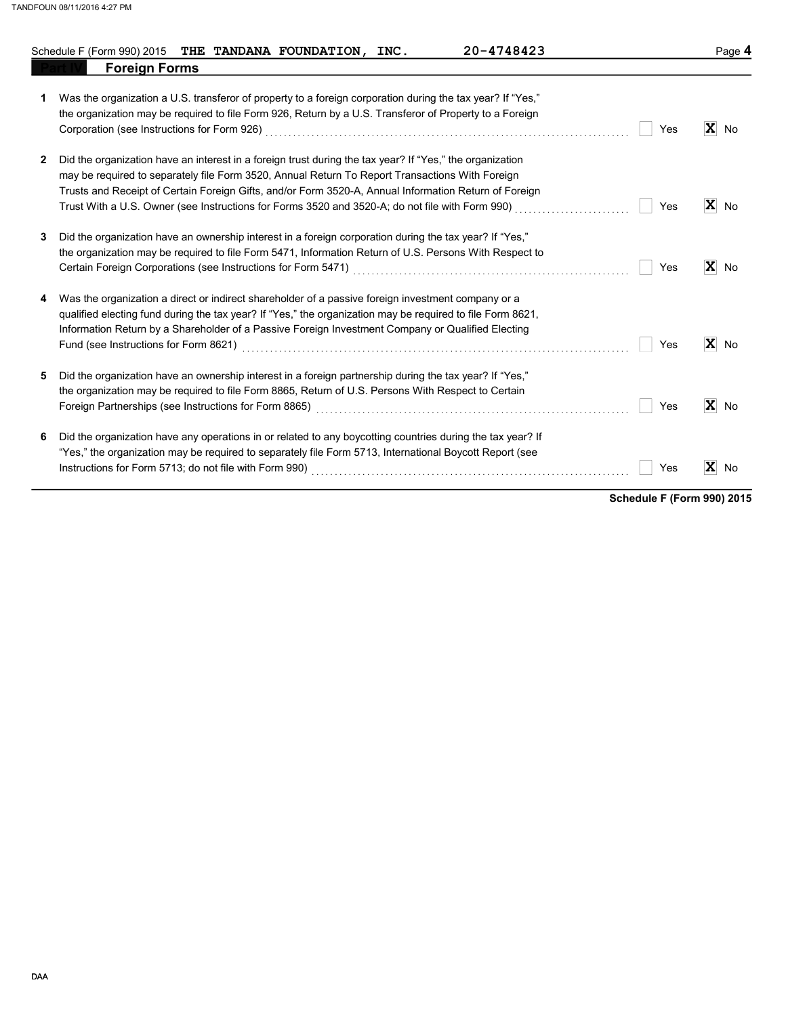|   | Schedule F (Form 990) 2015 THE TANDANA FOUNDATION, INC.                                                                                                                                                                                                                                                                                                                                                                 | 20-4748423 |     | Page 4                         |
|---|-------------------------------------------------------------------------------------------------------------------------------------------------------------------------------------------------------------------------------------------------------------------------------------------------------------------------------------------------------------------------------------------------------------------------|------------|-----|--------------------------------|
|   | <b>Foreign Forms</b>                                                                                                                                                                                                                                                                                                                                                                                                    |            |     |                                |
| 1 | Was the organization a U.S. transferor of property to a foreign corporation during the tax year? If "Yes,"<br>the organization may be required to file Form 926, Return by a U.S. Transferor of Property to a Foreign                                                                                                                                                                                                   |            | Yes | $\vert \mathbf{x} \vert$<br>No |
| 2 | Did the organization have an interest in a foreign trust during the tax year? If "Yes," the organization<br>may be required to separately file Form 3520, Annual Return To Report Transactions With Foreign<br>Trusts and Receipt of Certain Foreign Gifts, and/or Form 3520-A, Annual Information Return of Foreign<br>Trust With a U.S. Owner (see Instructions for Forms 3520 and 3520-A; do not file with Form 990) |            | Yes | $\mathbf{x}$<br>No             |
| 3 | Did the organization have an ownership interest in a foreign corporation during the tax year? If "Yes,"<br>the organization may be required to file Form 5471, Information Return of U.S. Persons With Respect to                                                                                                                                                                                                       |            | Yes | $\overline{\mathbf{x}}$<br>No  |
| 4 | Was the organization a direct or indirect shareholder of a passive foreign investment company or a<br>qualified electing fund during the tax year? If "Yes," the organization may be required to file Form 8621,<br>Information Return by a Shareholder of a Passive Foreign Investment Company or Qualified Electing                                                                                                   |            | Yes | $\overline{\mathbf{x}}$<br>No  |
| 5 | Did the organization have an ownership interest in a foreign partnership during the tax year? If "Yes,"<br>the organization may be required to file Form 8865, Return of U.S. Persons With Respect to Certain                                                                                                                                                                                                           |            | Yes | $ \mathbf{x} $<br>No           |
| 6 | Did the organization have any operations in or related to any boycotting countries during the tax year? If<br>"Yes," the organization may be required to separately file Form 5713, International Boycott Report (see                                                                                                                                                                                                   |            | Yes | X<br>No                        |

**Schedule F (Form 990) 2015**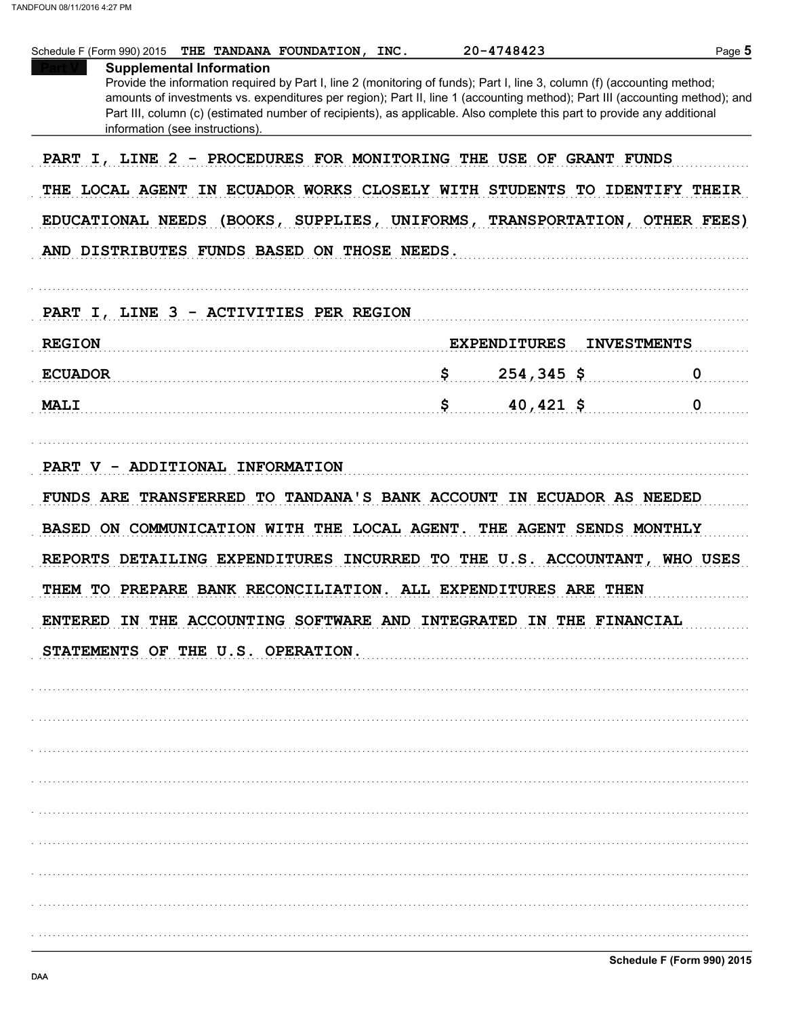|                | Schedule F (Form 990) 2015 THE TANDANA FOUNDATION, INC.<br><b>Supplemental Information</b>                                                                                                                                                                                             |  |      | 20-4748423          | Page 5                                                                                                                      |
|----------------|----------------------------------------------------------------------------------------------------------------------------------------------------------------------------------------------------------------------------------------------------------------------------------------|--|------|---------------------|-----------------------------------------------------------------------------------------------------------------------------|
|                | Provide the information required by Part I, line 2 (monitoring of funds); Part I, line 3, column (f) (accounting method;<br>Part III, column (c) (estimated number of recipients), as applicable. Also complete this part to provide any additional<br>information (see instructions). |  |      |                     | amounts of investments vs. expenditures per region); Part II, line 1 (accounting method); Part III (accounting method); and |
|                | PART I, LINE 2 - PROCEDURES FOR MONITORING THE USE OF GRANT FUNDS                                                                                                                                                                                                                      |  |      |                     |                                                                                                                             |
|                |                                                                                                                                                                                                                                                                                        |  |      |                     | THE LOCAL AGENT IN ECUADOR WORKS CLOSELY WITH STUDENTS TO IDENTIFY THEIR                                                    |
|                |                                                                                                                                                                                                                                                                                        |  |      |                     | EDUCATIONAL NEEDS (BOOKS, SUPPLIES, UNIFORMS, TRANSPORTATION, OTHER FEES)                                                   |
|                | AND DISTRIBUTES FUNDS BASED ON THOSE NEEDS.                                                                                                                                                                                                                                            |  |      |                     |                                                                                                                             |
|                | PART I, LINE 3 - ACTIVITIES PER REGION                                                                                                                                                                                                                                                 |  |      |                     |                                                                                                                             |
| <b>REGION</b>  |                                                                                                                                                                                                                                                                                        |  |      | <b>EXPENDITURES</b> | <b>INVESTMENTS</b>                                                                                                          |
| <b>ECUADOR</b> |                                                                                                                                                                                                                                                                                        |  | . \$ | $254,345$ \$        | $\mathbf 0$                                                                                                                 |
| <b>MALI</b>    |                                                                                                                                                                                                                                                                                        |  | \$.  | $40,421$ \$         | $\mathbf 0$                                                                                                                 |
|                |                                                                                                                                                                                                                                                                                        |  |      |                     |                                                                                                                             |
|                | PART V - ADDITIONAL INFORMATION                                                                                                                                                                                                                                                        |  |      |                     |                                                                                                                             |
|                | FUNDS ARE TRANSFERRED TO TANDANA'S BANK ACCOUNT IN ECUADOR AS NEEDED                                                                                                                                                                                                                   |  |      |                     |                                                                                                                             |
|                | BASED ON COMMUNICATION WITH THE LOCAL AGENT. THE AGENT SENDS MONTHLY                                                                                                                                                                                                                   |  |      |                     |                                                                                                                             |
|                |                                                                                                                                                                                                                                                                                        |  |      |                     | REPORTS DETAILING EXPENDITURES INCURRED TO THE U.S. ACCOUNTANT, WHO USES                                                    |
|                | THEM TO PREPARE BANK RECONCILIATION. ALL EXPENDITURES ARE THEN                                                                                                                                                                                                                         |  |      |                     |                                                                                                                             |
|                | ENTERED IN THE ACCOUNTING SOFTWARE AND INTEGRATED IN THE FINANCIAI.                                                                                                                                                                                                                    |  |      |                     |                                                                                                                             |
|                | STATEMENTS OF THE U.S. OPERATION.                                                                                                                                                                                                                                                      |  |      |                     |                                                                                                                             |
|                |                                                                                                                                                                                                                                                                                        |  |      |                     |                                                                                                                             |
|                |                                                                                                                                                                                                                                                                                        |  |      |                     |                                                                                                                             |
|                |                                                                                                                                                                                                                                                                                        |  |      |                     |                                                                                                                             |
|                |                                                                                                                                                                                                                                                                                        |  |      |                     |                                                                                                                             |
|                |                                                                                                                                                                                                                                                                                        |  |      |                     |                                                                                                                             |
|                |                                                                                                                                                                                                                                                                                        |  |      |                     |                                                                                                                             |
|                |                                                                                                                                                                                                                                                                                        |  |      |                     |                                                                                                                             |
|                |                                                                                                                                                                                                                                                                                        |  |      |                     |                                                                                                                             |
|                |                                                                                                                                                                                                                                                                                        |  |      |                     |                                                                                                                             |
|                |                                                                                                                                                                                                                                                                                        |  |      |                     | Schodulo E (Form 000) 2015                                                                                                  |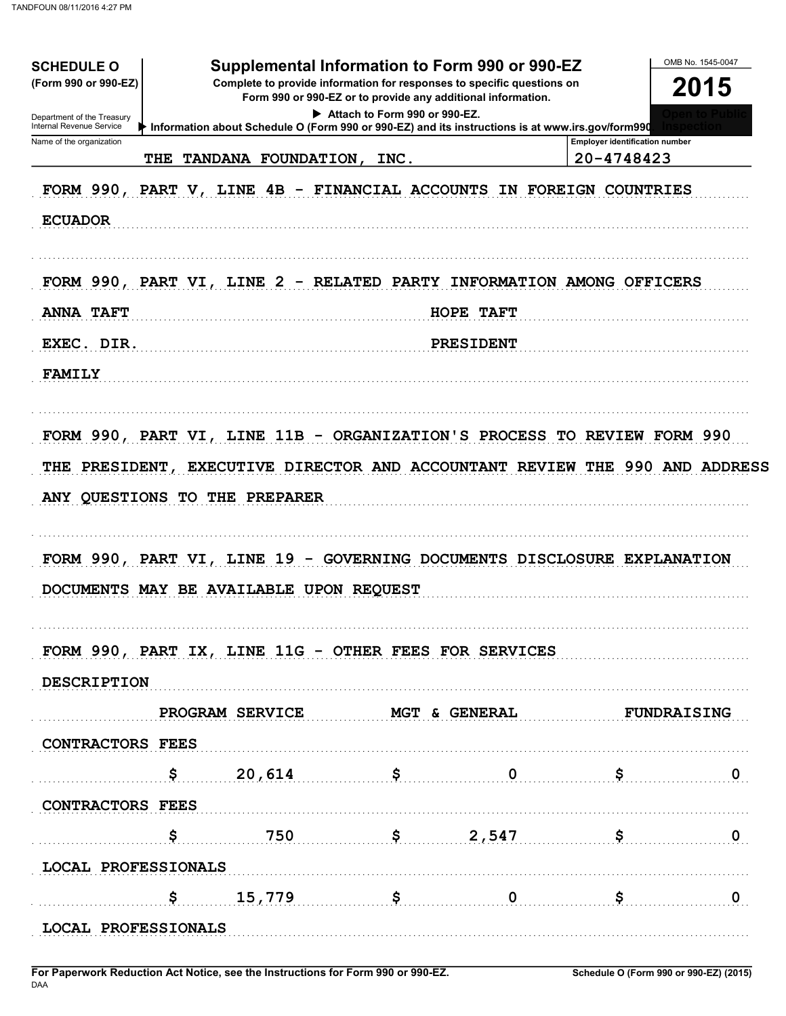| <b>SCHEDULE O</b>                                                                                                                                                                                                                                                                                                                                                                                                                                                                                                                                                                                                                                                                                                                                                                                                                                                                                                                                                                                                                                                                                                                                       |                                                                                                                                                |    |             |    | OMB No. 1545-0047      |  |  |  |  |  |  |
|---------------------------------------------------------------------------------------------------------------------------------------------------------------------------------------------------------------------------------------------------------------------------------------------------------------------------------------------------------------------------------------------------------------------------------------------------------------------------------------------------------------------------------------------------------------------------------------------------------------------------------------------------------------------------------------------------------------------------------------------------------------------------------------------------------------------------------------------------------------------------------------------------------------------------------------------------------------------------------------------------------------------------------------------------------------------------------------------------------------------------------------------------------|------------------------------------------------------------------------------------------------------------------------------------------------|----|-------------|----|------------------------|--|--|--|--|--|--|
| (Form 990 or 990-EZ)                                                                                                                                                                                                                                                                                                                                                                                                                                                                                                                                                                                                                                                                                                                                                                                                                                                                                                                                                                                                                                                                                                                                    | Complete to provide information for responses to specific questions on<br>2015<br>Form 990 or 990-EZ or to provide any additional information. |    |             |    |                        |  |  |  |  |  |  |
| Department of the Treasury                                                                                                                                                                                                                                                                                                                                                                                                                                                                                                                                                                                                                                                                                                                                                                                                                                                                                                                                                                                                                                                                                                                              |                                                                                                                                                |    |             |    |                        |  |  |  |  |  |  |
| Supplemental Information to Form 990 or 990-EZ<br>Attach to Form 990 or 990-EZ.<br>Internal Revenue Service<br>Information about Schedule O (Form 990 or 990-EZ) and its instructions is at www.irs.gov/form990<br>Name of the organization<br><b>Employer identification number</b><br>20-4748423<br>THE<br>TANDANA FOUNDATION,<br>INC.<br>FORM 990,<br>PART V, LINE 4B - FINANCIAL ACCOUNTS IN FOREIGN COUNTRIES<br><b>ECUADOR</b><br>FORM 990, PART VI, LINE 2 - RELATED PARTY INFORMATION AMONG OFFICERS<br><b>ANNA TAFT</b><br>HOPE TAFT<br>EXEC. DIR.<br><b>PRESIDENT</b><br><b>FAMILY</b><br>FORM 990, PART VI, LINE 11B - ORGANIZATION'S PROCESS TO REVIEW FORM 990<br><b>PRESIDENT,</b><br>EXECUTIVE DIRECTOR AND ACCOUNTANT REVIEW THE<br>THE<br>ANY QUESTIONS TO THE PREPARER<br>FORM 990, PART VI, LINE 19 - GOVERNING DOCUMENTS DISCLOSURE EXPLANATION<br>DOCUMENTS MAY BE AVAILABLE UPON REQUEST<br>FORM 990, PART IX, LINE 11G - OTHER FEES FOR SERVICES<br><b>DESCRIPTION</b><br>PROGRAM SERVICE<br><b>MGT &amp; GENERAL</b><br><b>CONTRACTORS FEES</b><br>20,614<br>$\mathsf{s}$<br>\$<br>S.<br>$\mathbf 0$<br><b>CONTRACTORS FEES</b> |                                                                                                                                                |    |             |    |                        |  |  |  |  |  |  |
|                                                                                                                                                                                                                                                                                                                                                                                                                                                                                                                                                                                                                                                                                                                                                                                                                                                                                                                                                                                                                                                                                                                                                         |                                                                                                                                                |    |             |    |                        |  |  |  |  |  |  |
|                                                                                                                                                                                                                                                                                                                                                                                                                                                                                                                                                                                                                                                                                                                                                                                                                                                                                                                                                                                                                                                                                                                                                         |                                                                                                                                                |    |             |    |                        |  |  |  |  |  |  |
|                                                                                                                                                                                                                                                                                                                                                                                                                                                                                                                                                                                                                                                                                                                                                                                                                                                                                                                                                                                                                                                                                                                                                         |                                                                                                                                                |    |             |    |                        |  |  |  |  |  |  |
|                                                                                                                                                                                                                                                                                                                                                                                                                                                                                                                                                                                                                                                                                                                                                                                                                                                                                                                                                                                                                                                                                                                                                         |                                                                                                                                                |    |             |    |                        |  |  |  |  |  |  |
|                                                                                                                                                                                                                                                                                                                                                                                                                                                                                                                                                                                                                                                                                                                                                                                                                                                                                                                                                                                                                                                                                                                                                         |                                                                                                                                                |    |             |    |                        |  |  |  |  |  |  |
|                                                                                                                                                                                                                                                                                                                                                                                                                                                                                                                                                                                                                                                                                                                                                                                                                                                                                                                                                                                                                                                                                                                                                         |                                                                                                                                                |    |             |    |                        |  |  |  |  |  |  |
|                                                                                                                                                                                                                                                                                                                                                                                                                                                                                                                                                                                                                                                                                                                                                                                                                                                                                                                                                                                                                                                                                                                                                         |                                                                                                                                                |    |             |    |                        |  |  |  |  |  |  |
|                                                                                                                                                                                                                                                                                                                                                                                                                                                                                                                                                                                                                                                                                                                                                                                                                                                                                                                                                                                                                                                                                                                                                         |                                                                                                                                                |    |             |    |                        |  |  |  |  |  |  |
|                                                                                                                                                                                                                                                                                                                                                                                                                                                                                                                                                                                                                                                                                                                                                                                                                                                                                                                                                                                                                                                                                                                                                         |                                                                                                                                                |    |             |    |                        |  |  |  |  |  |  |
|                                                                                                                                                                                                                                                                                                                                                                                                                                                                                                                                                                                                                                                                                                                                                                                                                                                                                                                                                                                                                                                                                                                                                         |                                                                                                                                                |    |             |    | <b>990 AND ADDRESS</b> |  |  |  |  |  |  |
|                                                                                                                                                                                                                                                                                                                                                                                                                                                                                                                                                                                                                                                                                                                                                                                                                                                                                                                                                                                                                                                                                                                                                         |                                                                                                                                                |    |             |    |                        |  |  |  |  |  |  |
|                                                                                                                                                                                                                                                                                                                                                                                                                                                                                                                                                                                                                                                                                                                                                                                                                                                                                                                                                                                                                                                                                                                                                         |                                                                                                                                                |    |             |    |                        |  |  |  |  |  |  |
|                                                                                                                                                                                                                                                                                                                                                                                                                                                                                                                                                                                                                                                                                                                                                                                                                                                                                                                                                                                                                                                                                                                                                         |                                                                                                                                                |    |             |    |                        |  |  |  |  |  |  |
|                                                                                                                                                                                                                                                                                                                                                                                                                                                                                                                                                                                                                                                                                                                                                                                                                                                                                                                                                                                                                                                                                                                                                         |                                                                                                                                                |    |             |    |                        |  |  |  |  |  |  |
|                                                                                                                                                                                                                                                                                                                                                                                                                                                                                                                                                                                                                                                                                                                                                                                                                                                                                                                                                                                                                                                                                                                                                         |                                                                                                                                                |    |             |    |                        |  |  |  |  |  |  |
|                                                                                                                                                                                                                                                                                                                                                                                                                                                                                                                                                                                                                                                                                                                                                                                                                                                                                                                                                                                                                                                                                                                                                         |                                                                                                                                                |    |             |    |                        |  |  |  |  |  |  |
|                                                                                                                                                                                                                                                                                                                                                                                                                                                                                                                                                                                                                                                                                                                                                                                                                                                                                                                                                                                                                                                                                                                                                         |                                                                                                                                                |    |             |    | <b>FUNDRAISING</b>     |  |  |  |  |  |  |
|                                                                                                                                                                                                                                                                                                                                                                                                                                                                                                                                                                                                                                                                                                                                                                                                                                                                                                                                                                                                                                                                                                                                                         |                                                                                                                                                |    |             |    |                        |  |  |  |  |  |  |
|                                                                                                                                                                                                                                                                                                                                                                                                                                                                                                                                                                                                                                                                                                                                                                                                                                                                                                                                                                                                                                                                                                                                                         |                                                                                                                                                |    |             |    |                        |  |  |  |  |  |  |
|                                                                                                                                                                                                                                                                                                                                                                                                                                                                                                                                                                                                                                                                                                                                                                                                                                                                                                                                                                                                                                                                                                                                                         |                                                                                                                                                |    |             |    |                        |  |  |  |  |  |  |
|                                                                                                                                                                                                                                                                                                                                                                                                                                                                                                                                                                                                                                                                                                                                                                                                                                                                                                                                                                                                                                                                                                                                                         | 750                                                                                                                                            |    | \$2,547     |    | 0                      |  |  |  |  |  |  |
| LOCAL PROFESSIONALS                                                                                                                                                                                                                                                                                                                                                                                                                                                                                                                                                                                                                                                                                                                                                                                                                                                                                                                                                                                                                                                                                                                                     |                                                                                                                                                |    |             |    |                        |  |  |  |  |  |  |
|                                                                                                                                                                                                                                                                                                                                                                                                                                                                                                                                                                                                                                                                                                                                                                                                                                                                                                                                                                                                                                                                                                                                                         | 15,779                                                                                                                                         | \$ | $\mathbf 0$ | S. | 0                      |  |  |  |  |  |  |
|                                                                                                                                                                                                                                                                                                                                                                                                                                                                                                                                                                                                                                                                                                                                                                                                                                                                                                                                                                                                                                                                                                                                                         |                                                                                                                                                |    |             |    |                        |  |  |  |  |  |  |
| LOCAL PROFESSIONALS                                                                                                                                                                                                                                                                                                                                                                                                                                                                                                                                                                                                                                                                                                                                                                                                                                                                                                                                                                                                                                                                                                                                     |                                                                                                                                                |    |             |    |                        |  |  |  |  |  |  |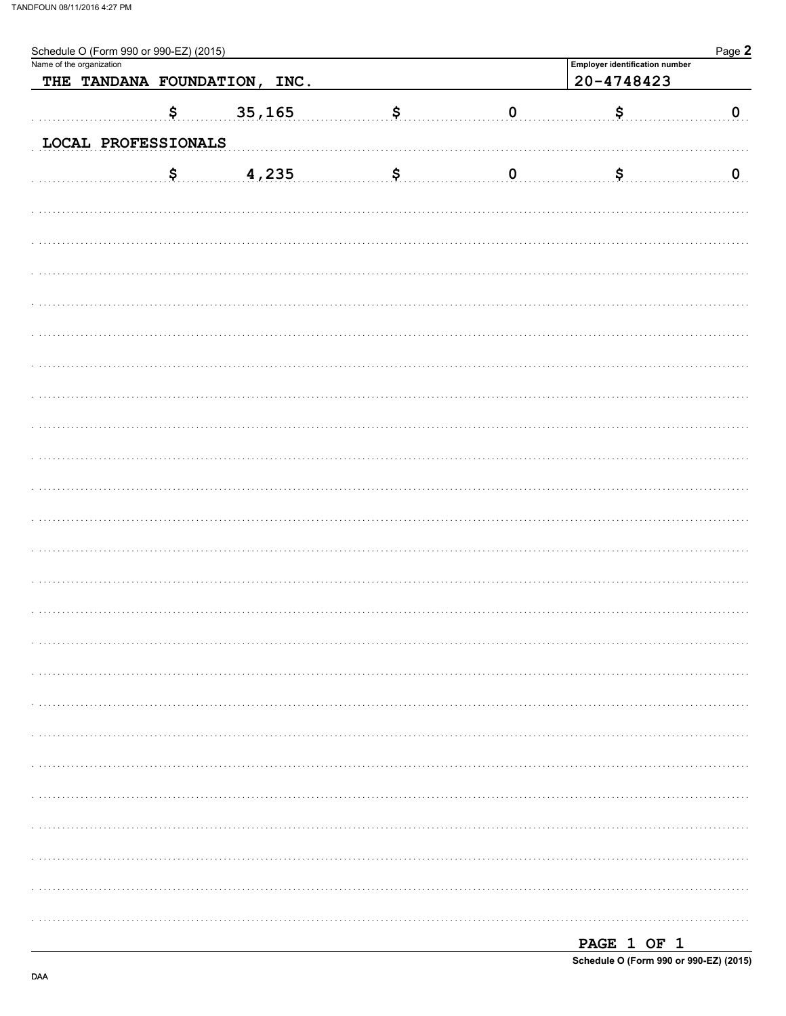| Name of the organization<br>THE TANDANA FOUNDATION, INC. |              |                           |                | <b>Employer identification number</b><br>20-4748423 |                           |
|----------------------------------------------------------|--------------|---------------------------|----------------|-----------------------------------------------------|---------------------------|
|                                                          | \$<br>35,165 | $\boldsymbol{\mathsf{S}}$ | $\overline{0}$ | $\mathsf{S}$                                        | $\overline{\mathbf{0}}$ . |
| LOCAL PROFESSIONALS                                      |              |                           |                |                                                     |                           |
|                                                          | \$<br>4,235  | .\$                       | $\overline{0}$ | <u>଼\$</u>                                          | $\overline{0}$ .          |
|                                                          |              |                           |                |                                                     |                           |
|                                                          |              |                           |                |                                                     |                           |
|                                                          |              |                           |                |                                                     |                           |
|                                                          |              |                           |                |                                                     |                           |
|                                                          |              |                           |                |                                                     |                           |
|                                                          |              |                           |                |                                                     |                           |
|                                                          |              |                           |                |                                                     |                           |
|                                                          |              |                           |                |                                                     |                           |
|                                                          |              |                           |                |                                                     |                           |
|                                                          |              |                           |                |                                                     |                           |
|                                                          |              |                           |                |                                                     |                           |
|                                                          |              |                           |                |                                                     |                           |
|                                                          |              |                           |                |                                                     |                           |
|                                                          |              |                           |                |                                                     |                           |
|                                                          |              |                           |                |                                                     |                           |
|                                                          |              |                           |                |                                                     |                           |
|                                                          |              |                           |                |                                                     |                           |
|                                                          |              |                           |                |                                                     |                           |
|                                                          |              |                           |                |                                                     |                           |
|                                                          |              |                           |                |                                                     |                           |
|                                                          |              |                           |                |                                                     |                           |
|                                                          |              |                           |                |                                                     |                           |
|                                                          |              |                           |                |                                                     |                           |
|                                                          |              |                           |                |                                                     |                           |
|                                                          |              |                           |                |                                                     |                           |

| <b>PAGE</b> |  |  |  |  |  |
|-------------|--|--|--|--|--|
|             |  |  |  |  |  |